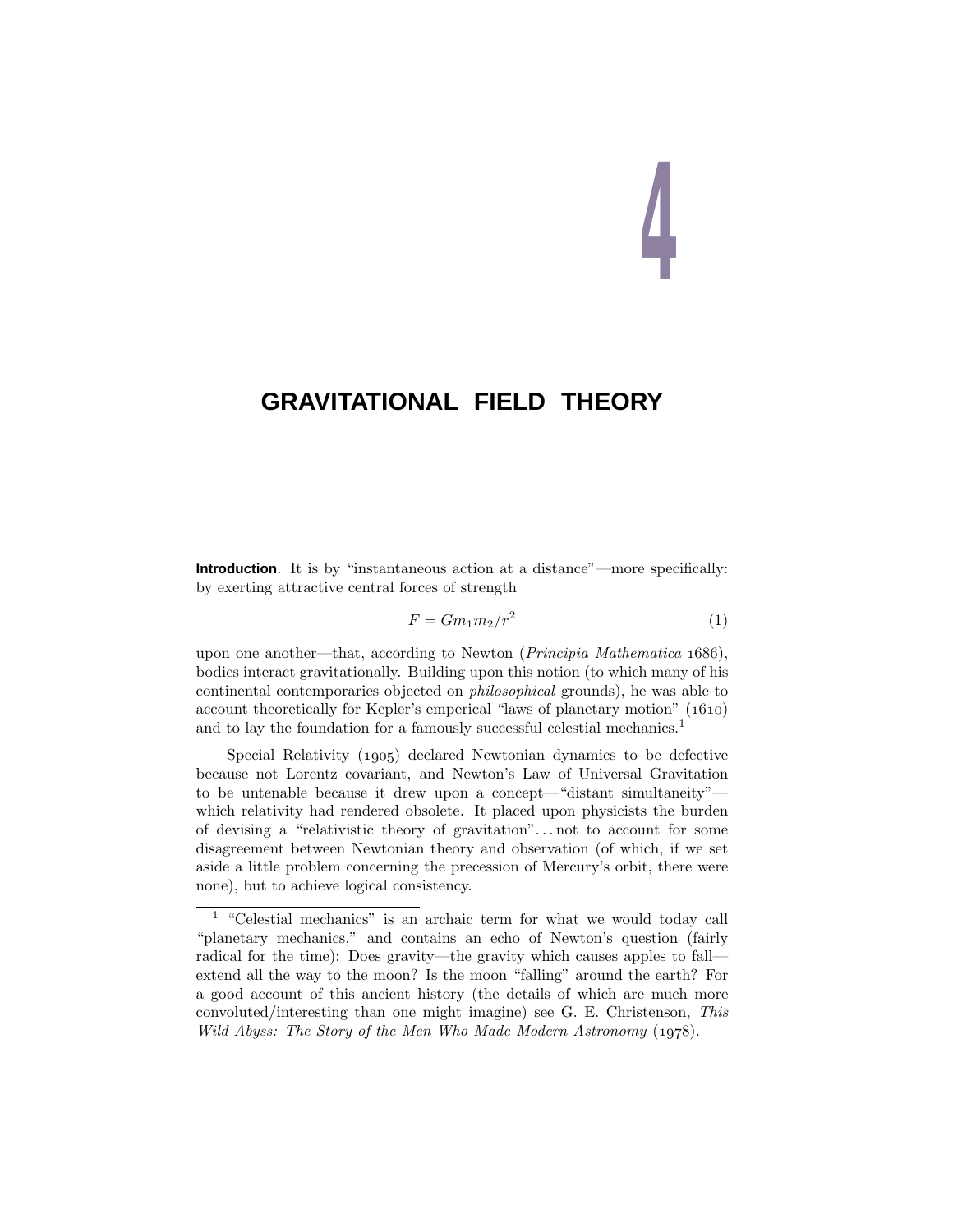# **4**

# **GRAVITATIONAL FIELD THEORY**

**Introduction**. It is by "instantaneous action at a distance"—more specifically: by exerting attractive central forces of strength

$$
F = Gm_1m_2/r^2\tag{1}
$$

upon one another—that, according to Newton (*Principia Mathematica*  $1686$ ), bodies interact gravitationally. Building upon this notion (to which many of his continental contemporaries objected on philosophical grounds), he was able to account theoretically for Kepler's emperical "laws of planetary motion"  $(1610)$ and to lay the foundation for a famously successful celestial mechanics.<sup>1</sup>

Special Relativity  $(1905)$  declared Newtonian dynamics to be defective because not Lorentz covariant, and Newton's Law of Universal Gravitation to be untenable because it drew upon a concept—"distant simultaneity" which relativity had rendered obsolete. It placed upon physicists the burden of devising a "relativistic theory of gravitation"*...* not to account for some disagreement between Newtonian theory and observation (of which, if we set aside a little problem concerning the precession of Mercury's orbit, there were none), but to achieve logical consistency.

<sup>1</sup> "Celestial mechanics" is an archaic term for what we would today call "planetary mechanics," and contains an echo of Newton's question (fairly radical for the time): Does gravity—the gravity which causes apples to fall extend all the way to the moon? Is the moon "falling" around the earth? For a good account of this ancient history (the details of which are much more convoluted/interesting than one might imagine) see G. E. Christenson, This Wild Abyss: The Story of the Men Who Made Modern Astronomy  $(1978)$ .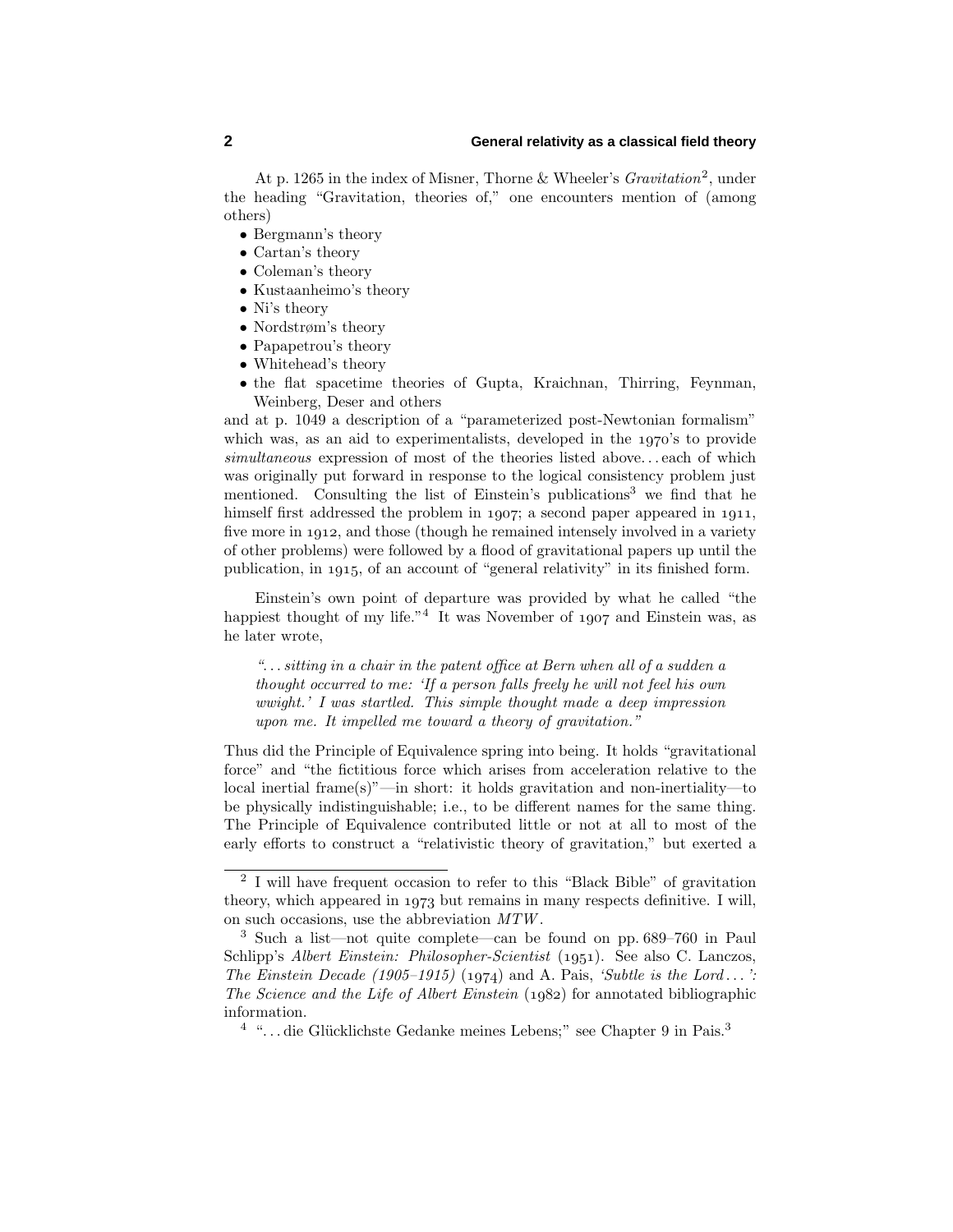At p. 1265 in the index of Misner, Thorne & Wheeler's  $Gravitation^2$ , under the heading "Gravitation, theories of," one encounters mention of (among others)

- Bergmann's theory
- Cartan's theory
- Coleman's theory
- Kustaanheimo's theory
- Ni's theory
- Nordstrøm's theory
- Papapetrou's theory
- Whitehead's theory
- the flat spacetime theories of Gupta, Kraichnan, Thirring, Feynman, Weinberg, Deser and others

and at p. 1049 a description of a "parameterized post-Newtonian formalism" which was, as an aid to experimentalists, developed in the  $1970$ 's to provide simultaneous expression of most of the theories listed above*...* each of which was originally put forward in response to the logical consistency problem just mentioned. Consulting the list of Einstein's publications<sup>3</sup> we find that he himself first addressed the problem in  $1907$ ; a second paper appeared in  $1911$ , five more in 1912, and those (though he remained intensely involved in a variety of other problems) were followed by a flood of gravitational papers up until the publication, in 1915, of an account of "general relativity" in its finished form.

Einstein's own point of departure was provided by what he called "the happiest thought of my life."<sup>4</sup> It was November of  $1907$  and Einstein was, as he later wrote,

"*...* sitting in a chair in the patent office at Bern when all of a sudden a thought occurred to me: 'If a person falls freely he will not feel his own wwight.' I was startled. This simple thought made a deep impression upon me. It impelled me toward a theory of gravitation."

Thus did the Principle of Equivalence spring into being. It holds "gravitational force" and "the fictitious force which arises from acceleration relative to the local inertial frame(s)"—in short: it holds gravitation and non-inertiality—to be physically indistinguishable; i.e., to be different names for the same thing. The Principle of Equivalence contributed little or not at all to most of the early efforts to construct a "relativistic theory of gravitation," but exerted a

<sup>2</sup> I will have frequent occasion to refer to this "Black Bible" of gravitation theory, which appeared in  $1973$  but remains in many respects definitive. I will, on such occasions, use the abbreviation MTW .

<sup>3</sup> Such a list—not quite complete—can be found on pp. 689–760 in Paul Schlipp's Albert Einstein: Philosopher-Scientist (1951). See also C. Lanczos, The Einstein Decade  $(1905-1915)$  (1974) and A. Pais, 'Subtle is the Lord...': The Science and the Life of Albert Einstein  $(1982)$  for annotated bibliographic information.

<sup>&</sup>lt;sup>4</sup> "... die Glücklichste Gedanke meines Lebens;" see Chapter 9 in Pais.<sup>3</sup>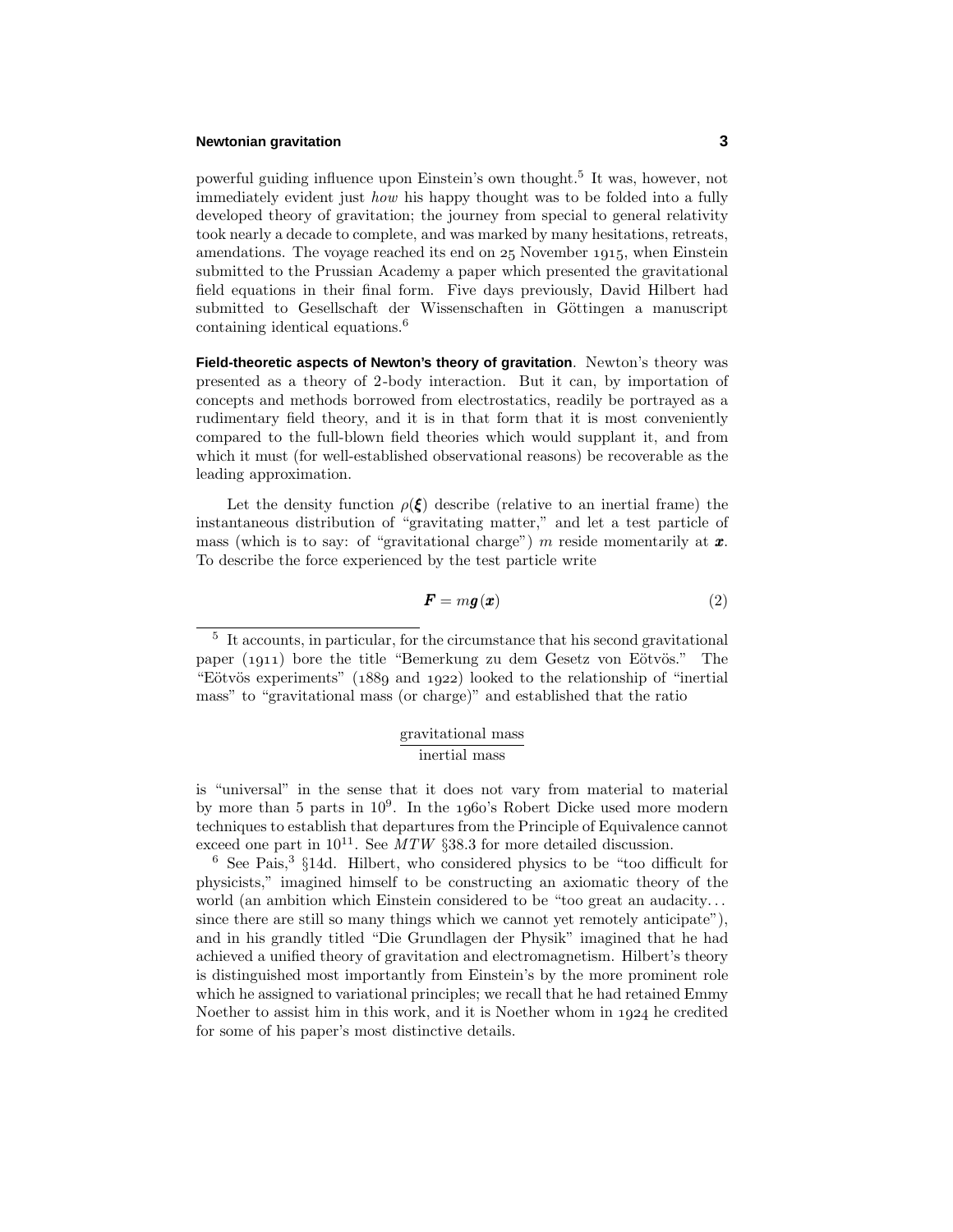### **Newtonian gravitation 3**

powerful guiding influence upon Einstein's own thought.<sup>5</sup> It was, however, not immediately evident just how his happy thought was to be folded into a fully developed theory of gravitation; the journey from special to general relativity took nearly a decade to complete, and was marked by many hesitations, retreats, amendations. The voyage reached its end on  $25$  November 1915, when Einstein submitted to the Prussian Academy a paper which presented the gravitational field equations in their final form. Five days previously, David Hilbert had submitted to Gesellschaft der Wissenschaften in Göttingen a manuscript containing identical equations.<sup>6</sup>

**Field-theoretic aspects of Newton's theory of gravitation**. Newton's theory was presented as a theory of 2-body interaction. But it can, by importation of concepts and methods borrowed from electrostatics, readily be portrayed as a rudimentary field theory, and it is in that form that it is most conveniently compared to the full-blown field theories which would supplant it, and from which it must (for well-established observational reasons) be recoverable as the leading approximation.

Let the density function  $\rho(\xi)$  describe (relative to an inertial frame) the instantaneous distribution of "gravitating matter," and let a test particle of mass (which is to say: of "gravitational charge") *m* reside momentarily at *x*. To describe the force experienced by the test particle write

$$
F = mg(x) \tag{2}
$$

### gravitational mass inertial mass

is "universal" in the sense that it does not vary from material to material by more than 5 parts in  $10^9$ . In the 1960's Robert Dicke used more modern techniques to establish that departures from the Principle of Equivalence cannot exceed one part in  $10^{11}$ . See MTW §38.3 for more detailed discussion.

 $6$  See Pais,  $3$  §14d. Hilbert, who considered physics to be "too difficult for physicists," imagined himself to be constructing an axiomatic theory of the world (an ambition which Einstein considered to be "too great an audacity*...* since there are still so many things which we cannot yet remotely anticipate"), and in his grandly titled "Die Grundlagen der Physik" imagined that he had achieved a unified theory of gravitation and electromagnetism. Hilbert's theory is distinguished most importantly from Einstein's by the more prominent role which he assigned to variational principles; we recall that he had retained Emmy Noether to assist him in this work, and it is Noether whom in  $1924$  he credited for some of his paper's most distinctive details.

<sup>5</sup> It accounts, in particular, for the circumstance that his second gravitational paper (1911) bore the title "Bemerkung zu dem Gesetz von Eötvös." The "Eötvös experiments"  $(1889 \text{ and } 1922)$  looked to the relationship of "inertial" mass" to "gravitational mass (or charge)" and established that the ratio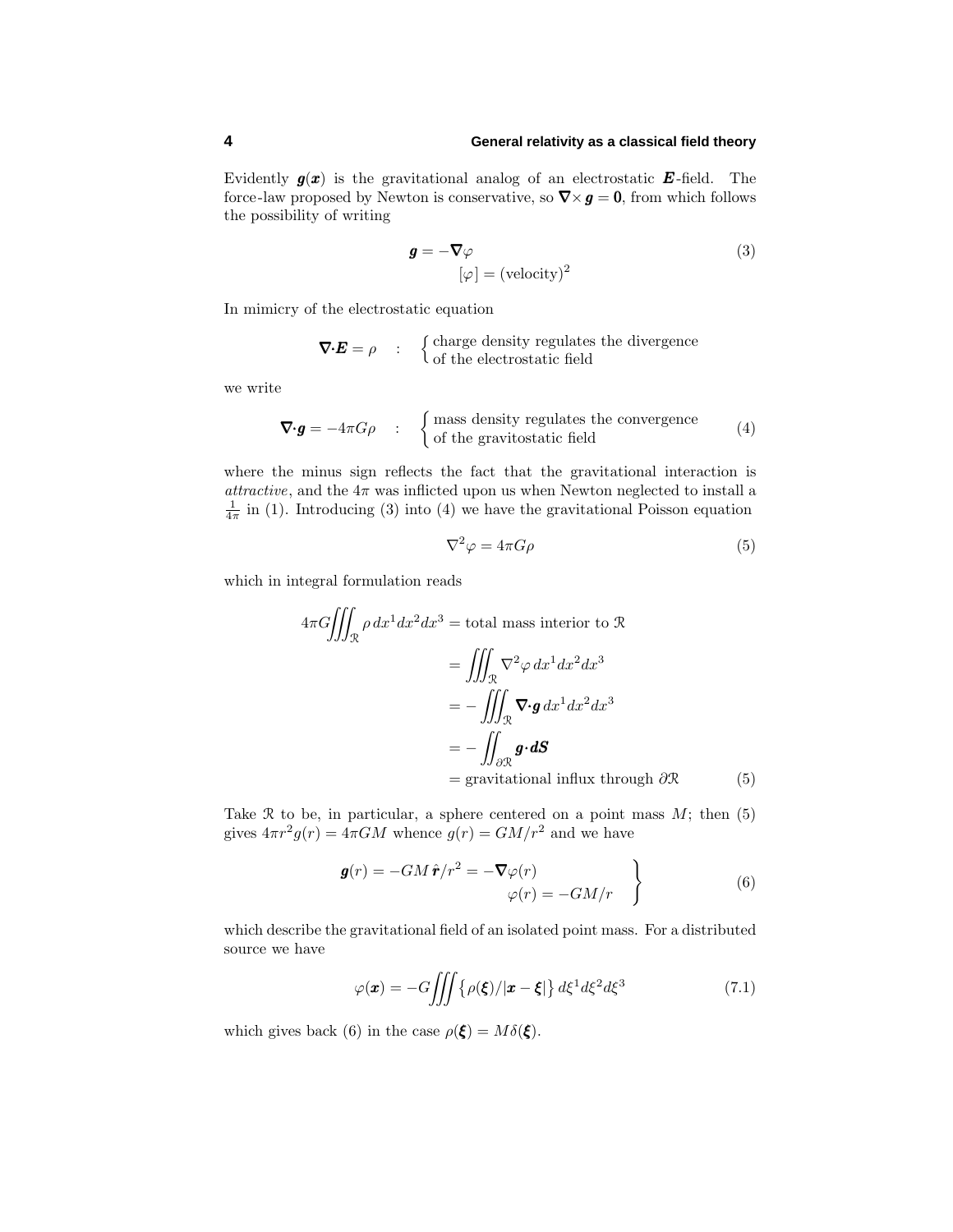Evidently  $g(x)$  is the gravitational analog of an electrostatic  $\vec{E}$ -field. The force-law proposed by Newton is conservative, so  $\nabla \times g = 0$ , from which follows the possibility of writing

$$
\mathbf{g} = -\nabla\varphi
$$
  
 
$$
[\varphi] = (\text{velocity})^2
$$
 (3)

In mimicry of the electrostatic equation

$$
\nabla \cdot \mathbf{E} = \rho \quad : \quad \begin{cases} \text{charge density regulates the divergence} \\ \text{of the electrostatic field} \end{cases}
$$

we write

$$
\nabla \cdot \mathbf{g} = -4\pi G \rho \qquad : \qquad \begin{cases} \text{mass density regulates the convergence} \\ \text{of the gravitostatic field} \end{cases} \tag{4}
$$

where the minus sign reflects the fact that the gravitational interaction is *attractive*, and the  $4\pi$  was inflicted upon us when Newton neglected to install a  $\frac{1}{4\pi}$  in (1). Introducing (3) into (4) we have the gravitational Poisson equation

$$
\nabla^2 \varphi = 4\pi G \rho \tag{5}
$$

which in integral formulation reads

$$
4\pi G \iiint_{\mathcal{R}} \rho \, dx^1 dx^2 dx^3 = \text{total mass interior to } \mathcal{R}
$$

$$
= \iiint_{\mathcal{R}} \nabla^2 \varphi \, dx^1 dx^2 dx^3
$$

$$
= - \iiint_{\mathcal{R}} \nabla \cdot \mathbf{g} \, dx^1 dx^2 dx^3
$$

$$
= - \iiint_{\partial \mathcal{R}} \mathbf{g} \cdot d\mathbf{S}
$$

$$
= \text{gravitational influx through } \partial \mathcal{R}
$$
(5)

Take  $R$  to be, in particular, a sphere centered on a point mass  $M$ ; then  $(5)$ gives  $4\pi r^2 g(r) = 4\pi GM$  whence  $g(r) = GM/r^2$  and we have

$$
\boldsymbol{g}(r) = -GM\,\hat{\boldsymbol{r}}/r^2 = -\boldsymbol{\nabla}\varphi(r) \varphi(r) = -GM/r \qquad \qquad (6)
$$

which describe the gravitational field of an isolated point mass. For a distributed source we have

$$
\varphi(\boldsymbol{x}) = -G \iiint \left\{ \rho(\boldsymbol{\xi}) / |\boldsymbol{x} - \boldsymbol{\xi}| \right\} d\xi^1 d\xi^2 d\xi^3 \tag{7.1}
$$

which gives back (6) in the case  $\rho(\boldsymbol{\xi}) = M\delta(\boldsymbol{\xi})$ .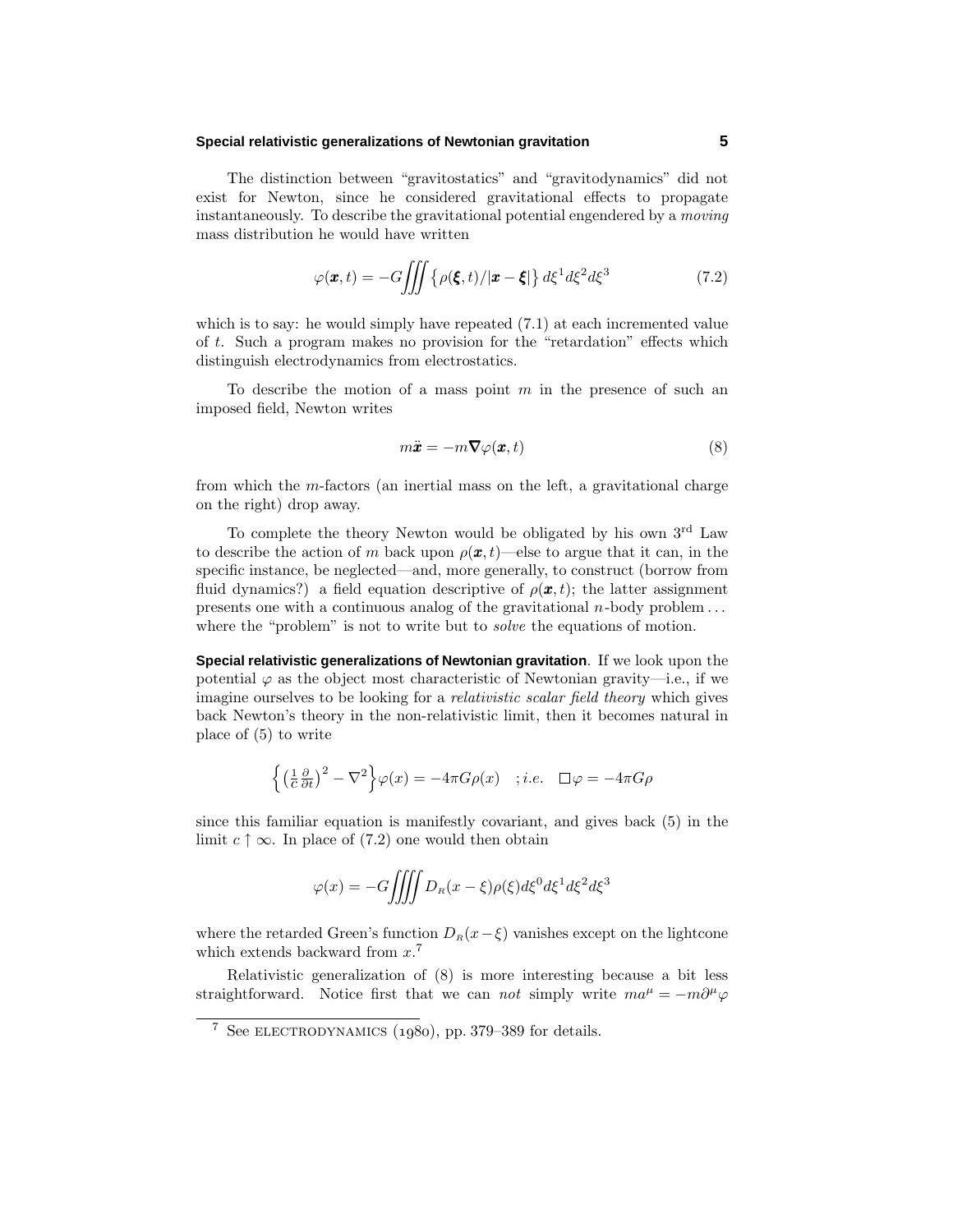### **Special relativistic generalizations of Newtonian gravitation 5**

The distinction between "gravitostatics" and "gravitodynamics" did not exist for Newton, since he considered gravitational effects to propagate instantaneously. To describe the gravitational potential engendered by a moving mass distribution he would have written

$$
\varphi(\boldsymbol{x},t) = -G \iiint \left\{ \rho(\boldsymbol{\xi},t) / |\boldsymbol{x} - \boldsymbol{\xi}| \right\} d\xi^1 d\xi^2 d\xi^3 \tag{7.2}
$$

which is to say: he would simply have repeated (7.1) at each incremented value of *t*. Such a program makes no provision for the "retardation" effects which distinguish electrodynamics from electrostatics.

To describe the motion of a mass point *m* in the presence of such an imposed field, Newton writes

$$
m\ddot{\boldsymbol{x}} = -m\boldsymbol{\nabla}\varphi(\boldsymbol{x},t) \tag{8}
$$

from which the *m*-factors (an inertial mass on the left, a gravitational charge on the right) drop away.

To complete the theory Newton would be obligated by his own  $3^{\text{rd}}$  Law to describe the action of *m* back upon  $\rho(\mathbf{x}, t)$ —else to argue that it can, in the specific instance, be neglected—and, more generally, to construct (borrow from fluid dynamics?) a field equation descriptive of  $\rho(\mathbf{x}, t)$ ; the latter assignment presents one with a continuous analog of the gravitational *n*-body problem *...* where the "problem" is not to write but to *solve* the equations of motion.

**Special relativistic generalizations of Newtonian gravitation**. If we look upon the potential  $\varphi$  as the object most characteristic of Newtonian gravity—i.e., if we imagine ourselves to be looking for a relativistic scalar field theory which gives back Newton's theory in the non-relativistic limit, then it becomes natural in place of (5) to write

$$
\left\{ \left( \frac{1}{c} \frac{\partial}{\partial t} \right)^2 - \nabla^2 \right\} \varphi(x) = -4\pi G \rho(x) \quad ; i.e. \quad \Box \varphi = -4\pi G \rho
$$

since this familiar equation is manifestly covariant, and gives back (5) in the limit  $c \uparrow \infty$ . In place of (7.2) one would then obtain

$$
\varphi(x) = -G \iiint D_R(x - \xi) \rho(\xi) d\xi^0 d\xi^1 d\xi^2 d\xi^3
$$

where the retarded Green's function  $D_R(x-\xi)$  vanishes except on the lightcone which extends backward from *x*. 7

Relativistic generalization of (8) is more interesting because a bit less straightforward. Notice first that we can *not* simply write  $ma^{\mu} = -m\partial^{\mu}\varphi$ 

 $7$  See ELECTRODYNAMICS (1980), pp. 379–389 for details.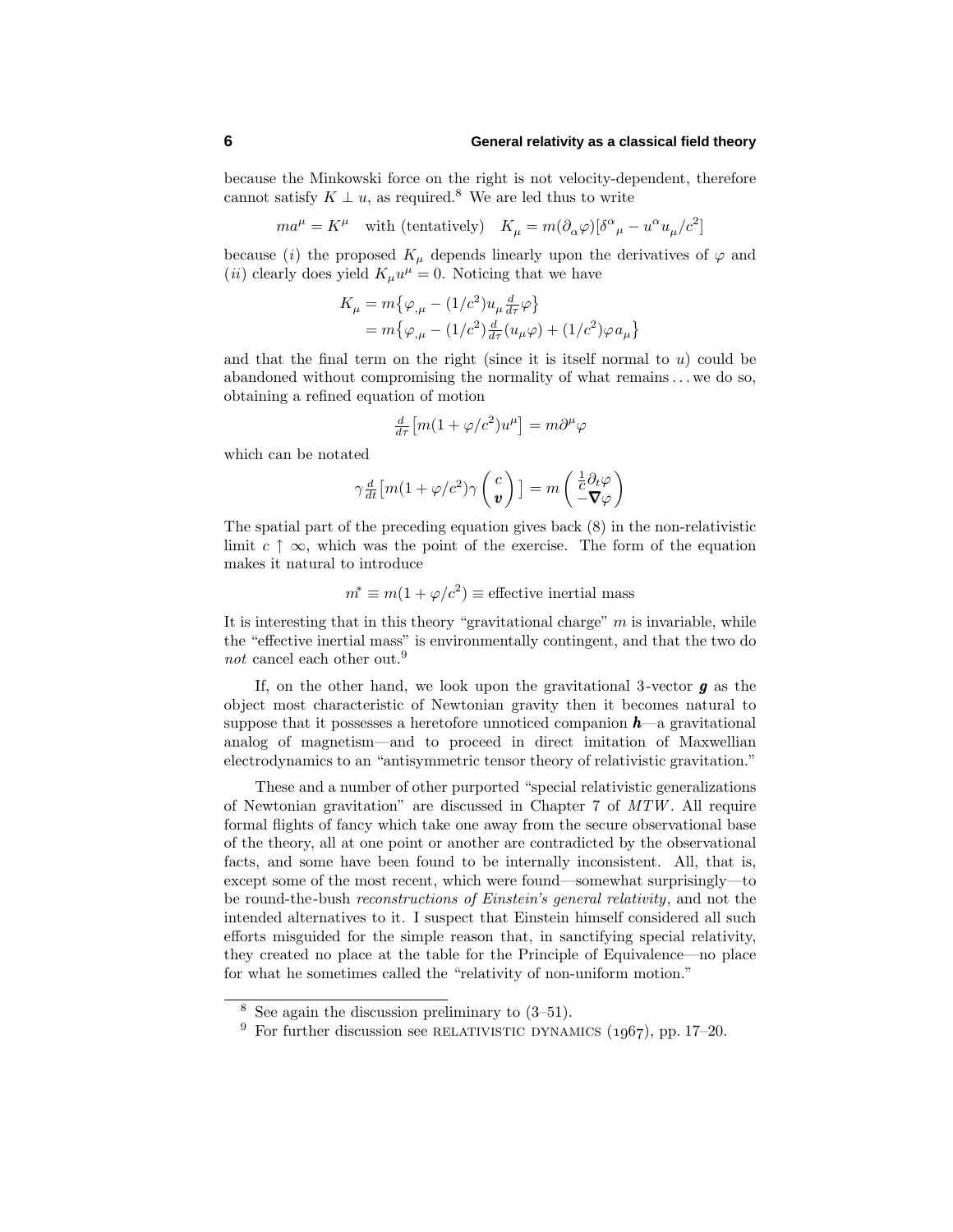because the Minkowski force on the right is not velocity-dependent, therefore cannot satisfy  $K \perp u$ , as required.<sup>8</sup> We are led thus to write

$$
ma^{\mu} = K^{\mu}
$$
 with (tentatively)  $K_{\mu} = m(\partial_{\alpha}\varphi)[\delta^{\alpha}{}_{\mu} - u^{\alpha}u_{\mu}/c^2]$ 

because (i) the proposed  $K_\mu$  depends linearly upon the derivatives of  $\varphi$  and (*ii*) clearly does yield  $K_\mu u^\mu = 0$ . Noticing that we have

$$
K_{\mu} = m \{ \varphi_{,\mu} - (1/c^2) u_{\mu} \frac{d}{d\tau} \varphi \}
$$
  
=  $m \{ \varphi_{,\mu} - (1/c^2) \frac{d}{d\tau} (u_{\mu} \varphi) + (1/c^2) \varphi a_{\mu} \}$ 

and that the final term on the right (since it is itself normal to *u*) could be abandoned without compromising the normality of what remains*...* we do so, obtaining a refined equation of motion

$$
\frac{d}{d\tau}\left[m(1+\varphi/c^2)u^{\mu}\right] = m\partial^{\mu}\varphi
$$

which can be notated

$$
\gamma \frac{d}{dt} \left[ m(1 + \varphi/c^2) \gamma \begin{pmatrix} c \\ \mathbf{v} \end{pmatrix} \right] = m \begin{pmatrix} \frac{1}{C} \partial_t \varphi \\ -\nabla \varphi \end{pmatrix}
$$

The spatial part of the preceding equation gives back (8) in the non-relativistic limit  $c \uparrow \infty$ , which was the point of the exercise. The form of the equation makes it natural to introduce

$$
m^* \equiv m(1 + \varphi/c^2) \equiv
$$
 effective inertial mass

It is interesting that in this theory "gravitational charge" *m* is invariable, while the "effective inertial mass" is environmentally contingent, and that the two do not cancel each other out.<sup>9</sup>

If, on the other hand, we look upon the gravitational 3-vector *g* as the object most characteristic of Newtonian gravity then it becomes natural to suppose that it possesses a heretofore unnoticed companion *h*—a gravitational analog of magnetism—and to proceed in direct imitation of Maxwellian electrodynamics to an "antisymmetric tensor theory of relativistic gravitation."

These and a number of other purported "special relativistic generalizations of Newtonian gravitation" are discussed in Chapter 7 of MTW . All require formal flights of fancy which take one away from the secure observational base of the theory, all at one point or another are contradicted by the observational facts, and some have been found to be internally inconsistent. All, that is, except some of the most recent, which were found—somewhat surprisingly—to be round-the-bush reconstructions of Einstein's general relativity, and not the intended alternatives to it. I suspect that Einstein himself considered all such efforts misguided for the simple reason that, in sanctifying special relativity, they created no place at the table for the Principle of Equivalence—no place for what he sometimes called the "relativity of non-uniform motion."

 $8 \text{ See again the discussion preliminary to } (3-51).$ 

<sup>&</sup>lt;sup>9</sup> For further discussion see RELATIVISTIC DYNAMICS  $(1967)$ , pp. 17–20.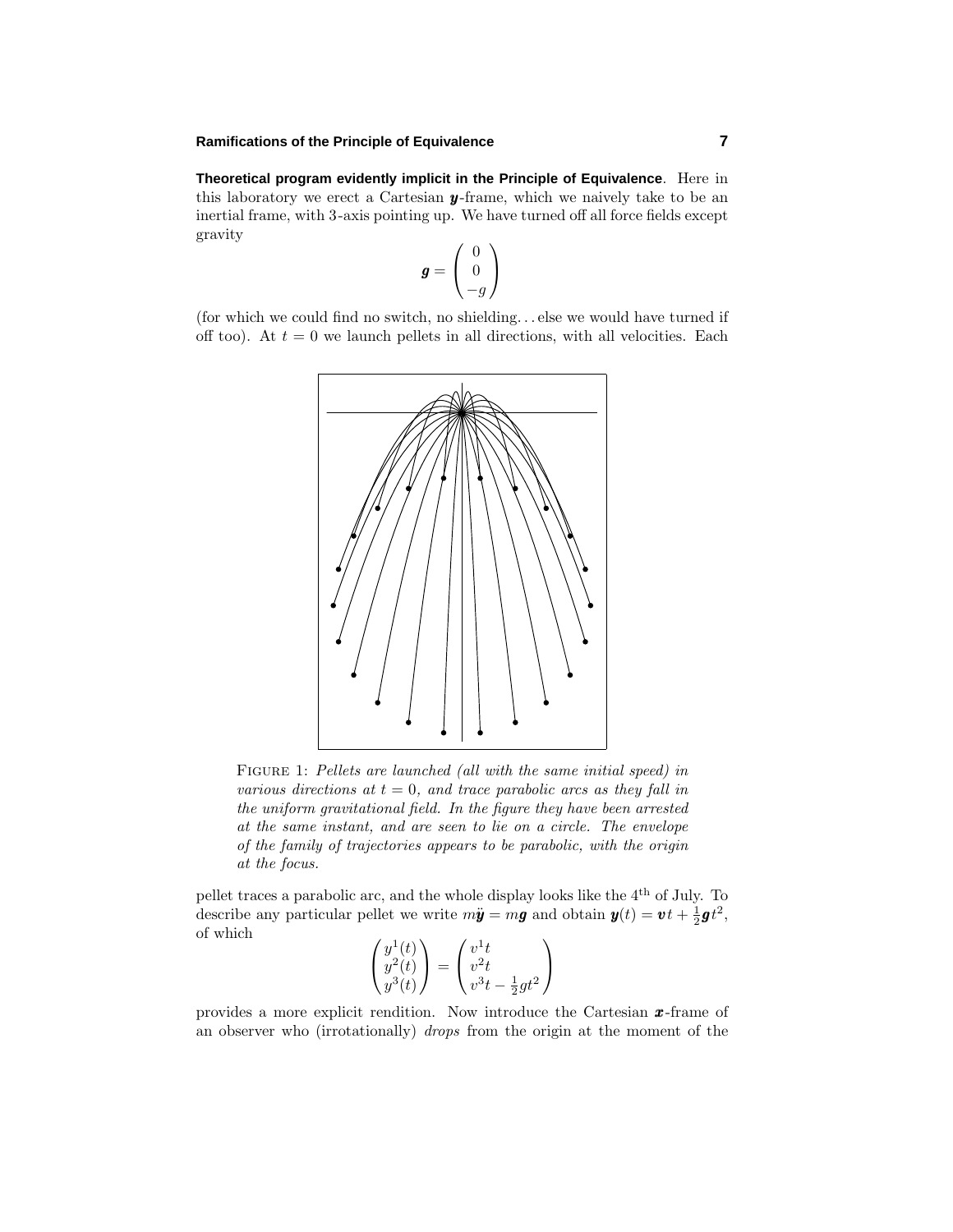### **Ramifications of the Principle of Equivalence 7**

**Theoretical program evidently implicit in the Principle of Equivalence**. Here in this laboratory we erect a Cartesian *y* -frame, which we naively take to be an inertial frame, with 3-axis pointing up. We have turned off all force fields except gravity

$$
\boldsymbol{g} = \begin{pmatrix} 0 \\ 0 \\ -g \end{pmatrix}
$$

(for which we could find no switch, no shielding*...* else we would have turned if off too). At  $t = 0$  we launch pellets in all directions, with all velocities. Each



FIGURE 1: Pellets are launched (all with the same initial speed) in various directions at  $t = 0$ , and trace parabolic arcs as they fall in the uniform gravitational field. In the figure they have been arrested at the same instant, and are seen to lie on a circle. The envelope of the family of trajectories appears to be parabolic, with the origin at the focus.

pellet traces a parabolic arc, and the whole display looks like the 4th of July. To describe any particular pellet we write  $m\ddot{\mathbf{y}} = m\mathbf{g}$  and obtain  $\mathbf{y}(t) = \mathbf{v}t + \frac{1}{2}\mathbf{g}t^2$ , of which

$$
\begin{pmatrix} y^1(t) \\ y^2(t) \\ y^3(t) \end{pmatrix} = \begin{pmatrix} v^1t \\ v^2t \\ v^3t - \frac{1}{2}gt^2 \end{pmatrix}
$$

provides a more explicit rendition. Now introduce the Cartesian *x*-frame of an observer who (irrotationally) drops from the origin at the moment of the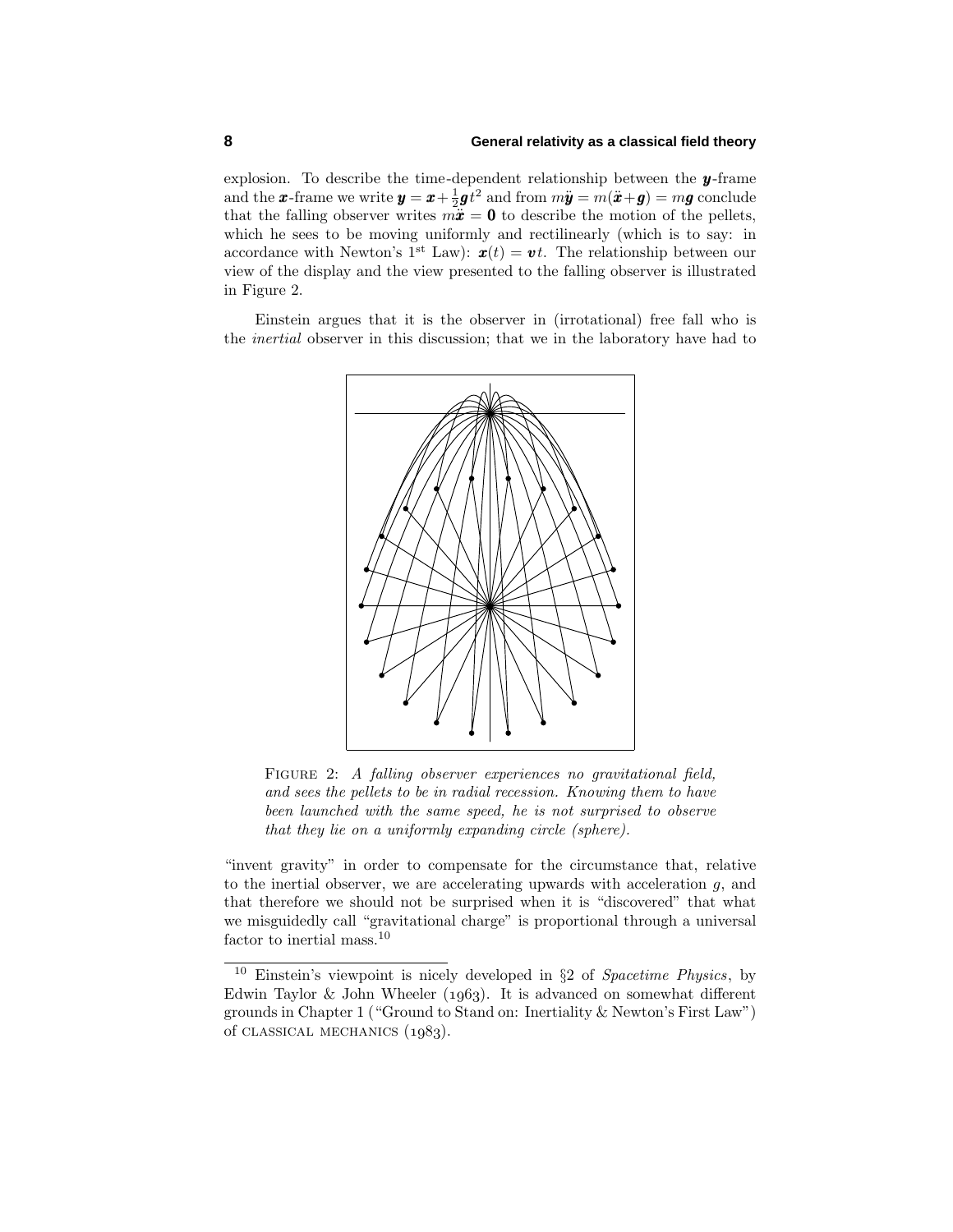explosion. To describe the time-dependent relationship between the *y* -frame and the *x*-frame we write  $y = x + \frac{1}{2}gt^2$  and from  $m\ddot{y} = m(\ddot{x} + g) = mg$  conclude that the falling observer writes  $m\ddot{x} = 0$  to describe the motion of the pellets, which he sees to be moving uniformly and rectilinearly (which is to say: in accordance with Newton's 1<sup>st</sup> Law):  $\boldsymbol{x}(t) = \boldsymbol{v}t$ . The relationship between our view of the display and the view presented to the falling observer is illustrated in Figure 2.

Einstein argues that it is the observer in (irrotational) free fall who is the inertial observer in this discussion; that we in the laboratory have had to



FIGURE 2: A falling observer experiences no gravitational field, and sees the pellets to be in radial recession. Knowing them to have been launched with the same speed, he is not surprised to observe that they lie on a uniformly expanding circle (sphere).

"invent gravity" in order to compensate for the circumstance that, relative to the inertial observer, we are accelerating upwards with acceleration *g*, and that therefore we should not be surprised when it is "discovered" that what we misguidedly call "gravitational charge" is proportional through a universal factor to inertial mass.<sup>10</sup>

<sup>10</sup> Einstein's viewpoint is nicely developed in §2 of Spacetime Physics, by Edwin Taylor & John Wheeler  $(1963)$ . It is advanced on somewhat different grounds in Chapter 1("Ground to Stand on: Inertiality & Newton's First Law") of CLASSICAL MECHANICS  $(1983)$ .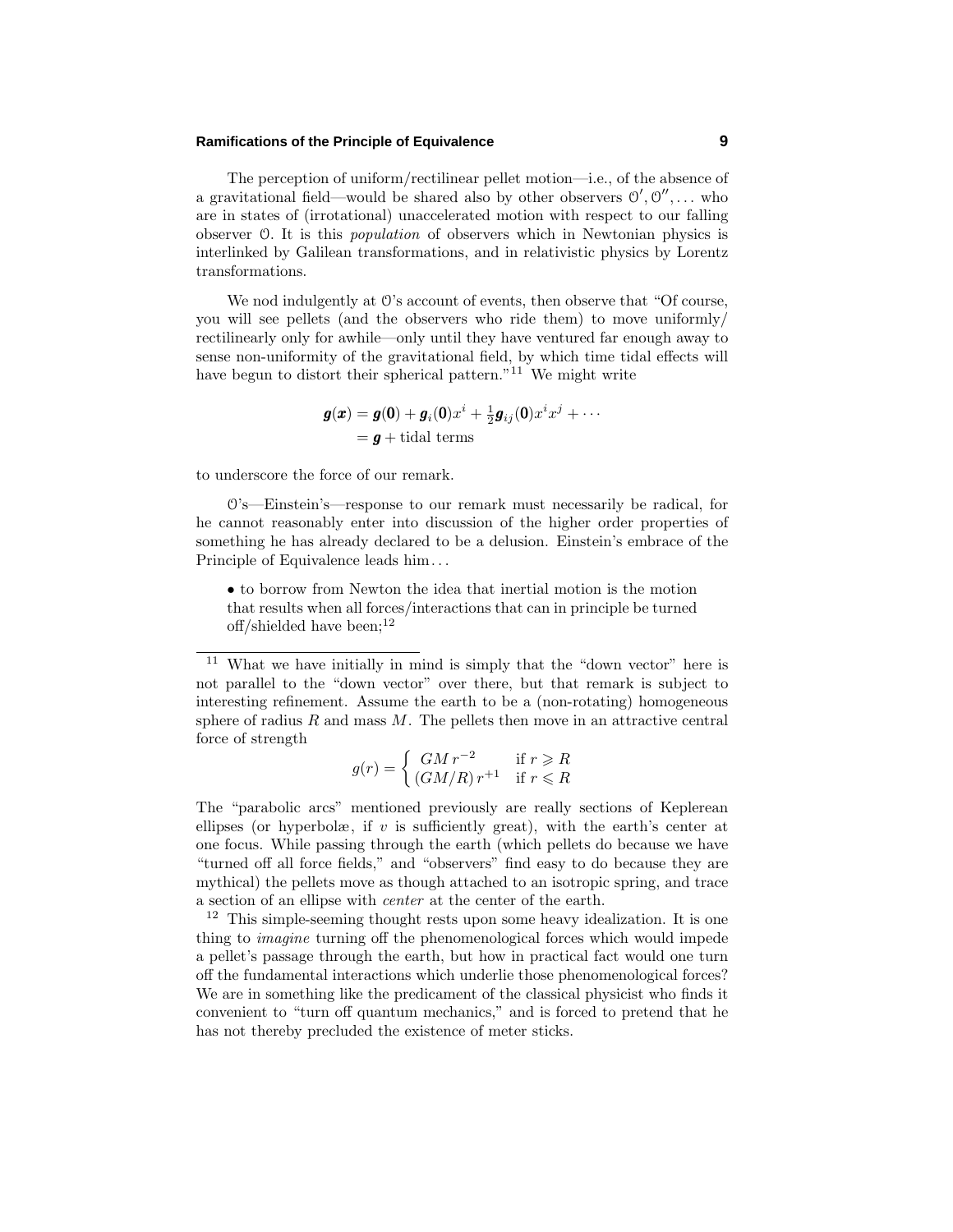### **Ramifications of the Principle of Equivalence 9**

The perception of uniform/rectilinear pellet motion—i.e., of the absence of a gravitational field—would be shared also by other observers  $\mathcal{O}', \mathcal{O}'', \dots$  who are in states of (irrotational) unaccelerated motion with respect to our falling observer O. It is this population of observers which in Newtonian physics is interlinked by Galilean transformations, and in relativistic physics by Lorentz transformations.

We nod indulgently at  $\mathcal O$ 's account of events, then observe that "Of course, you will see pellets (and the observers who ride them) to move uniformly/ rectilinearly only for awhile—only until they have ventured far enough away to sense non-uniformity of the gravitational field, by which time tidal effects will have begun to distort their spherical pattern."<sup>11</sup> We might write

$$
\boldsymbol{g}(\boldsymbol{x}) = \boldsymbol{g}(\boldsymbol{0}) + \boldsymbol{g}_i(\boldsymbol{0})x^i + \frac{1}{2}\boldsymbol{g}_{ij}(\boldsymbol{0})x^ix^j + \cdots = \boldsymbol{g} + \text{tidal terms}
$$

to underscore the force of our remark.

O's—Einstein's—response to our remark must necessarily be radical, for he cannot reasonably enter into discussion of the higher order properties of something he has already declared to be a delusion. Einstein's embrace of the Principle of Equivalence leads him*...*

• to borrow from Newton the idea that inertial motion is the motion that results when all forces/interactions that can in principle be turned off/shielded have been;<sup>12</sup>

$$
g(r) = \begin{cases} GM r^{-2} & \text{if } r \ge R \\ (GM/R) r^{+1} & \text{if } r \le R \end{cases}
$$

The "parabolic arcs" mentioned previously are really sections of Keplerean ellipses (or hyperbolæ, if *v* is sufficiently great), with the earth's center at one focus. While passing through the earth (which pellets do because we have "turned off all force fields," and "observers" find easy to do because they are mythical) the pellets move as though attached to an isotropic spring, and trace a section of an ellipse with center at the center of the earth.

 $12$  This simple-seeming thought rests upon some heavy idealization. It is one thing to imagine turning off the phenomenological forces which would impede a pellet's passage through the earth, but how in practical fact would one turn off the fundamental interactions which underlie those phenomenological forces? We are in something like the predicament of the classical physicist who finds it convenient to "turn off quantum mechanics," and is forced to pretend that he has not thereby precluded the existence of meter sticks.

<sup>11</sup> What we have initially in mind is simply that the "down vector" here is not parallel to the "down vector" over there, but that remark is subject to interesting refinement. Assume the earth to be a (non-rotating) homogeneous sphere of radius *R* and mass *M*. The pellets then move in an attractive central force of strength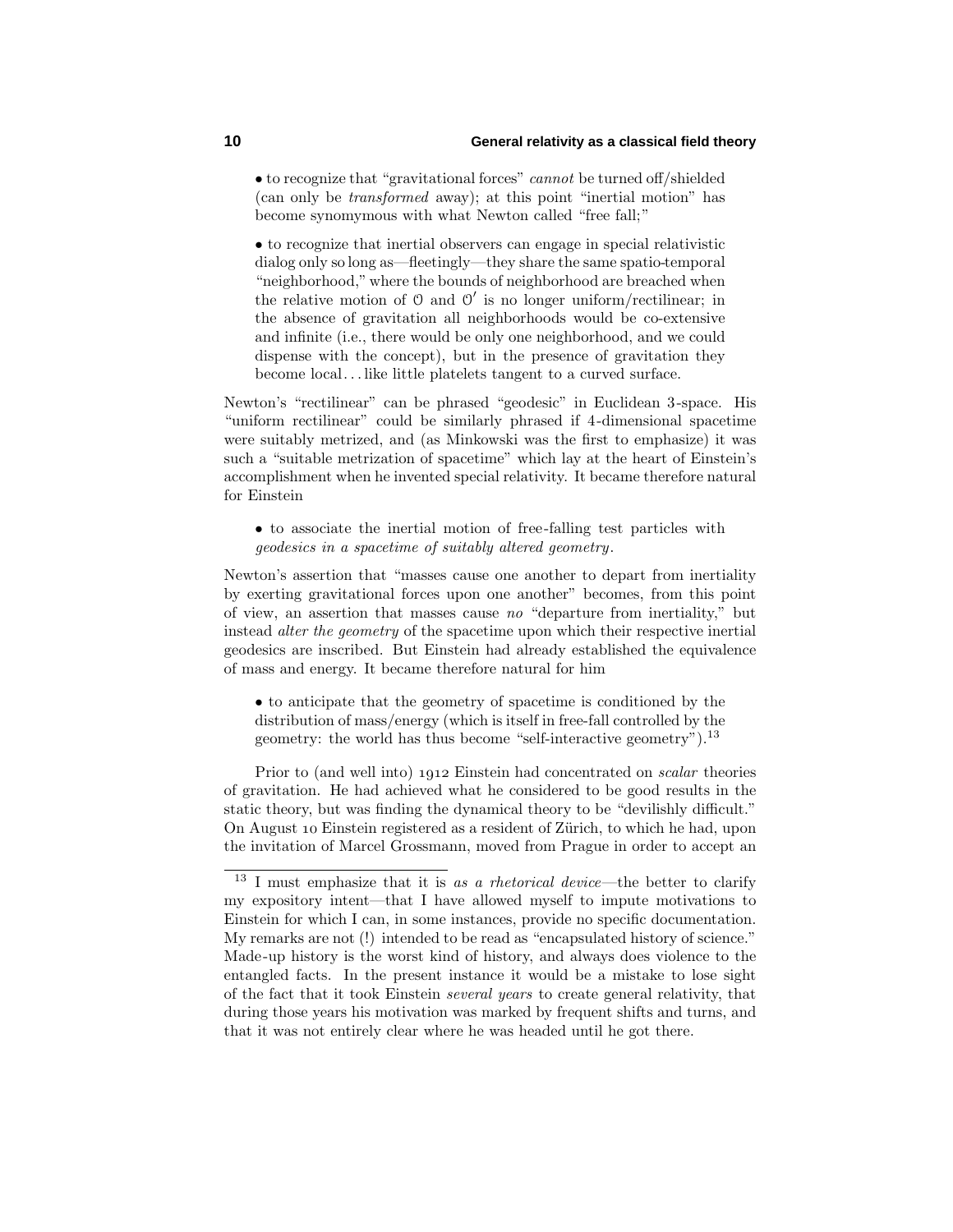• to recognize that "gravitational forces" cannot be turned off/shielded (can only be transformed away); at this point "inertial motion" has become synomymous with what Newton called "free fall;"

• to recognize that inertial observers can engage in special relativistic dialog only so long as—fleetingly—they share the same spatio-temporal "neighborhood," where the bounds of neighborhood are breached when the relative motion of  $\mathcal O$  and  $\mathcal O'$  is no longer uniform/rectilinear; in the absence of gravitation all neighborhoods would be co-extensive and infinite (i.e., there would be only one neighborhood, and we could dispense with the concept), but in the presence of gravitation they become local*...* like little platelets tangent to a curved surface.

Newton's "rectilinear" can be phrased "geodesic" in Euclidean 3-space. His "uniform rectilinear" could be similarly phrased if 4-dimensional spacetime were suitably metrized, and (as Minkowski was the first to emphasize) it was such a "suitable metrization of spacetime" which lay at the heart of Einstein's accomplishment when he invented special relativity. It became therefore natural for Einstein

• to associate the inertial motion of free-falling test particles with geodesics in a spacetime of suitably altered geometry.

Newton's assertion that "masses cause one another to depart from inertiality by exerting gravitational forces upon one another" becomes, from this point of view, an assertion that masses cause no "departure from inertiality," but instead alter the geometry of the spacetime upon which their respective inertial geodesics are inscribed. But Einstein had already established the equivalence of mass and energy. It became therefore natural for him

• to anticipate that the geometry of spacetime is conditioned by the distribution of mass/energy (which is itself in free-fall controlled by the geometry: the world has thus become "self-interactive geometry").<sup>13</sup>

Prior to (and well into) 1912 Einstein had concentrated on *scalar* theories of gravitation. He had achieved what he considered to be good results in the static theory, but was finding the dynamical theory to be "devilishly difficult." On August 10 Einstein registered as a resident of Zürich, to which he had, upon the invitation of Marcel Grossmann, moved from Prague in order to accept an

<sup>&</sup>lt;sup>13</sup> I must emphasize that it is as a rhetorical device—the better to clarify my expository intent—that I have allowed myself to impute motivations to Einstein for which I can, in some instances, provide no specific documentation. My remarks are not (!) intended to be read as "encapsulated history of science." Made-up history is the worst kind of history, and always does violence to the entangled facts. In the present instance it would be a mistake to lose sight of the fact that it took Einstein several years to create general relativity, that during those years his motivation was marked by frequent shifts and turns, and that it was not entirely clear where he was headed until he got there.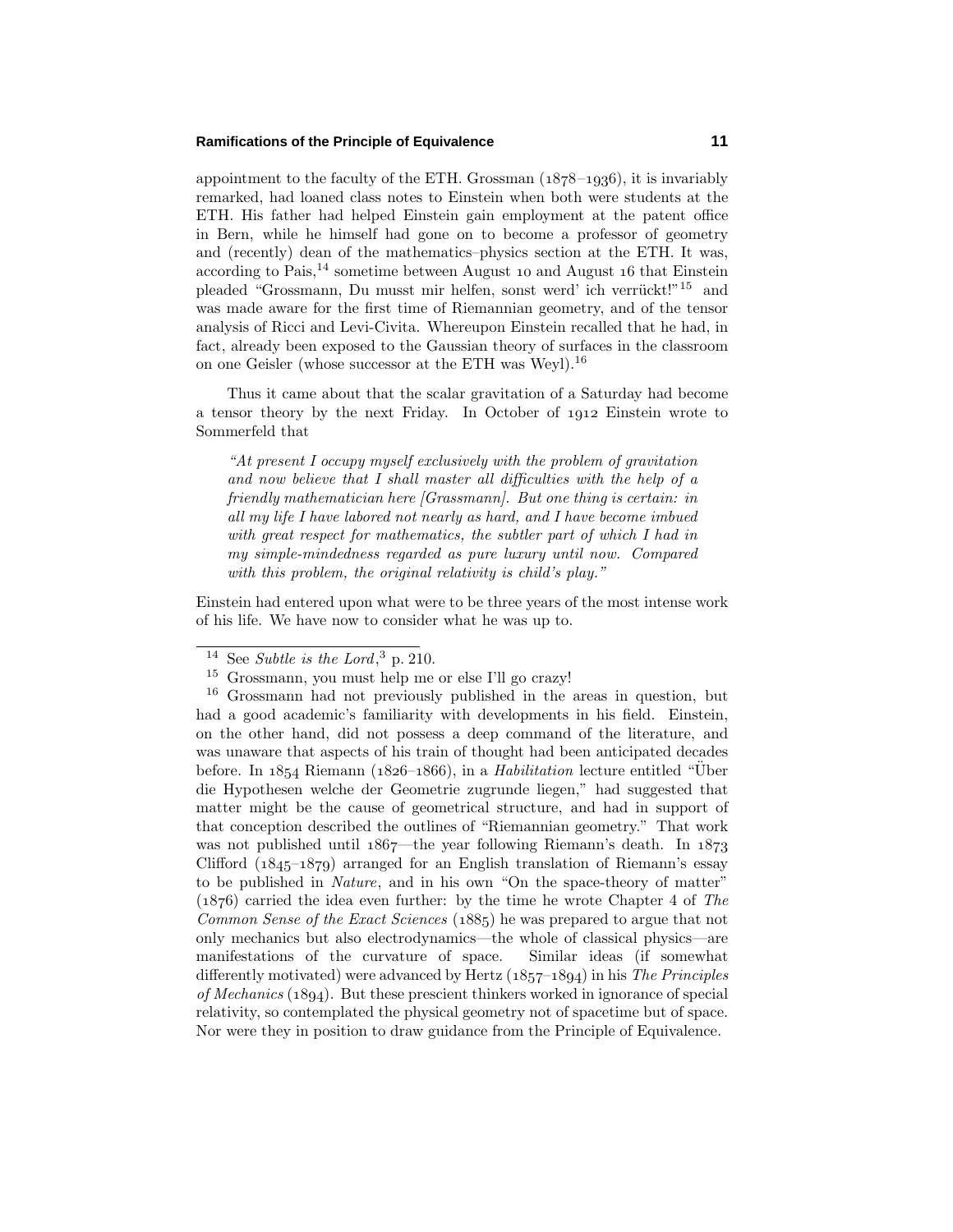### **Ramifications of the Principle of Equivalence 11**

appointment to the faculty of the ETH. Grossman  $(1878-1936)$ , it is invariably remarked, had loaned class notes to Einstein when both were students at the ETH. His father had helped Einstein gain employment at the patent office in Bern, while he himself had gone on to become a professor of geometry and (recently) dean of the mathematics–physics section at the ETH. It was, according to Pais,  $14$  sometime between August 10 and August 16 that Einstein pleaded "Grossmann, Du musst mir helfen, sonst werd' ich verrückt!"<sup>15</sup> and was made aware for the first time of Riemannian geometry, and of the tensor analysis of Ricci and Levi-Civita. Whereupon Einstein recalled that he had, in fact, already been exposed to the Gaussian theory of surfaces in the classroom on one Geisler (whose successor at the ETH was Weyl).<sup>16</sup>

Thus it came about that the scalar gravitation of a Saturday had become a tensor theory by the next Friday. In October of 1912 Einstein wrote to Sommerfeld that

"At present I occupy myself exclusively with the problem of gravitation and now believe that I shall master all difficulties with the help of a friendly mathematician here [Grassmann]. But one thing is certain: in all my life I have labored not nearly as hard, and I have become imbued with great respect for mathematics, the subtler part of which I had in my simple-mindedness regarded as pure luxury until now. Compared with this problem, the original relativity is child's play."

Einstein had entered upon what were to be three years of the most intense work of his life. We have now to consider what he was up to.

<sup>&</sup>lt;sup>14</sup> See Subtle is the Lord,<sup>3</sup> p. 210.

<sup>15</sup> Grossmann, you must help me or else I'll go crazy!

<sup>16</sup> Grossmann had not previously published in the areas in question, but had a good academic's familiarity with developments in his field. Einstein, on the other hand, did not possess a deep command of the literature, and was unaware that aspects of his train of thought had been anticipated decades before. In  $1854$  Riemann ( $1826-1866$ ), in a *Habilitation* lecture entitled "Uber die Hypothesen welche der Geometrie zugrunde liegen," had suggested that matter might be the cause of geometrical structure, and had in support of that conception described the outlines of "Riemannian geometry." That work was not published until  $1867$ —the year following Riemann's death. In  $1873$ Clifford  $(1845-1879)$  arranged for an English translation of Riemann's essay to be published in Nature, and in his own "On the space-theory of matter"  $(1876)$  carried the idea even further: by the time he wrote Chapter 4 of The Common Sense of the Exact Sciences  $(1885)$  he was prepared to argue that not only mechanics but also electrodynamics—the whole of classical physics—are manifestations of the curvature of space. Similar ideas (if somewhat differently motivated) were advanced by Hertz  $(1857-1894)$  in his The Principles of Mechanics  $(1894)$ . But these prescient thinkers worked in ignorance of special relativity, so contemplated the physical geometry not of spacetime but of space. Nor were they in position to draw guidance from the Principle of Equivalence.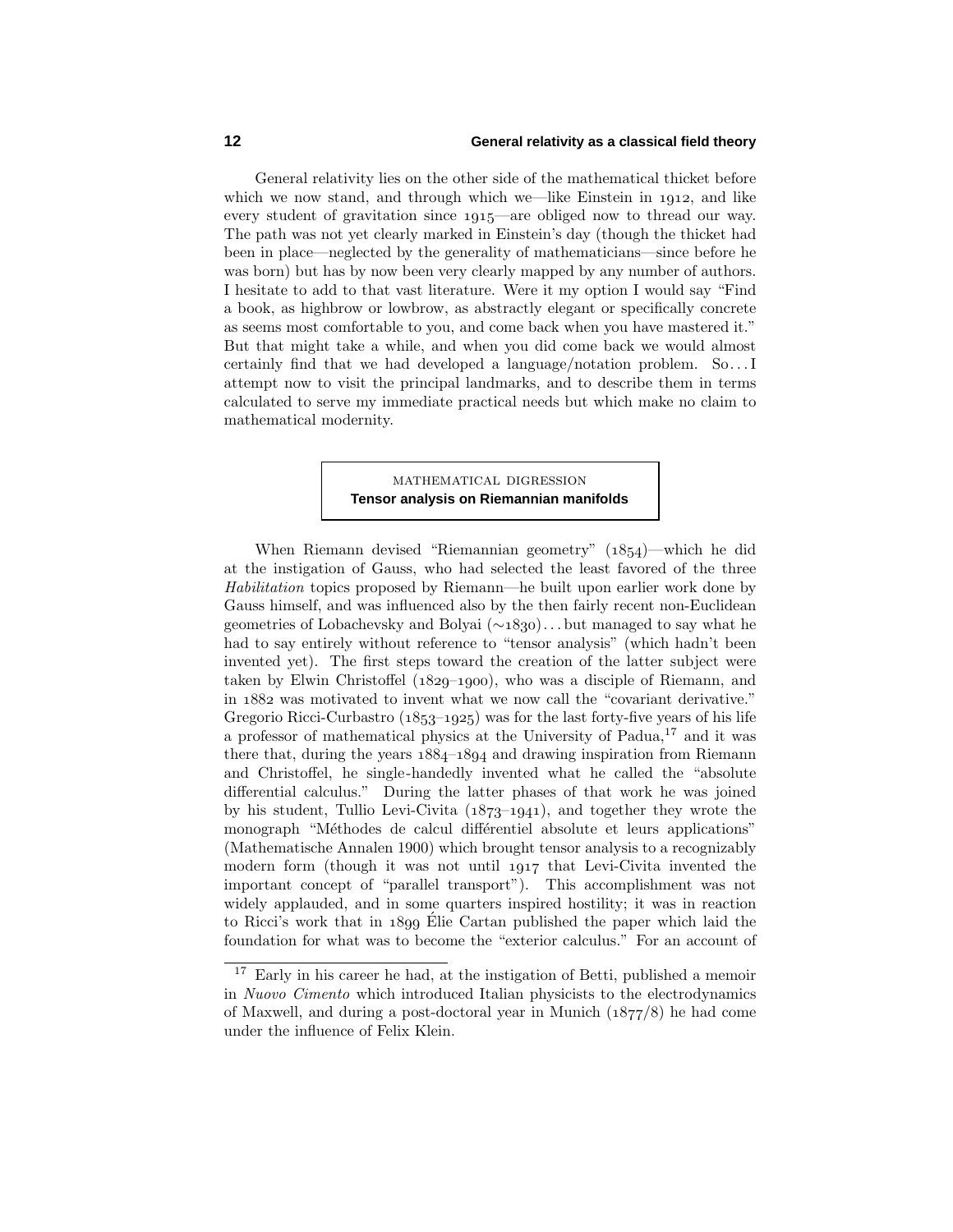General relativity lies on the other side of the mathematical thicket before which we now stand, and through which we—like Einstein in  $1912$ , and like every student of gravitation since  $1915$ —are obliged now to thread our way. The path was not yet clearly marked in Einstein's day (though the thicket had been in place—neglected by the generality of mathematicians—since before he was born) but has by now been very clearly mapped by any number of authors. I hesitate to add to that vast literature. Were it my option I would say "Find a book, as highbrow or lowbrow, as abstractly elegant or specifically concrete as seems most comfortable to you, and come back when you have mastered it." But that might take a while, and when you did come back we would almost certainly find that we had developed a language/notation problem. So*...*I attempt now to visit the principal landmarks, and to describe them in terms calculated to serve my immediate practical needs but which make no claim to mathematical modernity.

> mathematical digression **Tensor analysis on Riemannian manifolds**

When Riemann devised "Riemannian geometry"  $(1854)$ —which he did at the instigation of Gauss, who had selected the least favored of the three Habilitation topics proposed by Riemann—he built upon earlier work done by Gauss himself, and was influenced also by the then fairly recent non-Euclidean geometries of Lobachevsky and Bolyai (∼)*...* but managed to say what he had to say entirely without reference to "tensor analysis" (which hadn't been invented yet). The first steps toward the creation of the latter subject were taken by Elwin Christoffel ( $1829-1900$ ), who was a disciple of Riemann, and in 1882 was motivated to invent what we now call the "covariant derivative." Gregorio Ricci-Curbastro  $(1853-1925)$  was for the last forty-five years of his life a professor of mathematical physics at the University of Padua, $17$  and it was there that, during the years  $1884-1894$  and drawing inspiration from Riemann and Christoffel, he single-handedly invented what he called the "absolute differential calculus." During the latter phases of that work he was joined by his student, Tullio Levi-Civita  $(1873-1941)$ , and together they wrote the monograph "Méthodes de calcul différentiel absolute et leurs applications" (Mathematische Annalen 1900) which brought tensor analysis to a recognizably modern form (though it was not until 1917 that Levi-Civita invented the important concept of "parallel transport"). This accomplishment was not widely applauded, and in some quarters inspired hostility; it was in reaction to Ricci's work that in 1899 Elie Cartan published the paper which laid the foundation for what was to become the "exterior calculus." For an account of

<sup>&</sup>lt;sup>17</sup> Early in his career he had, at the instigation of Betti, published a memoir in Nuovo Cimento which introduced Italian physicists to the electrodynamics of Maxwell, and during a post-doctoral year in Munich  $(1877/8)$  he had come under the influence of Felix Klein.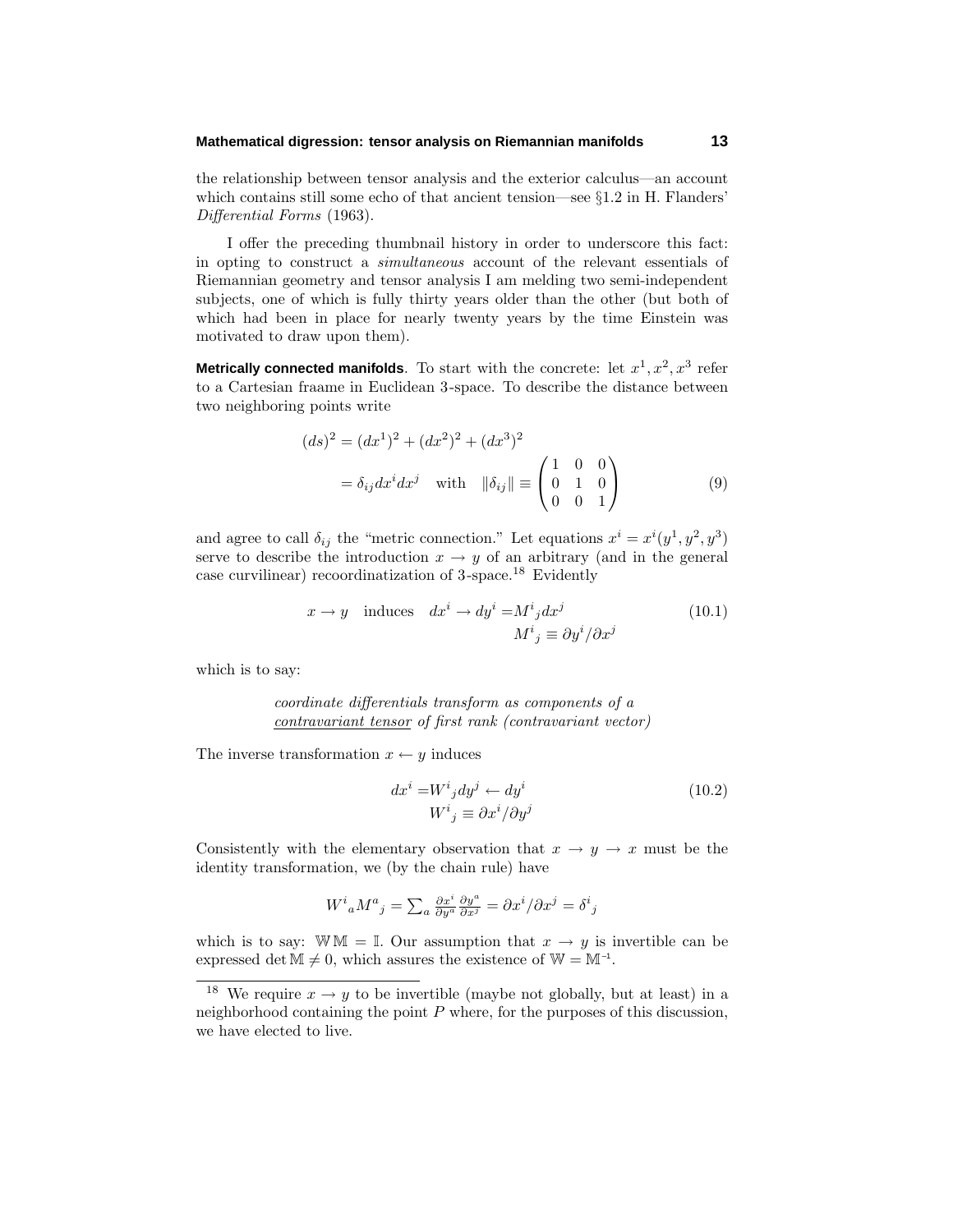the relationship between tensor analysis and the exterior calculus—an account which contains still some echo of that ancient tension—see §1.2 in H. Flanders' Differential Forms (1963).

I offer the preceding thumbnail history in order to underscore this fact: in opting to construct a simultaneous account of the relevant essentials of Riemannian geometry and tensor analysis I am melding two semi-independent subjects, one of which is fully thirty years older than the other (but both of which had been in place for nearly twenty years by the time Einstein was motivated to draw upon them).

**Metrically connected manifolds**. To start with the concrete: let  $x^1, x^2, x^3$  refer to a Cartesian fraame in Euclidean 3-space. To describe the distance between two neighboring points write

$$
(ds)^{2} = (dx^{1})^{2} + (dx^{2})^{2} + (dx^{3})^{2}
$$

$$
= \delta_{ij} dx^{i} dx^{j} \quad \text{with} \quad \|\delta_{ij}\| \equiv \begin{pmatrix} 1 & 0 & 0 \\ 0 & 1 & 0 \\ 0 & 0 & 1 \end{pmatrix}
$$
(9)

and agree to call  $\delta_{ij}$  the "metric connection." Let equations  $x^i = x^i(y^1, y^2, y^3)$ serve to describe the introduction  $x \to y$  of an arbitrary (and in the general case curvilinear) recoordinatization of  $3$ -space.<sup>18</sup> Evidently

$$
x \to y \quad \text{induces} \quad dx^i \to dy^i = M^i{}_j dx^j
$$
\n
$$
M^i{}_j \equiv \partial y^i / \partial x^j
$$
\n(10.1)

which is to say:

coordinate differentials transform as components of a contravariant tensor of first rank (contravariant vector)

The inverse transformation  $x \leftarrow y$  induces

$$
dx^{i} = W^{i}{}_{j}dy^{j} \leftarrow dy^{i}
$$
  
\n
$$
W^{i}{}_{j} \equiv \partial x^{i}/\partial y^{j}
$$
\n(10.2)

Consistently with the elementary observation that  $x \to y \to x$  must be the identity transformation, we (by the chain rule) have

$$
W^i{}_a M^a{}_j = \sum_a \frac{\partial x^i}{\partial y^a} \frac{\partial y^a}{\partial x^j} = \partial x^i/\partial x^j = \delta^i{}_j
$$

which is to say: WM = I. Our assumption that  $x \to y$  is invertible can be expressed det  $M \neq 0$ , which assures the existence of  $W = M^{-1}$ .

<sup>&</sup>lt;sup>18</sup> We require  $x \to y$  to be invertible (maybe not globally, but at least) in a neighborhood containing the point *P* where, for the purposes of this discussion, we have elected to live.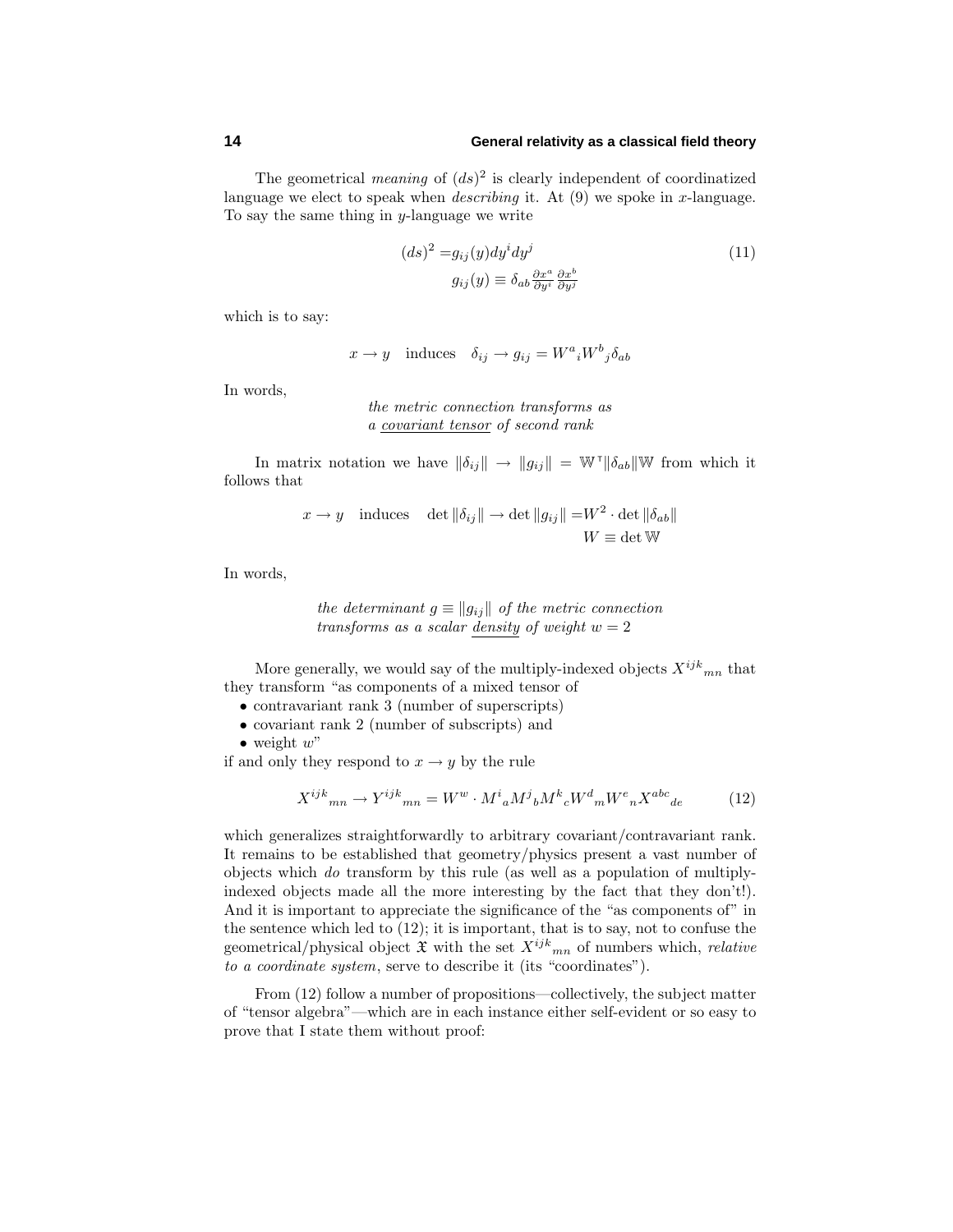The geometrical *meaning* of  $(ds)^2$  is clearly independent of coordinatized language we elect to speak when describing it. At (9) we spoke in *x*-language. To say the same thing in *y*-language we write

$$
(ds)^{2} = g_{ij}(y)dy^{i}dy^{j}
$$
  
\n
$$
g_{ij}(y) \equiv \delta_{ab} \frac{\partial x^{a}}{\partial y^{i}} \frac{\partial x^{b}}{\partial y^{j}}
$$
\n(11)

which is to say:

$$
x \to y
$$
 induces  $\delta_{ij} \to g_{ij} = W^a{}_i W^b{}_j \delta_{ab}$ 

In words,

the metric connection transforms as a covariant tensor of second rank

In matrix notation we have  $\|\delta_{ij}\| \to \|g_{ij}\| = \mathbb{W}^\top \|\delta_{ab}\| \mathbb{W}$  from which it follows that

$$
x \to y
$$
 induces  $\det \|\delta_{ij}\| \to \det \|g_{ij}\| = W^2 \cdot \det \|\delta_{ab}\|$   
 $W \equiv \det W$ 

In words,

the determinant 
$$
g \equiv ||g_{ij}||
$$
 of the metric connection  
transforms as a scalar density of weight  $w = 2$ 

More generally, we would say of the multiply-indexed objects  $X^{ijk}$ <sub>mn</sub> that they transform "as components of a mixed tensor of

- contravariant rank 3 (number of superscripts)
- covariant rank 2 (number of subscripts) and
- weight *w*"

if and only they respond to  $x \rightarrow y$  by the rule

$$
X^{ijk}_{mn} \rightarrow Y^{ijk}_{mn} = W^w \cdot M^i{}_a M^j{}_b M^k{}_c W^d{}_m W^e{}_n X^{abc}_{de} \tag{12}
$$

which generalizes straightforwardly to arbitrary covariant/contravariant rank. It remains to be established that geometry/physics present a vast number of objects which do transform by this rule (as well as a population of multiplyindexed objects made all the more interesting by the fact that they don't!). And it is important to appreciate the significance of the "as components of" in the sentence which led to (12); it is important, that is to say, not to confuse the geometrical/physical object  $\mathfrak X$  with the set  $X^{ijk}$ <sub>mn</sub> of numbers which, *relative* to a coordinate system, serve to describe it (its "coordinates").

From (12) follow a number of propositions—collectively, the subject matter of "tensor algebra"—which are in each instance either self-evident or so easy to prove that I state them without proof: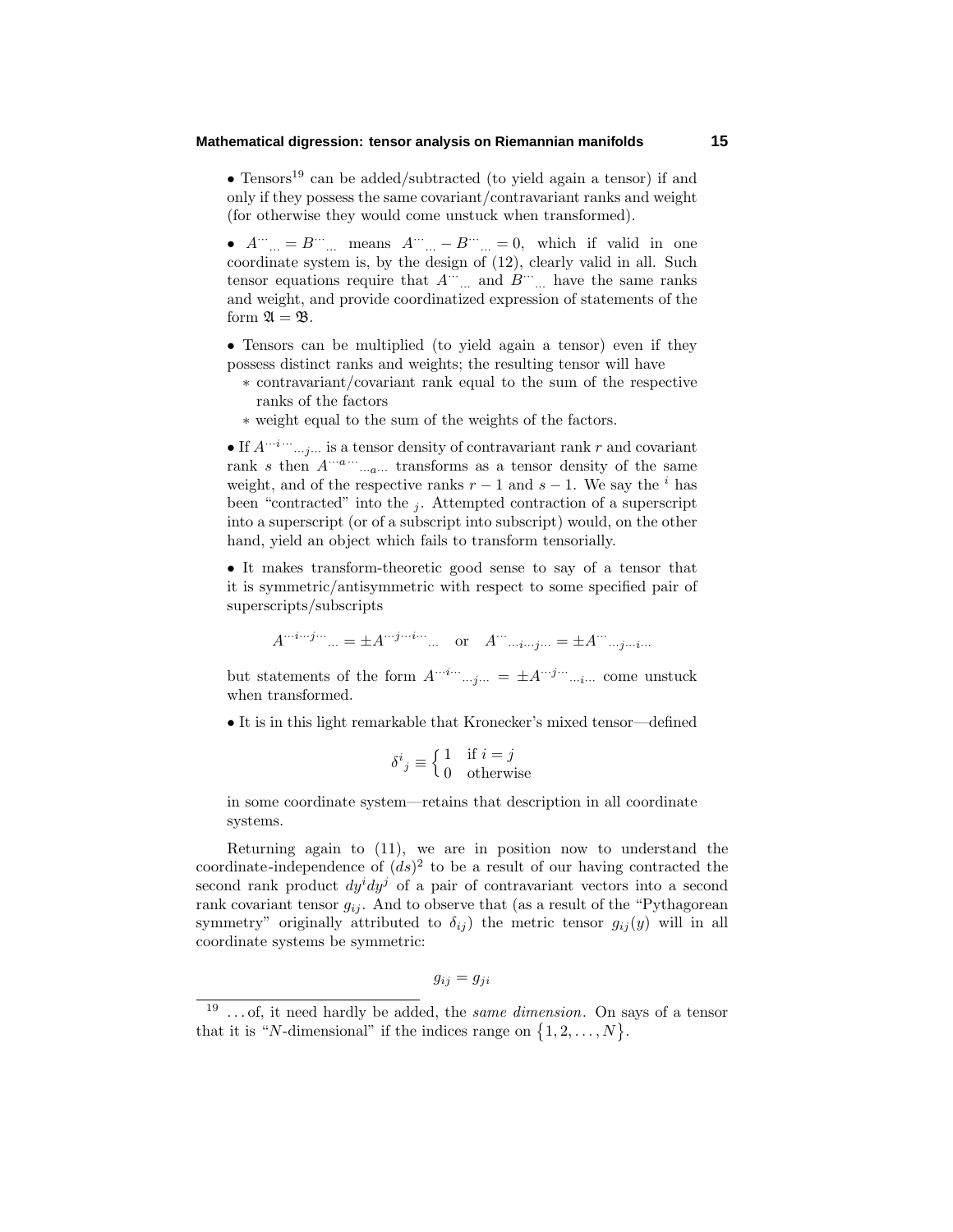• Tensors<sup>19</sup> can be added/subtracted (to yield again a tensor) if and only if they possess the same covariant/contravariant ranks and weight (for otherwise they would come unstuck when transformed).

•  $A^{\cdots}$  =  $B^{\cdots}$  means  $A^{\cdots}$  -  $B^{\cdots}$  = 0, which if valid in one coordinate system is, by the design of (12), clearly valid in all. Such tensor equations require that  $A^{\cdots}$  and  $B^{\cdots}$  have the same ranks and weight, and provide coordinatized expression of statements of the form  $\mathfrak{A} = \mathfrak{B}$ .

• Tensors can be multiplied (to yield again a tensor) even if they possess distinct ranks and weights; the resulting tensor will have

- ∗ contravariant/covariant rank equal to the sum of the respective ranks of the factors
- ∗ weight equal to the sum of the weights of the factors.

• If  $A^{n,i...}$ <sub>*i* $\ldots$ *j*<sup>*i*</sup></sub> is a tensor density of contravariant rank *r* and covariant rank *s* then  $A^{n}$ <sup>*n*</sup> $\ldots$ <sup>*a*</sup> $\ldots$ </sub>*a* $\ldots$  transforms as a tensor density of the same weight, and of the respective ranks  $r-1$  and  $s-1$ . We say the <sup>*i*</sup> has been "contracted" into the  $i$ . Attempted contraction of a superscript into a superscript (or of a subscript into subscript) would, on the other hand, yield an object which fails to transform tensorially.

• It makes transform-theoretic good sense to say of a tensor that it is symmetric/antisymmetric with respect to some specified pair of superscripts/subscripts

$$
A^{\cdots i\cdots j\cdots}\cdots = \pm A^{\cdots j\cdots i\cdots}\cdots \quad \text{or} \quad A^{\cdots}\cdots i\cdots j\cdots = \pm A^{\cdots}\cdots j\cdots i\cdots
$$

but statements of the form  $A^{n,i...}$ <sub>*i*</sub>... =  $\pm A^{n,j...}$ <sub>*i*</sub>... come unstuck when transformed.

• It is in this light remarkable that Kronecker's mixed tensor—defined

$$
\delta^i{}_j \equiv \begin{cases} 1 & \text{if } i = j \\ 0 & \text{otherwise} \end{cases}
$$

in some coordinate system—retains that description in all coordinate systems.

Returning again to (11), we are in position now to understand the coordinate-independence of  $(ds)^2$  to be a result of our having contracted the second rank product  $dy^i dy^j$  of a pair of contravariant vectors into a second rank covariant tensor  $g_{ij}$ . And to observe that (as a result of the "Pythagorean" symmetry" originally attributed to  $\delta_{ij}$  the metric tensor  $g_{ij}(y)$  will in all coordinate systems be symmetric:

$$
g_{ij}=g_{ji}\,
$$

<sup>19</sup> *...* of, it need hardly be added, the same dimension. On says of a tensor that it is "*N*-dimensional" if the indices range on  $\{1, 2, ..., N\}$ .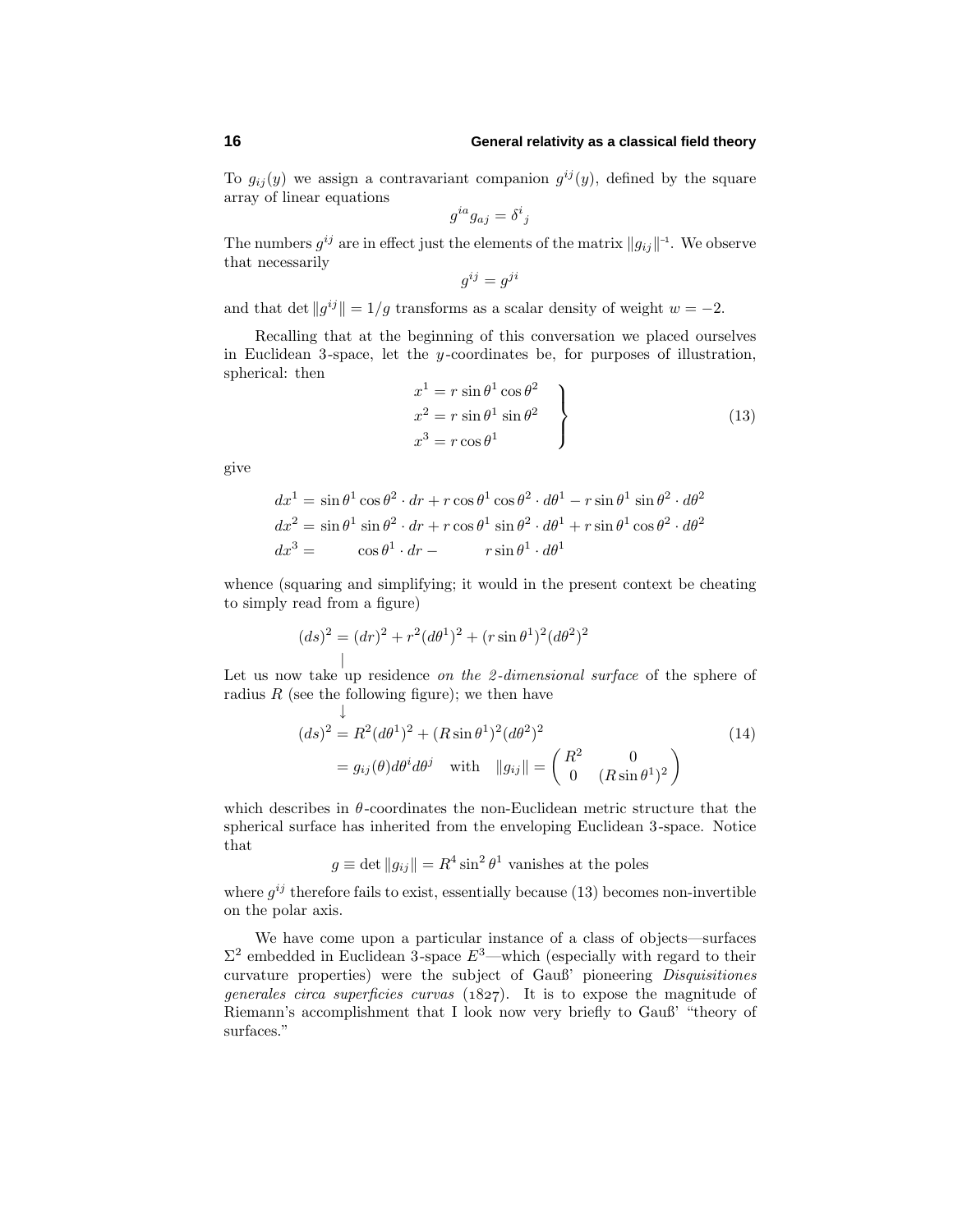To  $g_{ij}(y)$  we assign a contravariant companion  $g^{ij}(y)$ , defined by the square array of linear equations

$$
g^{ia}g_{aj}=\delta^i{}_j
$$

The numbers  $g^{ij}$  are in effect just the elements of the matrix  $||g_{ij}||^{-1}$ . We observe that necessarily

$$
g^{ij} = g^{ji}
$$

and that det  $||g^{ij}|| = 1/g$  transforms as a scalar density of weight  $w = -2$ .

Recalling that at the beginning of this conversation we placed ourselves in Euclidean 3-space, let the *y* -coordinates be, for purposes of illustration, spherical: then

$$
x^{1} = r \sin \theta^{1} \cos \theta^{2}
$$
  
\n
$$
x^{2} = r \sin \theta^{1} \sin \theta^{2}
$$
  
\n
$$
x^{3} = r \cos \theta^{1}
$$
\n(13)

give

$$
dx^{1} = \sin \theta^{1} \cos \theta^{2} \cdot dr + r \cos \theta^{1} \cos \theta^{2} \cdot d\theta^{1} - r \sin \theta^{1} \sin \theta^{2} \cdot d\theta^{2}
$$
  
\n
$$
dx^{2} = \sin \theta^{1} \sin \theta^{2} \cdot dr + r \cos \theta^{1} \sin \theta^{2} \cdot d\theta^{1} + r \sin \theta^{1} \cos \theta^{2} \cdot d\theta^{2}
$$
  
\n
$$
dx^{3} = \cos \theta^{1} \cdot dr - r \sin \theta^{1} \cdot d\theta^{1}
$$

whence (squaring and simplifying; it would in the present context be cheating to simply read from a figure)

$$
(ds)^{2} = (dr)^{2} + r^{2}(d\theta^{1})^{2} + (r\sin\theta^{1})^{2}(d\theta^{2})^{2}
$$

↓

Let us now take up residence *on the 2-dimensional surface* of the sphere of radius  $R$  (see the following figure); we then have

$$
(ds)^{2} = R^{2}(d\theta^{1})^{2} + (R\sin\theta^{1})^{2}(d\theta^{2})^{2}
$$
  
=  $g_{ij}(\theta)d\theta^{i}d\theta^{j}$  with  $||g_{ij}|| = \begin{pmatrix} R^{2} & 0\\ 0 & (R\sin\theta^{1})^{2} \end{pmatrix}$  (14)

which describes in *θ* -coordinates the non-Euclidean metric structure that the spherical surface has inherited from the enveloping Euclidean 3-space. Notice that

 $g \equiv \det ||g_{ij}|| = R^4 \sin^2 \theta^1$  vanishes at the poles

where  $g^{ij}$  therefore fails to exist, essentially because (13) becomes non-invertible on the polar axis.

We have come upon a particular instance of a class of objects—surfaces  $\Sigma^2$  embedded in Euclidean 3-space  $E^3$ —which (especially with regard to their curvature properties) were the subject of Gauß' pioneering Disquisitiones generales circa superficies curvas  $(1827)$ . It is to expose the magnitude of Riemann's accomplishment that I look now very briefly to Gauß' "theory of surfaces."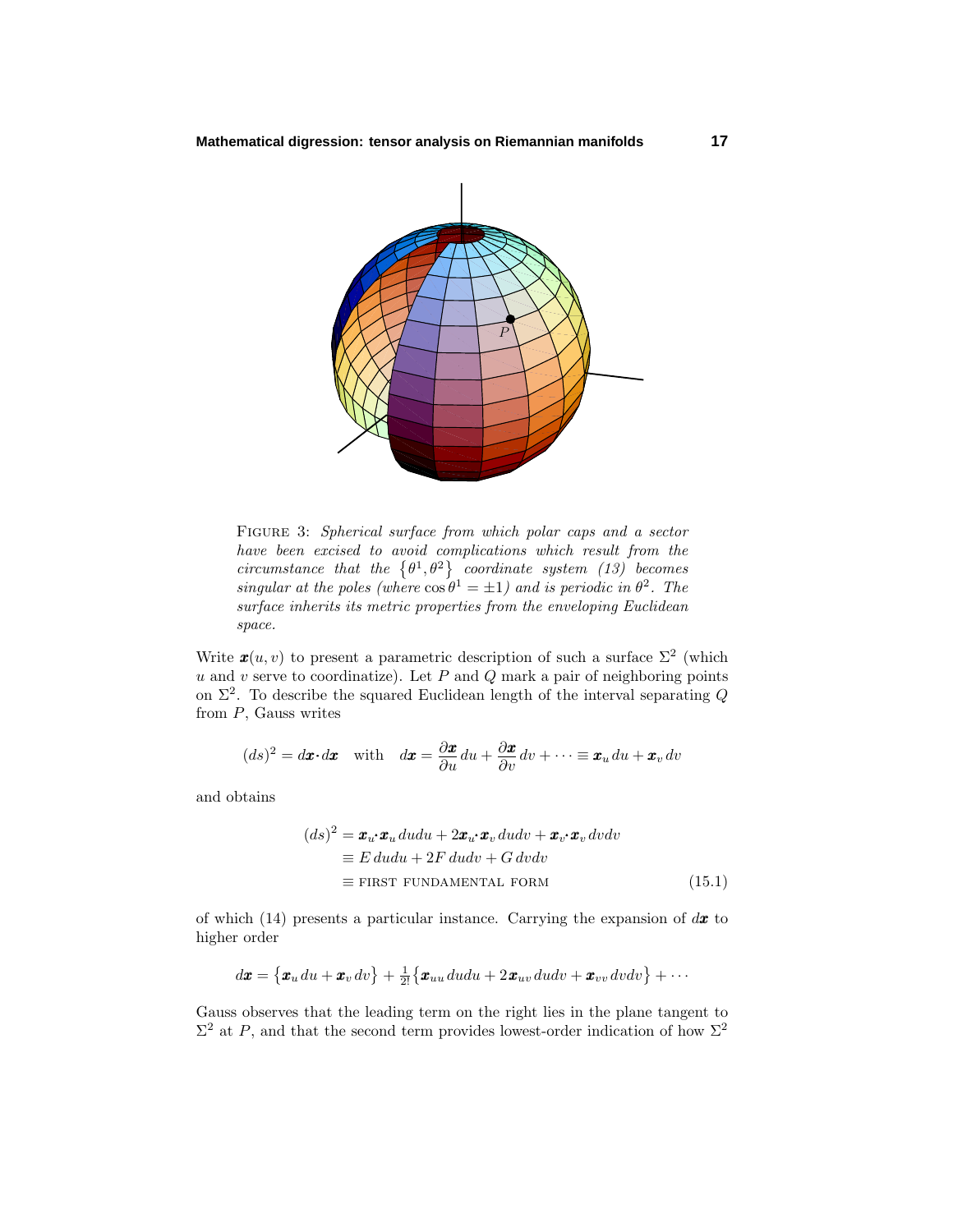

FIGURE 3: Spherical surface from which polar caps and a sector have been excised to avoid complications which result from the circumstance that the  $\{\theta^1, \theta^2\}$  coordinate system (13) becomes singular at the poles (where  $\cos \theta^1 = \pm 1$ ) and is periodic in  $\theta^2$ . The surface inherits its metric properties from the enveloping Euclidean space.

Write  $\mathbf{x}(u, v)$  to present a parametric description of such a surface  $\Sigma^2$  (which *u* and *v* serve to coordinatize). Let *P* and *Q* mark a pair of neighboring points on Σ<sup>2</sup>. To describe the squared Euclidean length of the interval separating *Q* from *P*, Gauss writes

$$
(ds)^{2} = d\boldsymbol{x} \cdot d\boldsymbol{x} \quad \text{with} \quad d\boldsymbol{x} = \frac{\partial \boldsymbol{x}}{\partial u} du + \frac{\partial \boldsymbol{x}}{\partial v} dv + \cdots \equiv \boldsymbol{x}_{u} du + \boldsymbol{x}_{v} dv
$$

and obtains

$$
(ds)^{2} = \mathbf{x}_{u} \cdot \mathbf{x}_{u} dudu + 2\mathbf{x}_{u} \cdot \mathbf{x}_{v} dudv + \mathbf{x}_{v} \cdot \mathbf{x}_{v} dvdv
$$
  
\n
$$
\equiv E du du + 2F du dv + G dv dv
$$
  
\n
$$
\equiv \text{FIRST FUNDAMENTAL FORM}
$$
 (15.1)

of which (14) presents a particular instance. Carrying the expansion of *dx* to higher order

$$
d\pmb{x}=\left\{\pmb{x}_{u}du+\pmb{x}_{v}dv\right\}+\tfrac{1}{2!}\left\{\pmb{x}_{uu}\,dudu+2\pmb{x}_{uv}\,dudv+\pmb{x}_{vv}\,dvdv\right\}+\cdots
$$

Gauss observes that the leading term on the right lies in the plane tangent to  $\Sigma^2$  at *P*, and that the second term provides lowest-order indication of how  $\Sigma^2$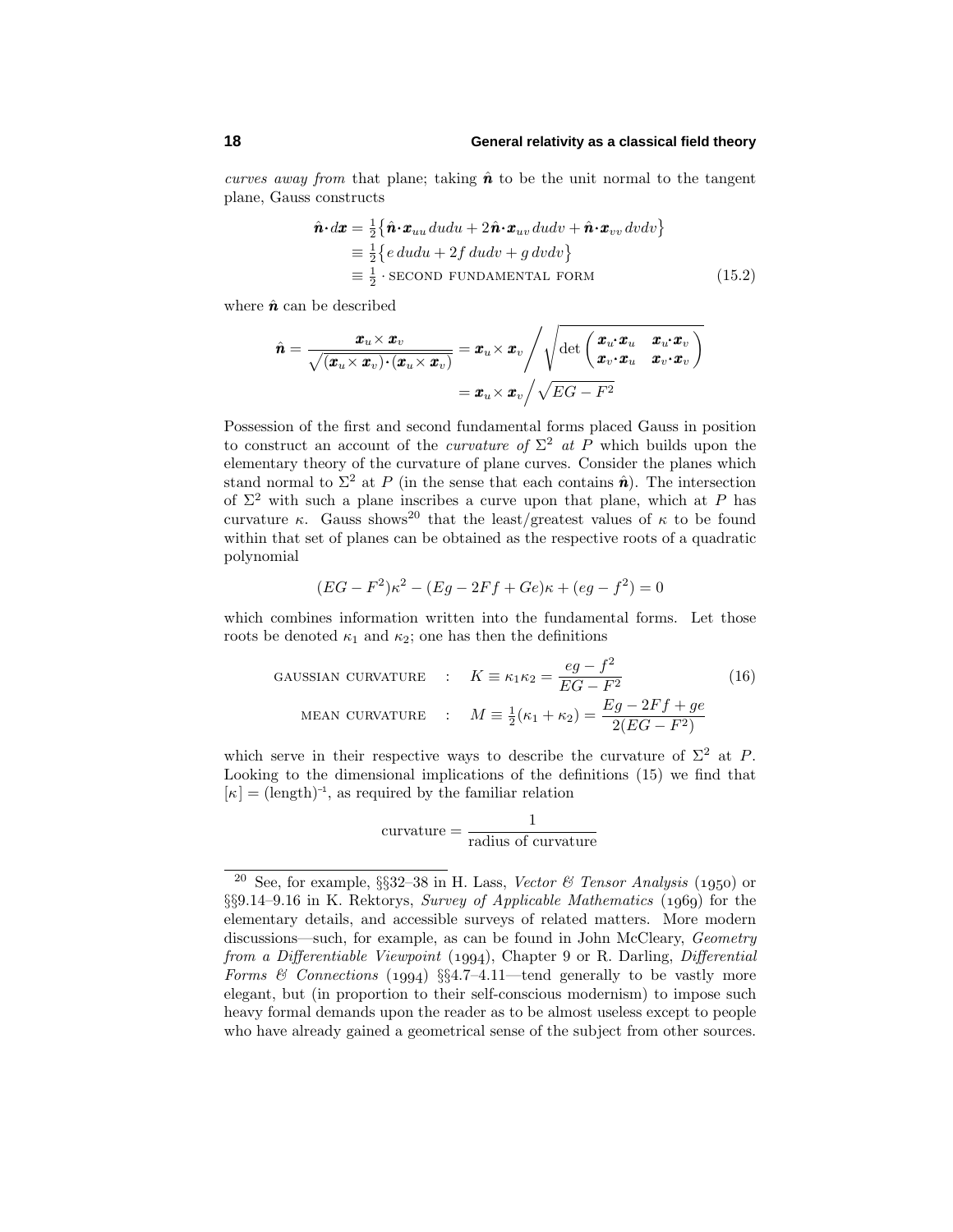curves away from that plane; taking  $\hat{\boldsymbol{n}}$  to be the unit normal to the tangent plane, Gauss constructs

$$
\hat{\mathbf{n}} \cdot d\mathbf{x} = \frac{1}{2} \{ \hat{\mathbf{n}} \cdot \mathbf{x}_{uu} du du + 2 \hat{\mathbf{n}} \cdot \mathbf{x}_{uv} du dv + \hat{\mathbf{n}} \cdot \mathbf{x}_{vv} dv dv \}
$$
\n
$$
\equiv \frac{1}{2} \{ e du du + 2f du dv + g dv dv \}
$$
\n
$$
\equiv \frac{1}{2} \cdot \text{SECOND FUNDAMENTAL FORM}
$$
\n(15.2)

where  $\hat{\boldsymbol{n}}$  can be described

$$
\hat{\boldsymbol{n}} = \frac{\boldsymbol{x}_u \times \boldsymbol{x}_v}{\sqrt{(\boldsymbol{x}_u \times \boldsymbol{x}_v) \cdot (\boldsymbol{x}_u \times \boldsymbol{x}_v)}} = \boldsymbol{x}_u \times \boldsymbol{x}_v \Bigg/ \sqrt{\det \begin{pmatrix} \boldsymbol{x}_u \cdot \boldsymbol{x}_u & \boldsymbol{x}_u \cdot \boldsymbol{x}_v \\ \boldsymbol{x}_v \cdot \boldsymbol{x}_u & \boldsymbol{x}_v \cdot \boldsymbol{x}_v \end{pmatrix}} \\ = \boldsymbol{x}_u \times \boldsymbol{x}_v \Bigg/ \sqrt{EG - F^2}
$$

Possession of the first and second fundamental forms placed Gauss in position to construct an account of the *curvature of*  $\Sigma^2$  at *P* which builds upon the elementary theory of the curvature of plane curves. Consider the planes which stand normal to  $\Sigma^2$  at *P* (in the sense that each contains  $\hat{\boldsymbol{n}}$ ). The intersection of  $\Sigma^2$  with such a plane inscribes a curve upon that plane, which at *P* has curvature *κ*. Gauss shows<sup>20</sup> that the least/greatest values of  $\kappa$  to be found within that set of planes can be obtained as the respective roots of a quadratic polynomial

$$
(EG - F2)\kappa2 - (Eg - 2Ff + Ge)\kappa + (eg - f2) = 0
$$

which combines information written into the fundamental forms. Let those roots be denoted  $\kappa_1$  and  $\kappa_2$ ; one has then the definitions

GAUSSIAN CURVATURE : 
$$
K \equiv \kappa_1 \kappa_2 = \frac{eg - f^2}{EG - F^2}
$$
 (16)  
MEAN CURVATURE :  $M \equiv \frac{1}{2}(\kappa_1 + \kappa_2) = \frac{Eg - 2Ff + ge}{2(EG - F^2)}$ 

which serve in their respective ways to describe the curvature of  $\Sigma^2$  at *P*. Looking to the dimensional implications of the definitions (15) we find that  $[\kappa] = (\text{length})^{-1}$ , as required by the familiar relation

$$
curvature = \frac{1}{radius of curvature}
$$

<sup>&</sup>lt;sup>20</sup> See, for example, §§32–38 in H. Lass, *Vector & Tensor Analysis* (1950) or  $\S 9.14-9.16$  in K. Rektorys, *Survey of Applicable Mathematics* (1969) for the elementary details, and accessible surveys of related matters. More modern discussions—such, for example, as can be found in John McCleary, Geometry from a Differentiable Viewpoint  $(1994)$ , Chapter 9 or R. Darling, Differential Forms  $\mathcal B$  Connections (1994) §§4.7–4.11—tend generally to be vastly more elegant, but (in proportion to their self-conscious modernism) to impose such heavy formal demands upon the reader as to be almost useless except to people who have already gained a geometrical sense of the subject from other sources.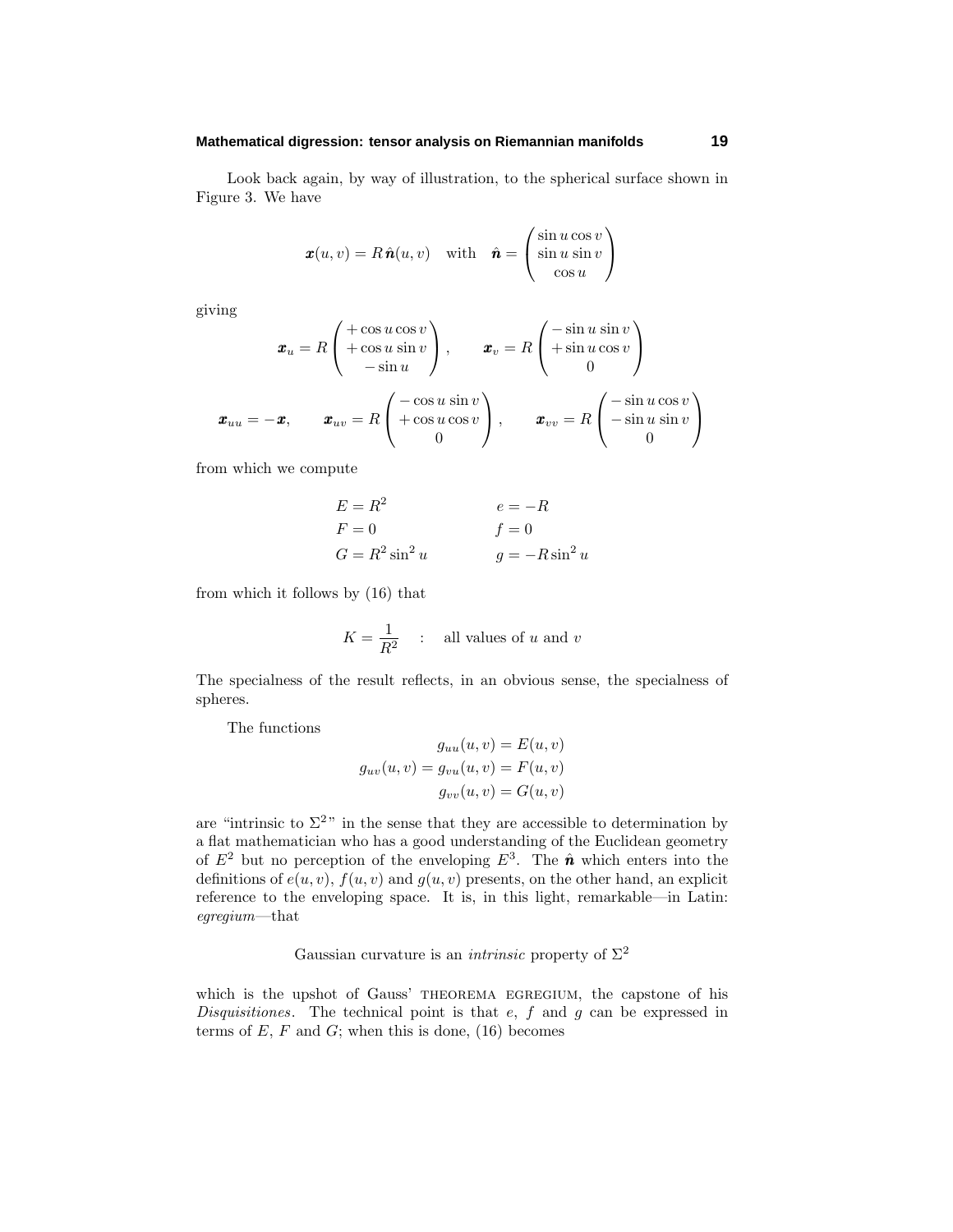Look back again, by way of illustration, to the spherical surface shown in Figure 3. We have

$$
\mathbf{x}(u,v) = R\,\hat{\mathbf{n}}(u,v) \quad \text{with} \quad \hat{\mathbf{n}} = \begin{pmatrix} \sin u \cos v \\ \sin u \sin v \\ \cos u \end{pmatrix}
$$

giving

$$
\boldsymbol{x}_{u} = R \begin{pmatrix} +\cos u \cos v \\ +\cos u \sin v \\ -\sin u \end{pmatrix}, \qquad \boldsymbol{x}_{v} = R \begin{pmatrix} -\sin u \sin v \\ +\sin u \cos v \\ 0 \end{pmatrix}
$$

$$
\boldsymbol{x}_{uu} = -\boldsymbol{x}, \qquad \boldsymbol{x}_{uv} = R \begin{pmatrix} -\cos u \sin v \\ +\cos u \cos v \\ 0 \end{pmatrix}, \qquad \boldsymbol{x}_{vv} = R \begin{pmatrix} -\sin u \cos v \\ -\sin u \sin v \\ 0 \end{pmatrix}
$$

from which we compute

$$
E = R2
$$
  
\n
$$
F = 0
$$
  
\n
$$
G = R2 sin2 u
$$
  
\n
$$
e = -R
$$
  
\n
$$
f = 0
$$
  
\n
$$
g = -R sin2 u
$$

from which it follows by (16) that

$$
K = \frac{1}{R^2} \quad \text{: all values of } u \text{ and } v
$$

The specialness of the result reflects, in an obvious sense, the specialness of spheres.

The functions

$$
g_{uu}(u, v) = E(u, v)
$$

$$
g_{uv}(u, v) = g_{vu}(u, v) = F(u, v)
$$

$$
g_{vv}(u, v) = G(u, v)
$$

are "intrinsic to  $\Sigma^2$ " in the sense that they are accessible to determination by a flat mathematician who has a good understanding of the Euclidean geometry of  $E^2$  but no perception of the enveloping  $E^3$ . The  $\hat{\boldsymbol{n}}$  which enters into the definitions of  $e(u, v)$ ,  $f(u, v)$  and  $g(u, v)$  presents, on the other hand, an explicit reference to the enveloping space. It is, in this light, remarkable—in Latin: egregium—that

Gaussian curvature is an *intrinsic* property of  $\Sigma^2$ 

which is the upshot of Gauss' THEOREMA EGREGIUM, the capstone of his Disquisitiones. The technical point is that *e*, *f* and *g* can be expressed in terms of  $E$ ,  $F$  and  $G$ ; when this is done, (16) becomes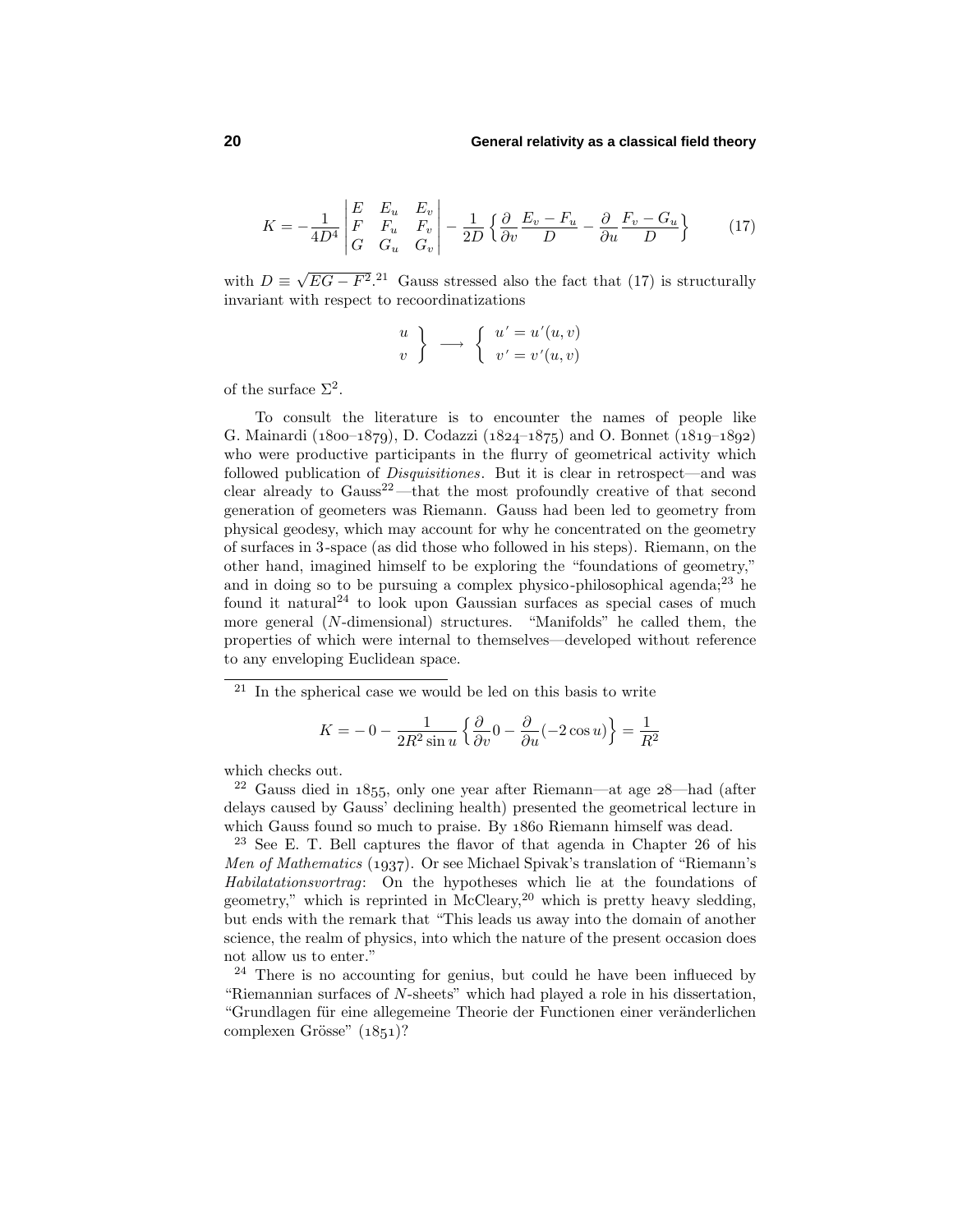$$
K = -\frac{1}{4D^4} \begin{vmatrix} E & E_u & E_v \\ F & F_u & F_v \\ G & G_u & G_v \end{vmatrix} - \frac{1}{2D} \left\{ \frac{\partial}{\partial v} \frac{E_v - F_u}{D} - \frac{\partial}{\partial u} \frac{F_v - G_u}{D} \right\}
$$
(17)

with  $D \equiv \sqrt{EG - F^2}$ .<sup>21</sup> Gauss stressed also the fact that (17) is structurally invariant with respect to recoordinatizations

$$
\left.\begin{array}{c} u\\v\end{array}\right\}\ \longrightarrow\ \left\{\begin{array}{c} u'=u'(u,v)\\v'=v'(u,v)\end{array}\right.
$$

of the surface  $\Sigma^2$ .

To consult the literature is to encounter the names of people like G. Mainardi ( $1800-1879$ ), D. Codazzi ( $1824-1875$ ) and O. Bonnet ( $1819-1892$ ) who were productive participants in the flurry of geometrical activity which followed publication of Disquisitiones. But it is clear in retrospect—and was clear already to  $Gauss^{22}$ —that the most profoundly creative of that second generation of geometers was Riemann. Gauss had been led to geometry from physical geodesy, which may account for why he concentrated on the geometry of surfaces in 3-space (as did those who followed in his steps). Riemann, on the other hand, imagined himself to be exploring the "foundations of geometry," and in doing so to be pursuing a complex physico-philosophical agenda;  $23$  he found it natural<sup>24</sup> to look upon Gaussian surfaces as special cases of much more general (*N*-dimensional) structures. "Manifolds" he called them, the properties of which were internal to themselves—developed without reference to any enveloping Euclidean space.

In the spherical case we would be led on this basis to write

$$
K = -0 - \frac{1}{2R^2 \sin u} \left\{ \frac{\partial}{\partial v} 0 - \frac{\partial}{\partial u} (-2 \cos u) \right\} = \frac{1}{R^2}
$$

which checks out.

 $22$  Gauss died in 1855, only one year after Riemann—at age  $28$ —had (after delays caused by Gauss' declining health) presented the geometrical lecture in which Gauss found so much to praise. By 1860 Riemann himself was dead.

<sup>23</sup> See E. T. Bell captures the flavor of that agenda in Chapter 26 of his Men of Mathematics  $(1937)$ . Or see Michael Spivak's translation of "Riemann's Habilatationsvortrag: On the hypotheses which lie at the foundations of geometry," which is reprinted in McCleary, $^{20}$  which is pretty heavy sledding, but ends with the remark that "This leads us away into the domain of another science, the realm of physics, into which the nature of the present occasion does not allow us to enter."

<sup>24</sup> There is no accounting for genius, but could he have been influeded by "Riemannian surfaces of *N*-sheets" which had played a role in his dissertation, "Grundlagen für eine allegemeine Theorie der Functionen einer veränderlichen complexen Grösse"  $(1851)$ ?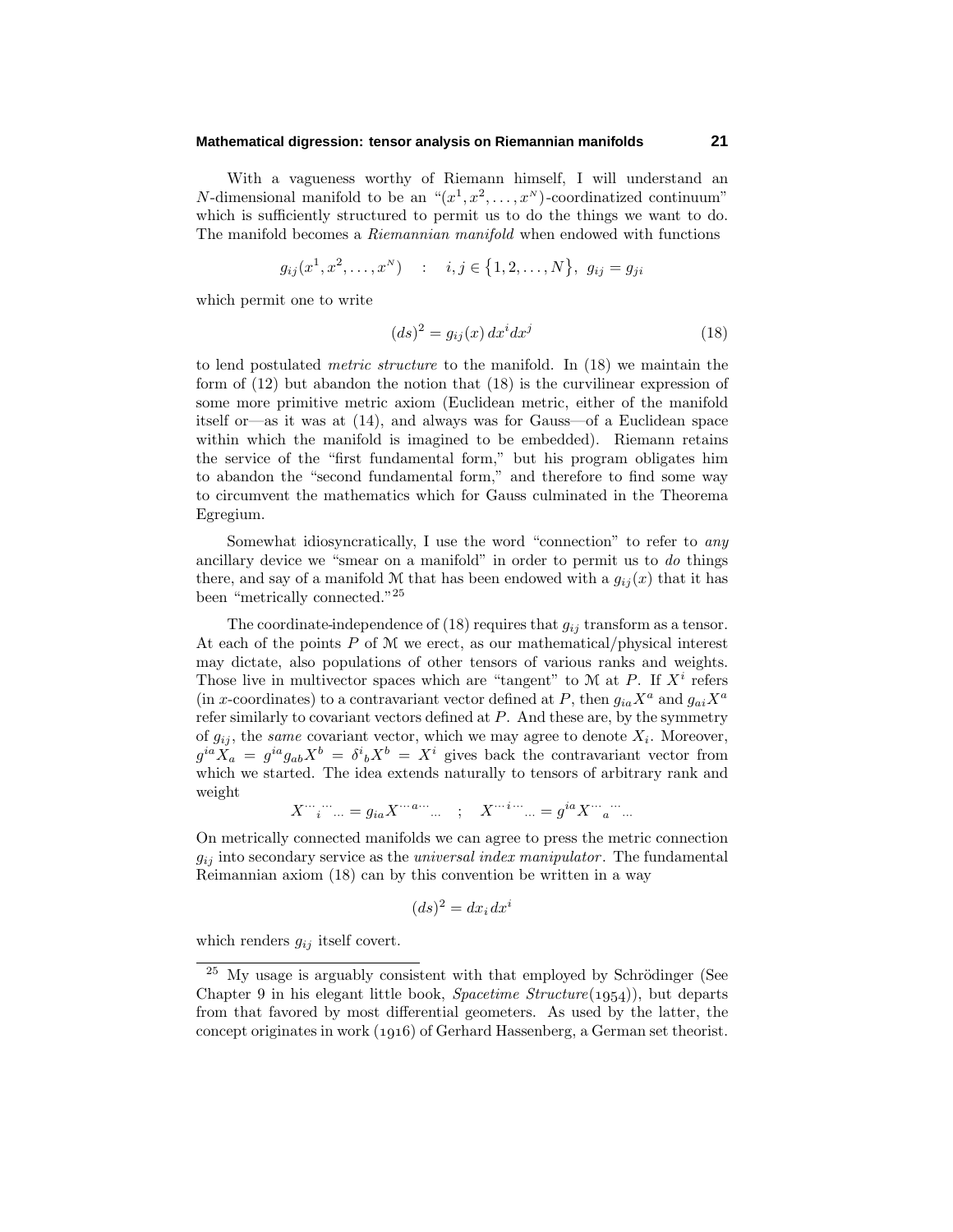With a vagueness worthy of Riemann himself, I will understand an *N*-dimensional manifold to be an  $\binom{n}{x}$ ,  $\binom{n}{x}$ ,  $\ldots$ ,  $\binom{n}{x}$  -coordinatized continuum" which is sufficiently structured to permit us to do the things we want to do. The manifold becomes a *Riemannian manifold* when endowed with functions

$$
g_{ij}(x^1, x^2, \dots, x^N) \quad : \quad i, j \in \{1, 2, \dots, N\}, \ \ g_{ij} = g_{ji}
$$

which permit one to write

$$
(ds)^2 = g_{ij}(x) dx^i dx^j \tag{18}
$$

to lend postulated metric structure to the manifold. In (18) we maintain the form of (12) but abandon the notion that (18) is the curvilinear expression of some more primitive metric axiom (Euclidean metric, either of the manifold itself or—as it was at (14), and always was for Gauss—of a Euclidean space within which the manifold is imagined to be embedded). Riemann retains the service of the "first fundamental form," but his program obligates him to abandon the "second fundamental form," and therefore to find some way to circumvent the mathematics which for Gauss culminated in the Theorema Egregium.

Somewhat idiosyncratically, I use the word "connection" to refer to any ancillary device we "smear on a manifold" in order to permit us to do things there, and say of a manifold M that has been endowed with a  $g_{ij}(x)$  that it has been "metrically connected."<sup>25</sup>

The coordinate-independence of  $(18)$  requires that  $g_{ij}$  transform as a tensor. At each of the points *P* of M we erect, as our mathematical/physical interest may dictate, also populations of other tensors of various ranks and weights. Those live in multivector spaces which are "tangent" to  $\mathcal M$  at  $P$ . If  $X^i$  refers  $(\text{in } x\text{-coordinates})$  to a contravariant vector defined at *P*, then  $g_{ia}X^a$  and  $g_{ai}X^a$ refer similarly to covariant vectors defined at *P*. And these are, by the symmetry of  $g_{ij}$ , the same covariant vector, which we may agree to denote  $X_i$ . Moreover,  $g^{ia}X_a = g^{ia}g_{ab}X^b = \delta^i{}_bX^b = X^i$  gives back the contravariant vector from which we started. The idea extends naturally to tensors of arbitrary rank and weight

$$
X^{\cdots} \cdots = g_{ia} X^{\cdots a \cdots} \cdots \quad ; \quad X^{\cdots i \cdots} \cdots = g^{ia} X^{\cdots} \cdots \cdots
$$

On metrically connected manifolds we can agree to press the metric connection  $g_{ij}$  into secondary service as the *universal index manipulator*. The fundamental Reimannian axiom (18) can by this convention be written in a way

$$
(ds)^2 = dx_i \, dx^i
$$

which renders  $g_{ij}$  itself covert.

 $25$  My usage is arguably consistent with that employed by Schrödinger (See Chapter 9 in his elegant little book, Spacetime Structure(1954)), but departs from that favored by most differential geometers. As used by the latter, the concept originates in work  $(1916)$  of Gerhard Hassenberg, a German set theorist.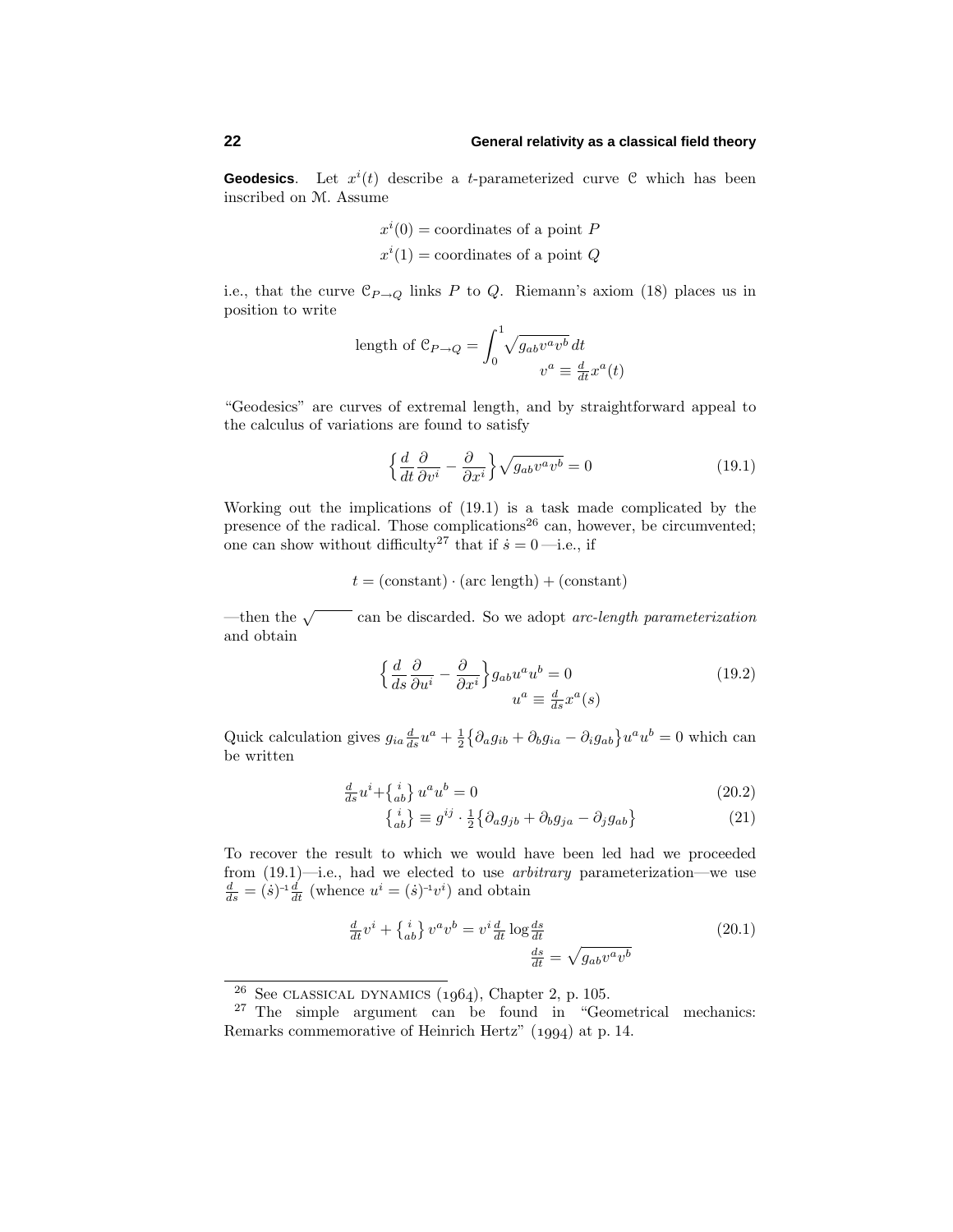**Geodesics**. Let  $x^i(t)$  describe a *t*-parameterized curve C which has been inscribed on M. Assume

$$
x^{i}(0) = \text{coordinates of a point } P
$$
  

$$
x^{i}(1) = \text{coordinates of a point } Q
$$

i.e., that the curve  $\mathcal{C}_{P\to Q}$  links *P* to *Q*. Riemann's axiom (18) places us in position to write

length of 
$$
\mathcal{C}_{P\to Q} = \int_0^1 \sqrt{g_{ab}v^av^b} dt
$$
  

$$
v^a \equiv \frac{d}{dt}x^a(t)
$$

"Geodesics" are curves of extremal length, and by straightforward appeal to the calculus of variations are found to satisfy

$$
\left\{ \frac{d}{dt} \frac{\partial}{\partial v^i} - \frac{\partial}{\partial x^i} \right\} \sqrt{g_{ab} v^a v^b} = 0 \tag{19.1}
$$

Working out the implications of (19.1) is a task made complicated by the presence of the radical. Those complications<sup>26</sup> can, however, be circumvented; one can show without difficulty<sup>27</sup> that if  $\dot{s} = 0$ —i.e., if

 $t = (constant) \cdot (arc length) + (constant)$ 

—then the  $\sqrt{\phantom{a}}$  can be discarded. So we adopt arc-length parameterization and obtain

$$
\left\{\frac{d}{ds}\frac{\partial}{\partial u^i} - \frac{\partial}{\partial x^i}\right\}g_{ab}u^a u^b = 0
$$
\n
$$
u^a \equiv \frac{d}{ds}x^a(s)
$$
\n(19.2)

Quick calculation gives  $g_{ia}\frac{d}{ds}u^a + \frac{1}{2}\{\partial_a g_{ib} + \partial_b g_{ia} - \partial_i g_{ab}\}u^a u^b = 0$  which can be written

$$
\frac{d}{ds}u^i + \left\{\frac{i}{ab}\right\}u^a u^b = 0\tag{20.2}
$$

$$
\{_{ab}^{i}\} \equiv g^{ij} \cdot \frac{1}{2} \{ \partial_a g_{jb} + \partial_b g_{ja} - \partial_j g_{ab} \}
$$
 (21)

To recover the result to which we would have been led had we proceeded from  $(19.1)$ —i.e., had we elected to use *arbitrary* parameterization—we use  $\frac{d}{ds} = (\dot{s})^{-1} \frac{d}{dt}$  (whence  $u^i = (\dot{s})^{-1} v^i$ ) and obtain

$$
\frac{d}{dt}v^i + \begin{Bmatrix} i \\ ab \end{Bmatrix} v^a v^b = v^i \frac{d}{dt} \log \frac{ds}{dt}
$$
\n
$$
\frac{ds}{dt} = \sqrt{g_{ab}v^a v^b}
$$
\n(20.1)

 $\frac{26}{26}$  See CLASSICAL DYNAMICS (1964), Chapter 2, p. 105.

<sup>&</sup>lt;sup>27</sup> The simple argument can be found in "Geometrical mechanics: Remarks commemorative of Heinrich Hertz"  $(1994)$  at p. 14.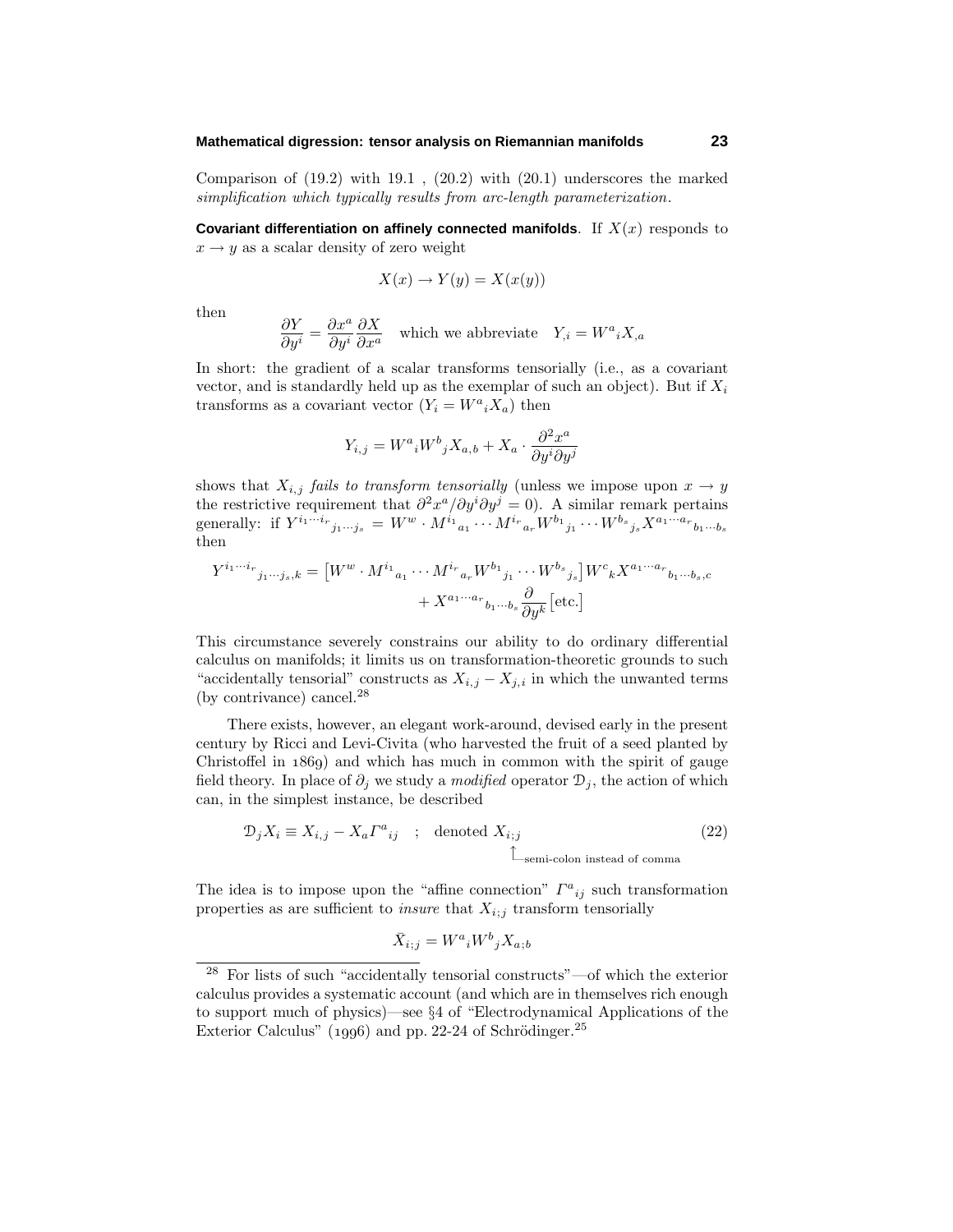Comparison of (19.2) with 19.1 , (20.2) with (20.1) underscores the marked simplification which typically results from arc-length parameterization.

**Covariant differentiation on affinely connected manifolds**. If *X*(*x*) responds to  $x \rightarrow y$  as a scalar density of zero weight

$$
X(x) \to Y(y) = X(x(y))
$$

then

$$
\frac{\partial Y}{\partial y^i} = \frac{\partial x^a}{\partial y^i} \frac{\partial X}{\partial x^a}
$$
 which we abbreviate  $Y_{,i} = W^a_{,i} X_{,a}$ 

In short: the gradient of a scalar transforms tensorially (i.e., as a covariant vector, and is standardly held up as the exemplar of such an object). But if *X<sup>i</sup>* transforms as a covariant vector  $(Y_i = W^a_i X_a)$  then

$$
Y_{i,j} = W^a{}_i W^b{}_j X_{a,b} + X_a \cdot \frac{\partial^2 x^a}{\partial y^i \partial y^j}
$$

shows that  $X_{i,j}$  fails to transform tensorially (unless we impose upon  $x \to y$ the restrictive requirement that  $\partial^2 x^a / \partial y^i \partial y^j = 0$ . A similar remark pertains generally: if  $Y^{i_1...i_r}{}_{j_1...j_s} = W^w \cdot M^{i_1}{}_{a_1} \cdots M^{i_r}{}_{a_r} W^{b_1}{}_{j_1} \cdots W^{b_s}{}_{j_s} X^{a_1...a_r}{}_{b_1...b_s}$ then

$$
Y^{i_1\cdots i_r}{}_{j_1\cdots j_s,k} = [W^w \cdot M^{i_1}{}_{a_1}\cdots M^{i_r}{}_{a_r}W^{b_1}{}_{j_1}\cdots W^{b_s}{}_{j_s}]W^c{}_kX^{a_1\cdots a_r}{}_{b_1\cdots b_s,c}
$$

$$
+ X^{a_1\cdots a_r}{}_{b_1\cdots b_s}\frac{\partial}{\partial y^k}[\text{etc.}]
$$

This circumstance severely constrains our ability to do ordinary differential calculus on manifolds; it limits us on transformation-theoretic grounds to such "accidentally tensorial" constructs as  $X_{i,j} - X_{j,i}$  in which the unwanted terms (by contrivance) cancel.<sup>28</sup>

There exists, however, an elegant work-around, devised early in the present century by Ricci and Levi-Civita (who harvested the fruit of a seed planted by Christoffel in  $1869$ ) and which has much in common with the spirit of gauge field theory. In place of  $\partial_i$  we study a *modified* operator  $\mathcal{D}_i$ , the action of which can, in the simplest instance, be described

$$
\mathcal{D}_j X_i \equiv X_{i,j} - X_a \Gamma^a{}_{ij} \quad ; \quad \text{denoted } X_{i;j} \tag{22}
$$
\n
$$
\begin{array}{ccc}\n\text{1} & \text{1} & \text{2} \\
\text{2} & \text{3} & \text{4} \\
\text{3} & \text{4} & \text{5} \\
\text{4} & \text{6} & \text{6} \\
\text{5} & \text{6} & \text{6} \\
\text{7} & \text{7} & \text{7}\n\end{array}
$$

The idea is to impose upon the "affine connection"  $\Gamma^a{}_{ij}$  such transformation properties as are sufficient to *insure* that  $X_{i,j}$  transform tensorially

$$
\bar{X}_{i;j} = W^a{}_i W^b{}_j X_{a;b}
$$

<sup>28</sup> For lists of such "accidentally tensorial constructs"—of which the exterior calculus provides a systematic account (and which are in themselves rich enough to support much of physics)—see §4 of "Electrodynamical Applications of the Exterior Calculus" (1996) and pp. 22-24 of Schrödinger.<sup>25</sup>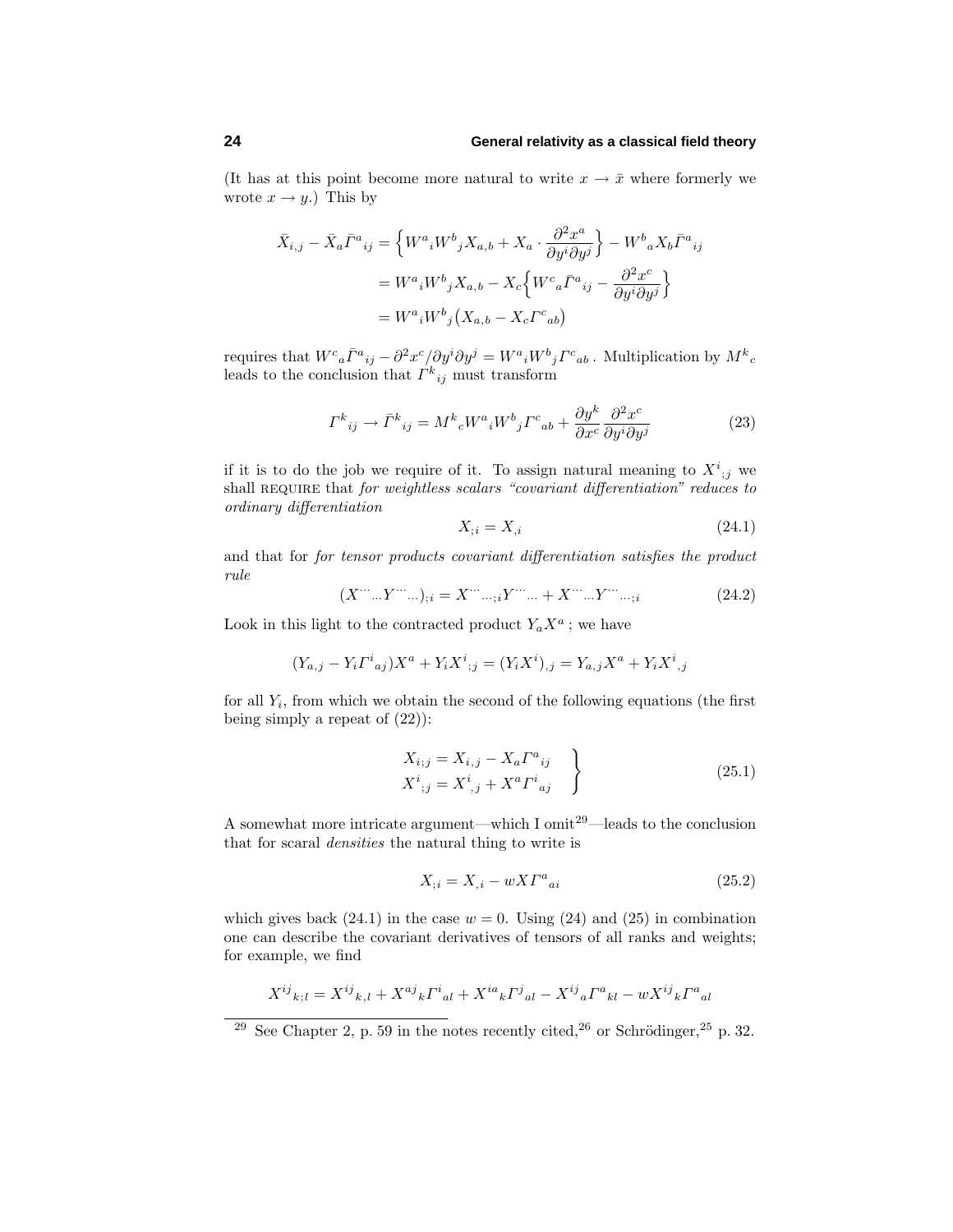(It has at this point become more natural to write  $x \to \bar{x}$  where formerly we wrote  $x \to y$ .) This by

$$
\bar{X}_{i,j} - \bar{X}_a \bar{\Gamma}^a{}_{ij} = \left\{ W^a{}_i W^b{}_j X_{a,b} + X_a \cdot \frac{\partial^2 x^a}{\partial y^i \partial y^j} \right\} - W^b{}_a X_b \bar{\Gamma}^a{}_{ij}
$$
\n
$$
= W^a{}_i W^b{}_j X_{a,b} - X_c \left\{ W^c{}_a \bar{\Gamma}^a{}_{ij} - \frac{\partial^2 x^c}{\partial y^i \partial y^j} \right\}
$$
\n
$$
= W^a{}_i W^b{}_j (X_{a,b} - X_c \Gamma^c{}_{ab})
$$

requires that  $W^c{}_a \bar{\Gamma}^a{}_{ij} - \partial^2 x^c / \partial y^i \partial y^j = W^a{}_i W^b{}_j \Gamma^c{}_{ab}$ . Multiplication by  $M^k{}_c$ <br>leads to the conclusion that  $\Gamma^k{}_{ij}$  must transform

$$
\Gamma^{k}_{\ \ ij} \to \bar{\Gamma}^{k}_{\ \ ij} = M^{k}_{\ c} W^{a}_{\ \ i} W^{b}_{\ \ j} \Gamma^{c}_{\ \ ab} + \frac{\partial y^{k}}{\partial x^{c}} \frac{\partial^{2} x^{c}}{\partial y^{i} \partial y^{j}} \tag{23}
$$

if it is to do the job we require of it. To assign natural meaning to  $X^i_{;j}$  we shall REQUIRE that for weightless scalars "covariant differentiation" reduces to ordinary differentiation

$$
X_{;i} = X_{,i} \tag{24.1}
$$

and that for for tensor products covariant differentiation satisfies the product rule

$$
(X^{\cdots}...Y^{\cdots}...)_{;i} = X^{\cdots}..._{;i}Y^{\cdots}...+X^{\cdots}...Y^{\cdots}..._{;i}
$$
 (24.2)

Look in this light to the contracted product  $Y_a X^a$ ; we have

$$
(Y_{a,j} - Y_i \Gamma^i_{aj}) X^a + Y_i X^i_{;j} = (Y_i X^i)_{,j} = Y_{a,j} X^a + Y_i X^i_{,j}
$$

for all  $Y_i$ , from which we obtain the second of the following equations (the first being simply a repeat of  $(22)$ :

$$
X_{i;j} = X_{i,j} - X_a T^a{}_{ij}
$$
  
\n
$$
X^i{}_{;j} = X^i{}_{,j} + X^a T^i{}_{aj}
$$
\n(25.1)

A somewhat more intricate argument—which I omit<sup>29</sup>—leads to the conclusion that for scaral densities the natural thing to write is

$$
X_{;i} = X_{,i} - wXT^a{}_{ai} \tag{25.2}
$$

which gives back  $(24.1)$  in the case  $w = 0$ . Using  $(24)$  and  $(25)$  in combination one can describe the covariant derivatives of tensors of all ranks and weights; for example, we find

$$
X^{ij}{}_{k;l} = X^{ij}{}_{k,l} + X^{aj}{}_{k} \Gamma^{i}{}_{al} + X^{ia}{}_{k} \Gamma^{j}{}_{al} - X^{ij}{}_{a} \Gamma^{a}{}_{kl} - w X^{ij}{}_{k} \Gamma^{a}{}_{al}
$$

<sup>&</sup>lt;sup>29</sup> See Chapter 2, p. 59 in the notes recently cited,<sup>26</sup> or Schrödinger,<sup>25</sup> p. 32.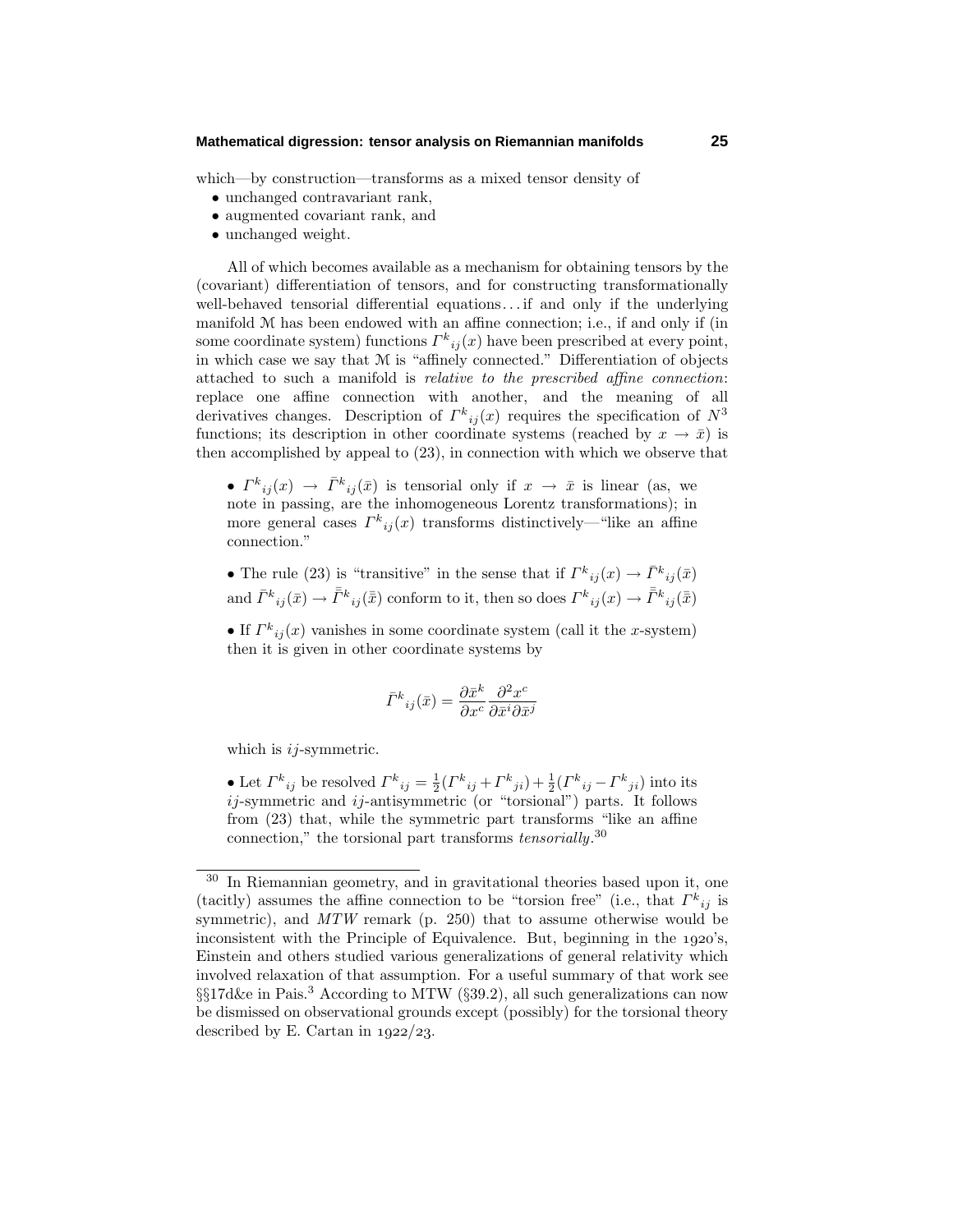which—by construction—transforms as a mixed tensor density of

- unchanged contravariant rank,
- augmented covariant rank, and
- unchanged weight.

All of which becomes available as a mechanism for obtaining tensors by the (covariant) differentiation of tensors, and for constructing transformationally well-behaved tensorial differential equations*...* if and only if the underlying manifold M has been endowed with an affine connection; i.e., if and only if (in some coordinate system) functions  $\Gamma^k_{ij}(x)$  have been prescribed at every point, in which case we say that M is "affinely connected." Differentiation of objects attached to such a manifold is relative to the prescribed affine connection: replace one affine connection with another, and the meaning of all derivatives changes. Description of  $\Gamma^k_{ij}(x)$  requires the specification of  $N^3$ functions; its description in other coordinate systems (reached by  $x \to \bar{x}$ ) is then accomplished by appeal to (23), in connection with which we observe that

•  $\Gamma^k_{ij}(x) \to \bar{\Gamma}^k_{ij}(\bar{x})$  is tensorial only if  $x \to \bar{x}$  is linear (as, we note in passing, are the inhomogeneous Lorentz transformations); in more general cases  $\Gamma^k_{ij}(x)$  transforms distinctively—"like an affine connection."

• The rule (23) is "transitive" in the sense that if  $\Gamma^k_{ij}(x) \to \bar{\Gamma}^k_{ij}(\bar{x})$  $\bar{C}$  and  $\bar{F}^k{}_{ij}(\bar{x}) \to \bar{\bar{F}}^k{}_{ij}(\bar{\bar{x}})$  conform to it, then so does  $\Gamma^k{}_{ij}(x) \to \bar{\bar{F}}^k{}_{ij}(\bar{\bar{x}})$ 

• If  $\Gamma^k_{ij}(x)$  vanishes in some coordinate system (call it the *x*-system) then it is given in other coordinate systems by

$$
\bar{\varGamma}^k{}_{ij}(\bar{x}) = \frac{\partial \bar{x}^k}{\partial x^c} \frac{\partial^2 x^c}{\partial \bar{x}^i \partial \bar{x}^j}
$$

which is *ij*-symmetric.

• Let  $\Gamma^k{}_{ij}$  be resolved  $\Gamma^k{}_{ij} = \frac{1}{2}(\Gamma^k{}_{ij} + \Gamma^k{}_{ji}) + \frac{1}{2}(\Gamma^k{}_{ij} - \Gamma^k{}_{ji})$  into its *ij*-symmetric and *ij*-antisymmetric (or "torsional") parts. It follows from (23) that, while the symmetric part transforms "like an affine connection," the torsional part transforms *tensorially*.<sup>30</sup>

<sup>30</sup> In Riemannian geometry, and in gravitational theories based upon it, one (tacitly) assumes the affine connection to be "torsion free" (i.e., that  $\Gamma^k_{ij}$  is symmetric), and  $MTW$  remark (p. 250) that to assume otherwise would be inconsistent with the Principle of Equivalence. But, beginning in the  $1920$ 's, Einstein and others studied various generalizations of general relativity which involved relaxation of that assumption. For a useful summary of that work see §§17d&e in Pais.<sup>3</sup> According to MTW (§39.2), all such generalizations can now be dismissed on observational grounds except (possibly) for the torsional theory described by E. Cartan in  $1922/23$ .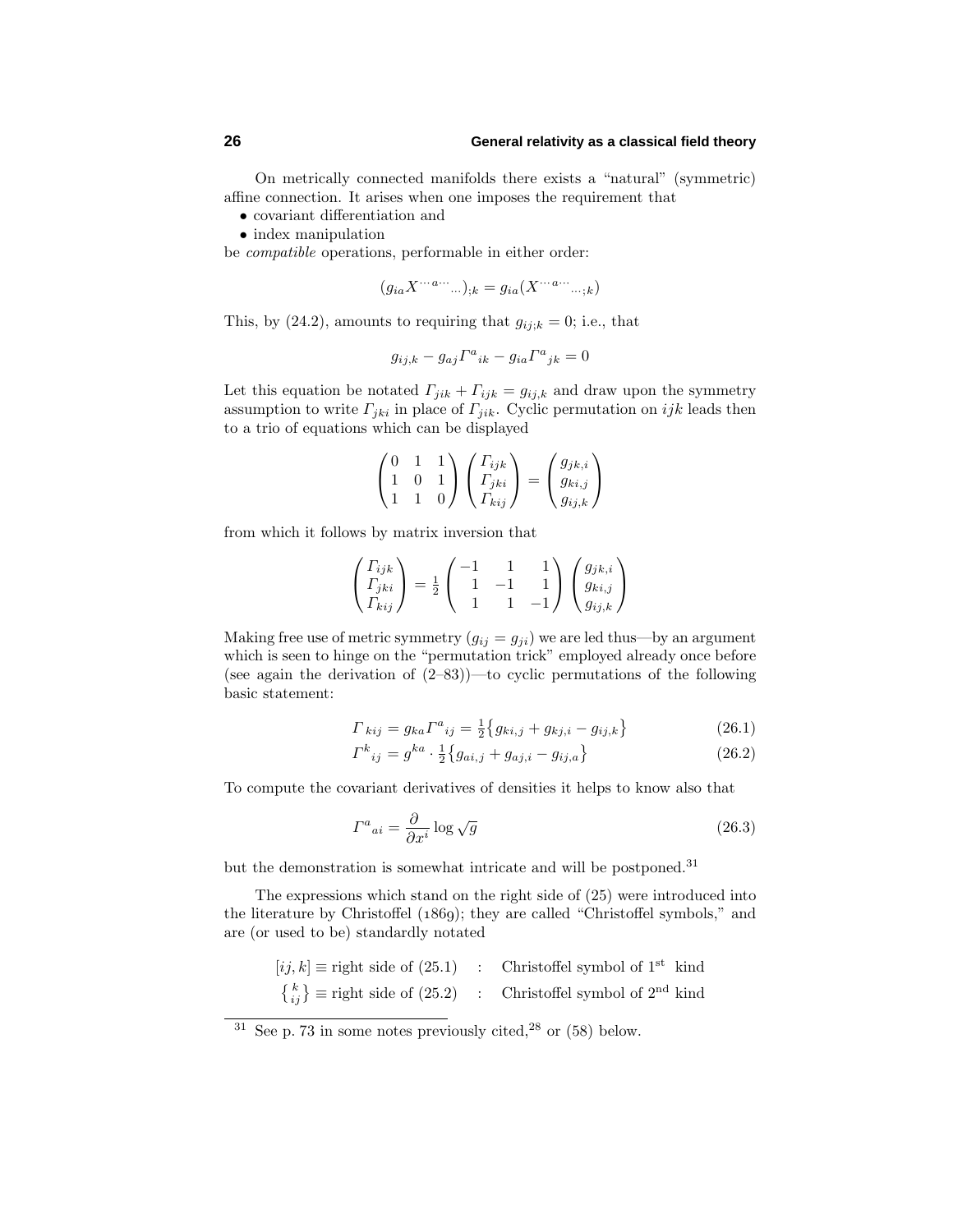On metrically connected manifolds there exists a "natural" (symmetric) affine connection. It arises when one imposes the requirement that

- covariant differentiation and
- index manipulation

be compatible operations, performable in either order:

$$
(g_{ia}X^{\cdots a\cdots}...)_{;k}=g_{ia}(X^{\cdots a\cdots}..._{;k})
$$

This, by  $(24.2)$ , amounts to requiring that  $g_{ij;k} = 0$ ; i.e., that

$$
g_{ij,k} - g_{aj} \Gamma^a{}_{ik} - g_{ia} \Gamma^a{}_{jk} = 0
$$

Let this equation be notated  $\Gamma_{jik} + \Gamma_{ijk} = g_{ij,k}$  and draw upon the symmetry assumption to write *Γjki* in place of *Γjik*. Cyclic permutation on *ijk* leads then to a trio of equations which can be displayed

$$
\begin{pmatrix} 0 & 1 & 1 \ 1 & 0 & 1 \ 1 & 1 & 0 \end{pmatrix} \begin{pmatrix} \Gamma_{ijk} \\ \Gamma_{jki} \\ \Gamma_{kij} \end{pmatrix} = \begin{pmatrix} g_{jk,i} \\ g_{ki,j} \\ g_{ijk} \end{pmatrix}
$$

from which it follows by matrix inversion that

$$
\begin{pmatrix} \Gamma_{ijk} \\ \Gamma_{jki} \\ \Gamma_{kij} \end{pmatrix} = \frac{1}{2} \begin{pmatrix} -1 & 1 & 1 \\ 1 & -1 & 1 \\ 1 & 1 & -1 \end{pmatrix} \begin{pmatrix} g_{jk,i} \\ g_{ki,j} \\ g_{ij,k} \end{pmatrix}
$$

Making free use of metric symmetry  $(g_{ij} = g_{ji})$  we are led thus—by an argument which is seen to hinge on the "permutation trick" employed already once before (see again the derivation of  $(2-83)$ )—to cyclic permutations of the following basic statement:

$$
\Gamma_{kij} = g_{ka} \Gamma^a{}_{ij} = \frac{1}{2} \{ g_{ki,j} + g_{kj,i} - g_{ij,k} \}
$$
\n(26.1)

$$
\Gamma^{k}_{ij} = g^{ka} \cdot \frac{1}{2} \{ g_{ai,j} + g_{aj,i} - g_{ij,a} \}
$$
\n(26.2)

To compute the covariant derivatives of densities it helps to know also that

$$
\Gamma^a{}_{ai} = \frac{\partial}{\partial x^i} \log \sqrt{g} \tag{26.3}
$$

but the demonstration is somewhat intricate and will be postponed.  $\!\!^{31}$ 

The expressions which stand on the right side of (25) were introduced into the literature by Christoffel  $(1869)$ ; they are called "Christoffel symbols," and are (or used to be) standardly notated

$$
[ij, k] \equiv \text{right side of (25.1)} : Christoffel symbol of 1st kind\n
$$
\{^k_{ij}\} \equiv \text{right side of (25.2)} : Christoffel symbol of 2nd kind
$$
$$

 $31$  See p. 73 in some notes previously cited,<sup>28</sup> or (58) below.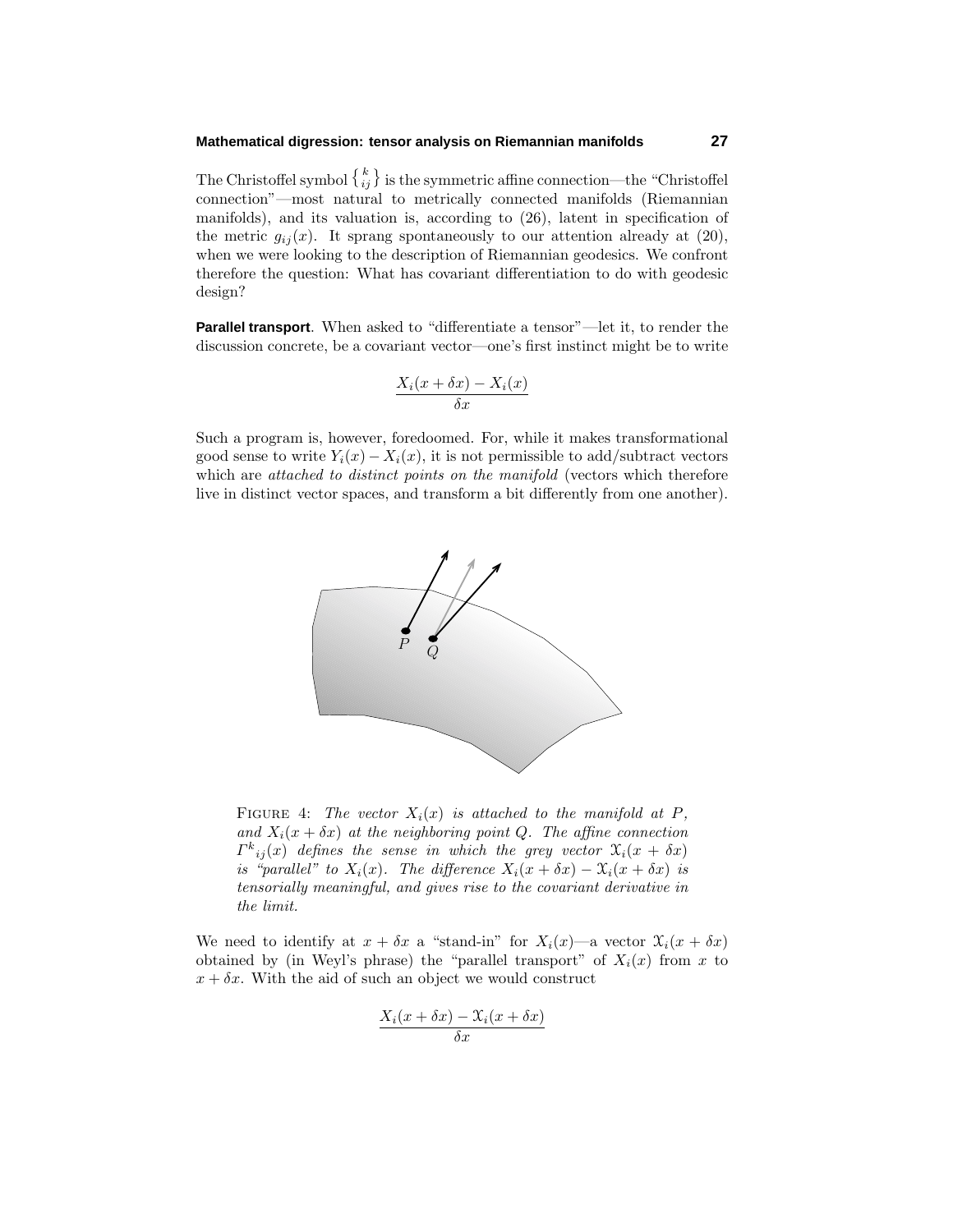The Christoffel symbol  $\{^k_{ij}\}$  is the symmetric affine connection—the "Christoffel connection"—most natural to metrically connected manifolds (Riemannian manifolds), and its valuation is, according to (26), latent in specification of the metric  $g_{ij}(x)$ . It sprang spontaneously to our attention already at (20), when we were looking to the description of Riemannian geodesics. We confront therefore the question: What has covariant differentiation to do with geodesic design?

**Parallel transport**. When asked to "differentiate a tensor"—let it, to render the discussion concrete, be a covariant vector—one's first instinct might be to write

$$
\frac{X_i(x + \delta x) - X_i(x)}{\delta x}
$$

Such a program is, however, foredoomed. For, while it makes transformational good sense to write  $Y_i(x) - X_i(x)$ , it is not permissible to add/subtract vectors which are *attached to distinct points on the manifold* (vectors which therefore live in distinct vector spaces, and transform a bit differently from one another).



FIGURE 4: The vector  $X_i(x)$  is attached to the manifold at P, and  $X_i(x + \delta x)$  at the neighboring point *Q*. The affine connection  $\int f(x)$  *defines the sense in which the grey vector*  $\mathfrak{X}_i(x + \delta x)$ is "parallel" to  $X_i(x)$ . The difference  $X_i(x + \delta x) - \mathfrak{X}_i(x + \delta x)$  is tensorially meaningful, and gives rise to the covariant derivative in the limit.

We need to identify at  $x + \delta x$  a "stand-in" for  $X_i(x)$ —a vector  $\mathcal{X}_i(x + \delta x)$ obtained by (in Weyl's phrase) the "parallel transport" of  $X_i(x)$  from  $x$  to  $x + \delta x$ . With the aid of such an object we would construct

$$
\frac{X_i(x + \delta x) - X_i(x + \delta x)}{\delta x}
$$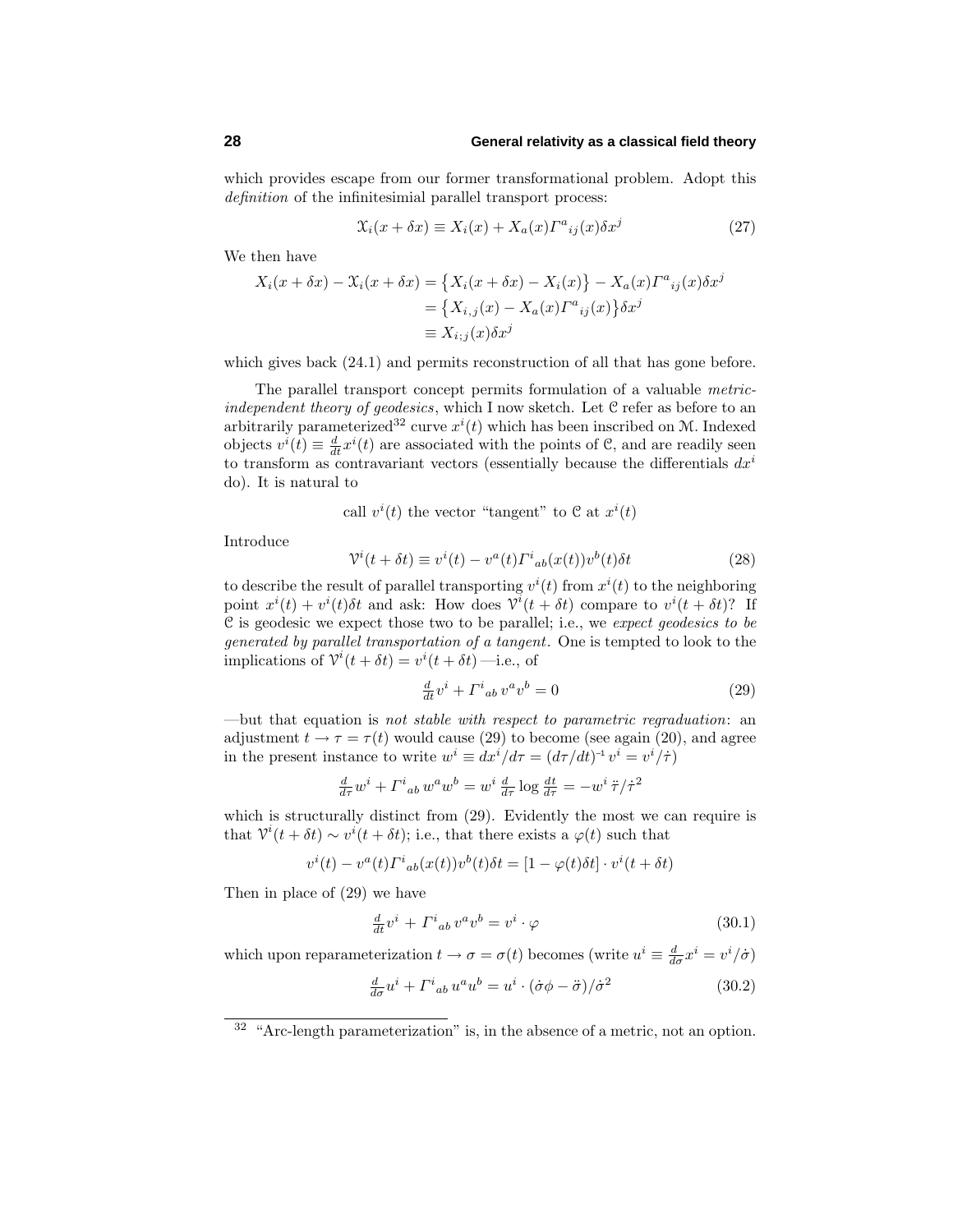which provides escape from our former transformational problem. Adopt this definition of the infinitesimial parallel transport process:

$$
\mathcal{X}_i(x + \delta x) \equiv X_i(x) + X_a(x) \Gamma^a{}_{ij}(x) \delta x^j \tag{27}
$$

We then have

$$
X_i(x + \delta x) - \mathcal{X}_i(x + \delta x) = \{X_i(x + \delta x) - X_i(x)\} - X_a(x)\Gamma^a{}_{ij}(x)\delta x^j
$$
  
= 
$$
\{X_{i,j}(x) - X_a(x)\Gamma^a{}_{ij}(x)\}\delta x^j
$$
  
= 
$$
X_{i,j}(x)\delta x^j
$$

which gives back  $(24.1)$  and permits reconstruction of all that has gone before.

The parallel transport concept permits formulation of a valuable metricindependent theory of geodesics, which I now sketch. Let  $C$  refer as before to an arbitrarily parameterized<sup>32</sup> curve  $x^{i}(t)$  which has been inscribed on M. Indexed objects  $v^i(t) \equiv \frac{d}{dt}x^i(t)$  are associated with the points of C, and are readily seen to transform as contravariant vectors (essentially because the differentials *dx<sup>i</sup>* do). It is natural to

call  $v^i(t)$  the vector "tangent" to  $\mathcal{C}$  at  $x^i(t)$ 

Introduce

$$
\mathcal{V}^{i}(t+\delta t) \equiv v^{i}(t) - v^{a}(t)\Gamma^{i}{}_{ab}(x(t))v^{b}(t)\delta t \tag{28}
$$

to describe the result of parallel transporting  $v^i(t)$  from  $x^i(t)$  to the neighboring point  $x^{i}(t) + v^{i}(t)\delta t$  and ask: How does  $\mathcal{V}^{i}(t + \delta t)$  compare to  $v^{i}(t + \delta t)$ ? If  $C$  is geodesic we expect those two to be parallel; i.e., we expect geodesics to be generated by parallel transportation of a tangent. One is tempted to look to the implications of  $\mathcal{V}^i(t + \delta t) = v^i(t + \delta t)$ —i.e., of

$$
\frac{d}{dt}v^i + \Gamma^i{}_{ab}v^a v^b = 0\tag{29}
$$

—but that equation is not stable with respect to parametric regraduation: an adjustment  $t \to \tau = \tau(t)$  would cause (29) to become (see again (20), and agree in the present instance to write  $w^i \equiv dx^i/d\tau = (d\tau/dt)^{-1} v^i = v^i/\tau$ 

$$
\frac{d}{d\tau}w^i + \Gamma^i{}_{ab}\,w^a w^b = w^i\,\frac{d}{d\tau}\log\frac{dt}{d\tau} = -w^i\,\ddot{\tau}/\dot{\tau}^2
$$

which is structurally distinct from  $(29)$ . Evidently the most we can require is that  $\mathcal{V}^i(t + \delta t) \sim v^i(t + \delta t)$ ; i.e., that there exists a  $\varphi(t)$  such that

$$
v^{i}(t) - v^{a}(t)\Gamma^{i}{}_{ab}(x(t))v^{b}(t)\delta t = [1 - \varphi(t)\delta t] \cdot v^{i}(t + \delta t)
$$

Then in place of (29) we have

$$
\frac{d}{dt}v^i + \Gamma^i{}_{ab}v^a v^b = v^i \cdot \varphi \tag{30.1}
$$

which upon reparameterization  $t \to \sigma = \sigma(t)$  becomes (write  $u^i \equiv \frac{d}{d\sigma}x^i = v^i/\dot{\sigma}$ )

$$
\frac{d}{d\sigma}u^i + \Gamma^i{}_{ab}u^a u^b = u^i \cdot (\dot{\sigma}\phi - \ddot{\sigma})/\dot{\sigma}^2 \tag{30.2}
$$

<sup>32</sup> "Arc-length parameterization" is, in the absence of a metric, not an option.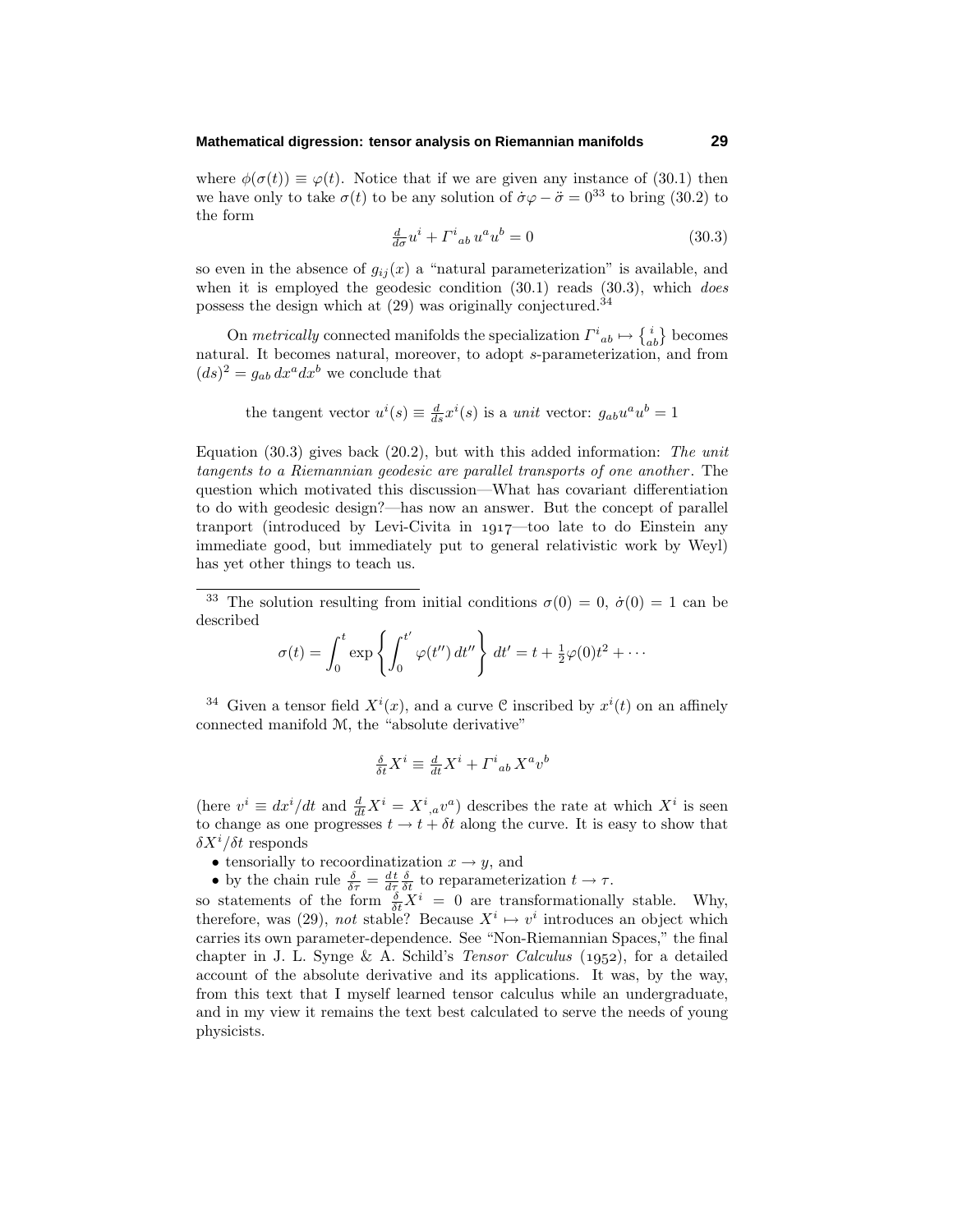where  $\phi(\sigma(t)) \equiv \varphi(t)$ . Notice that if we are given any instance of (30.1) then we have only to take  $\sigma(t)$  to be any solution of  $\dot{\sigma}\varphi - \ddot{\sigma} = 0^{33}$  to bring (30.2) to the form

$$
\frac{d}{d\sigma}u^i + \Gamma^i{}_{ab}u^a u^b = 0\tag{30.3}
$$

so even in the absence of  $g_{ij}(x)$  a "natural parameterization" is available, and when it is employed the geodesic condition  $(30.1)$  reads  $(30.3)$ , which *does* possess the design which at (29) was originally conjectured.<sup>34</sup>

On *metrically* connected manifolds the specialization  $\Gamma^i_{ab} \mapsto {\begin{Bmatrix} i \\ ab \end{Bmatrix}}$  becomes natural. It becomes natural, moreover, to adopt *s*-parameterization, and from  $(ds)^2 = g_{ab} dx^a dx^b$  we conclude that

the tangent vector 
$$
u^i(s) \equiv \frac{d}{ds}x^i(s)
$$
 is a *unit* vector:  $g_{ab}u^a u^b = 1$ 

Equation  $(30.3)$  gives back  $(20.2)$ , but with this added information: The unit tangents to a Riemannian geodesic are parallel transports of one another . The question which motivated this discussion—What has covariant differentiation to do with geodesic design?—has now an answer. But the concept of parallel tranport (introduced by Levi-Civita in 1917—too late to do Einstein any immediate good, but immediately put to general relativistic work by Weyl) has yet other things to teach us.

<sup>33</sup> The solution resulting from initial conditions  $\sigma(0) = 0$ ,  $\dot{\sigma}(0) = 1$  can be described

$$
\sigma(t) = \int_0^t \exp\left\{ \int_0^{t'} \varphi(t'') dt'' \right\} dt' = t + \frac{1}{2} \varphi(0) t^2 + \cdots
$$

<sup>34</sup> Given a tensor field  $X^i(x)$ , and a curve C inscribed by  $x^i(t)$  on an affinely connected manifold M, the "absolute derivative"

$$
\tfrac{\delta}{\delta t} X^i \equiv \tfrac{d}{dt} X^i + \varGamma^i{}_{ab} \, X^a v^b
$$

(here  $v^i \equiv dx^i/dt$  and  $\frac{d}{dt}X^i = X^i{}_{,a}v^a$ ) describes the rate at which  $X^i$  is seen to change as one progresses  $t \to t + \delta t$  along the curve. It is easy to show that *δX<sup>i</sup> /δt* responds

- tensorially to recoordinatization  $x \rightarrow y$ , and
- by the chain rule  $\frac{\delta}{\delta \tau} = \frac{dt}{d\tau} \frac{\delta}{\delta t}$  to reparameterization  $t \to \tau$ .

so statements of the form  $\frac{\delta}{\delta t}X^i = 0$  are transformationally stable. Why, therefore, was (29), not stable? Because  $X^i \mapsto v^i$  introduces an object which carries its own parameter-dependence. See "Non-Riemannian Spaces," the final chapter in J. L. Synge & A. Schild's *Tensor Calculus* (1952), for a detailed account of the absolute derivative and its applications. It was, by the way, from this text that I myself learned tensor calculus while an undergraduate, and in my view it remains the text best calculated to serve the needs of young physicists.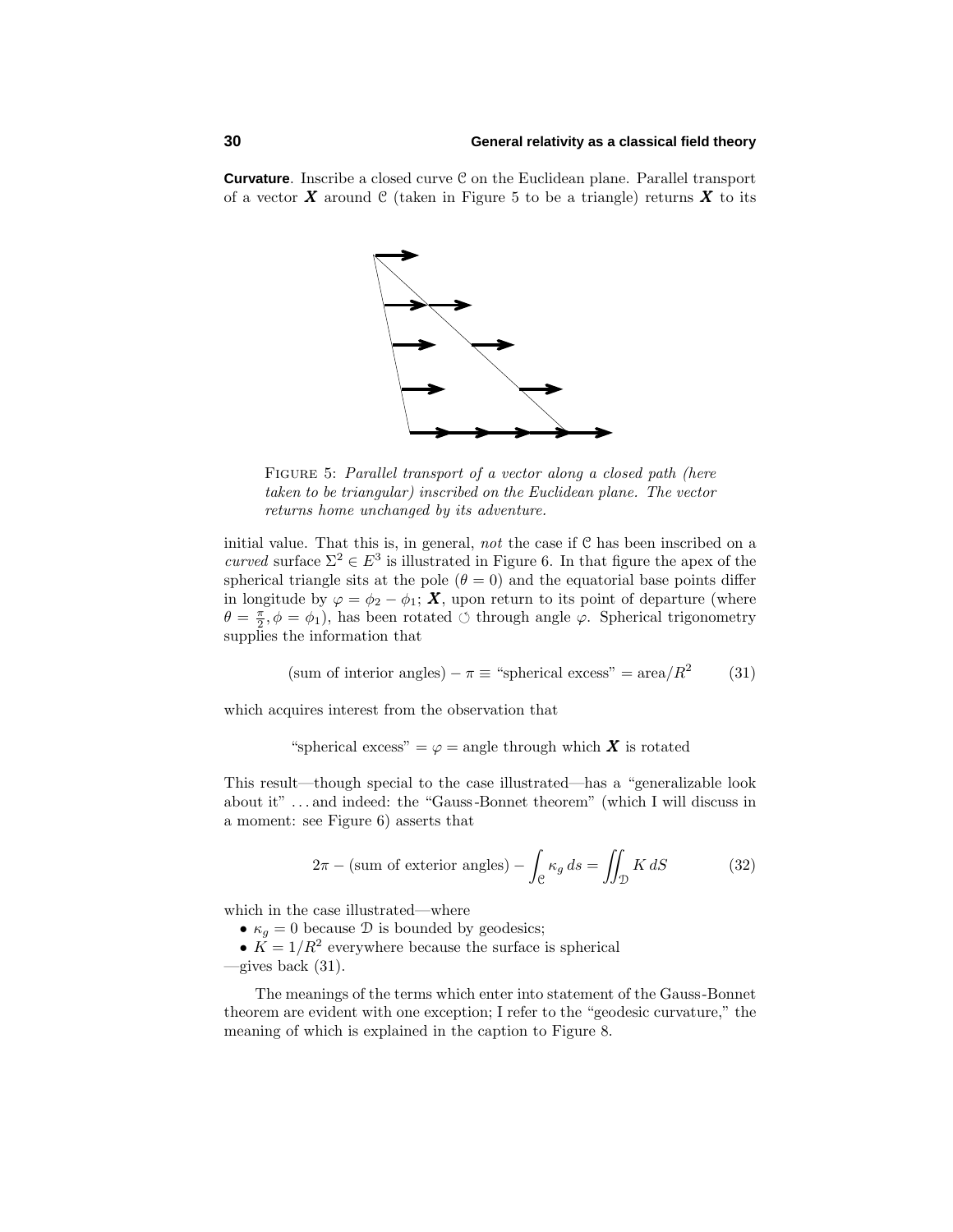**Curvature**. Inscribe a closed curve C on the Euclidean plane. Parallel transport of a vector  $\boldsymbol{X}$  around  $\mathcal C$  (taken in Figure 5 to be a triangle) returns  $\boldsymbol{X}$  to its



FIGURE 5: Parallel transport of a vector along a closed path (here taken to be triangular) inscribed on the Euclidean plane. The vector returns home unchanged by its adventure.

initial value. That this is, in general, not the case if  $C$  has been inscribed on a *curved* surface  $\Sigma^2 \in E^3$  is illustrated in Figure 6. In that figure the apex of the spherical triangle sits at the pole  $(\theta = 0)$  and the equatorial base points differ in longitude by  $\varphi = \phi_2 - \phi_1$ ; *X*, upon return to its point of departure (where  $\theta = \frac{\pi}{2}, \phi = \phi_1$ , has been rotated  $\circlearrowleft$  through angle  $\varphi$ . Spherical trigonometry supplies the information that

(sum of interior angles) –  $\pi \equiv$  "spherical excess" = area/ $R^2$  (31)

which acquires interest from the observation that

"spherical excess" =  $\varphi$  = angle through which **X** is rotated

This result—though special to the case illustrated—has a "generalizable look about it" *...* and indeed: the "Gauss-Bonnet theorem" (which I will discuss in a moment: see Figure 6) asserts that

$$
2\pi - (\text{sum of exterior angles}) - \int_{\mathcal{C}} \kappa_g \, ds = \iint_{\mathcal{D}} K \, dS \tag{32}
$$

which in the case illustrated—where

•  $\kappa_q = 0$  because  $\mathcal D$  is bounded by geodesics;

•  $K = 1/R^2$  everywhere because the surface is spherical —gives back (31).

The meanings of the terms which enter into statement of the Gauss-Bonnet theorem are evident with one exception; I refer to the "geodesic curvature," the meaning of which is explained in the caption to Figure 8.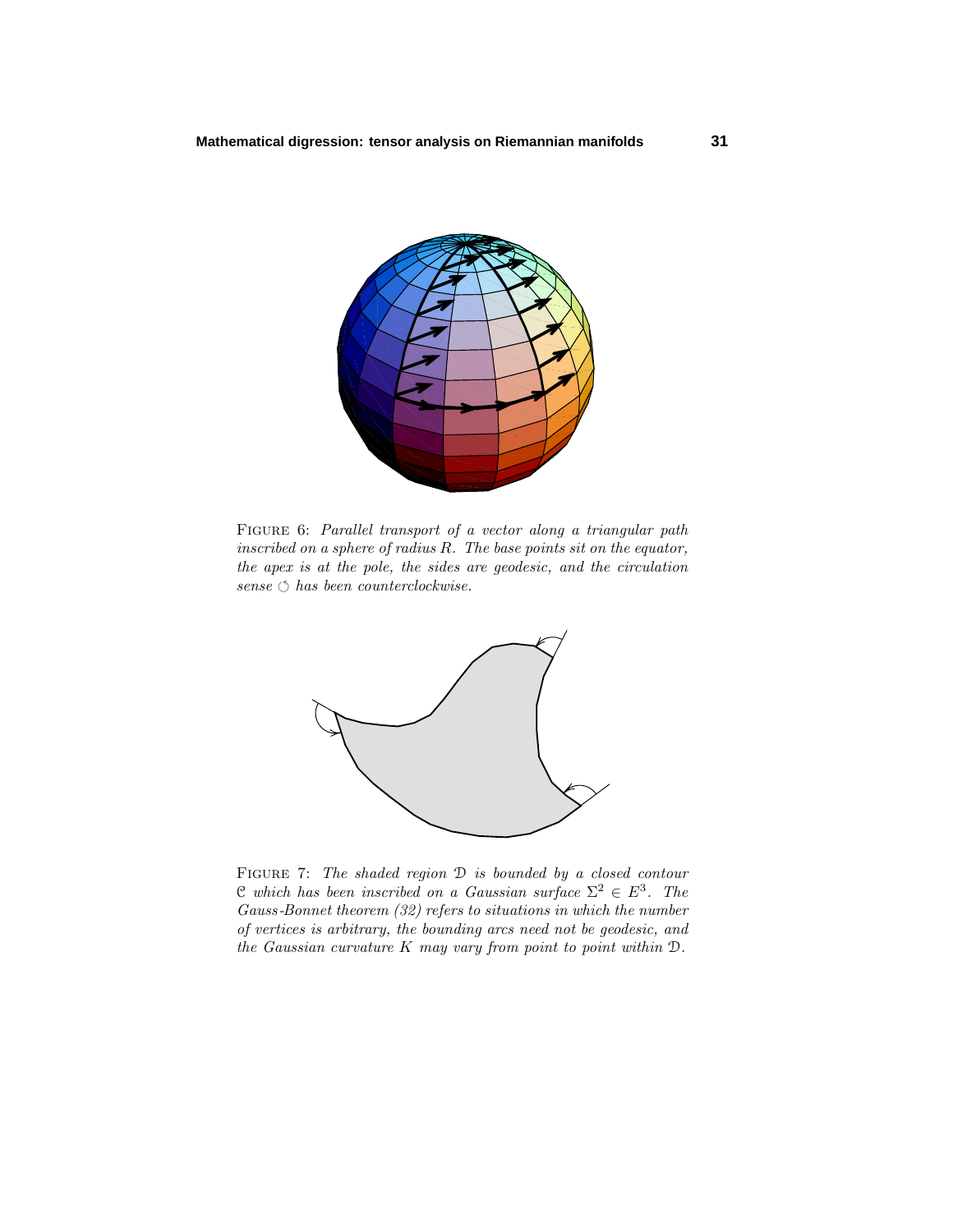

FIGURE 6: Parallel transport of a vector along a triangular path inscribed on a sphere of radius *R*. The base points sit on the equator, the apex is at the pole, the sides are geodesic, and the circulation  $sense \circledcirc has been counterclockwise.$ 



FIGURE 7: The shaded region  $D$  is bounded by a closed contour C which has been inscribed on a Gaussian surface  $\Sigma^2 \in E^3$ . The Gauss -Bonnet theorem (32) refers to situations in which the number of vertices is arbitrary, the bounding arcs need not be geodesic, and the Gaussian curvature *K* may vary from point to point within D.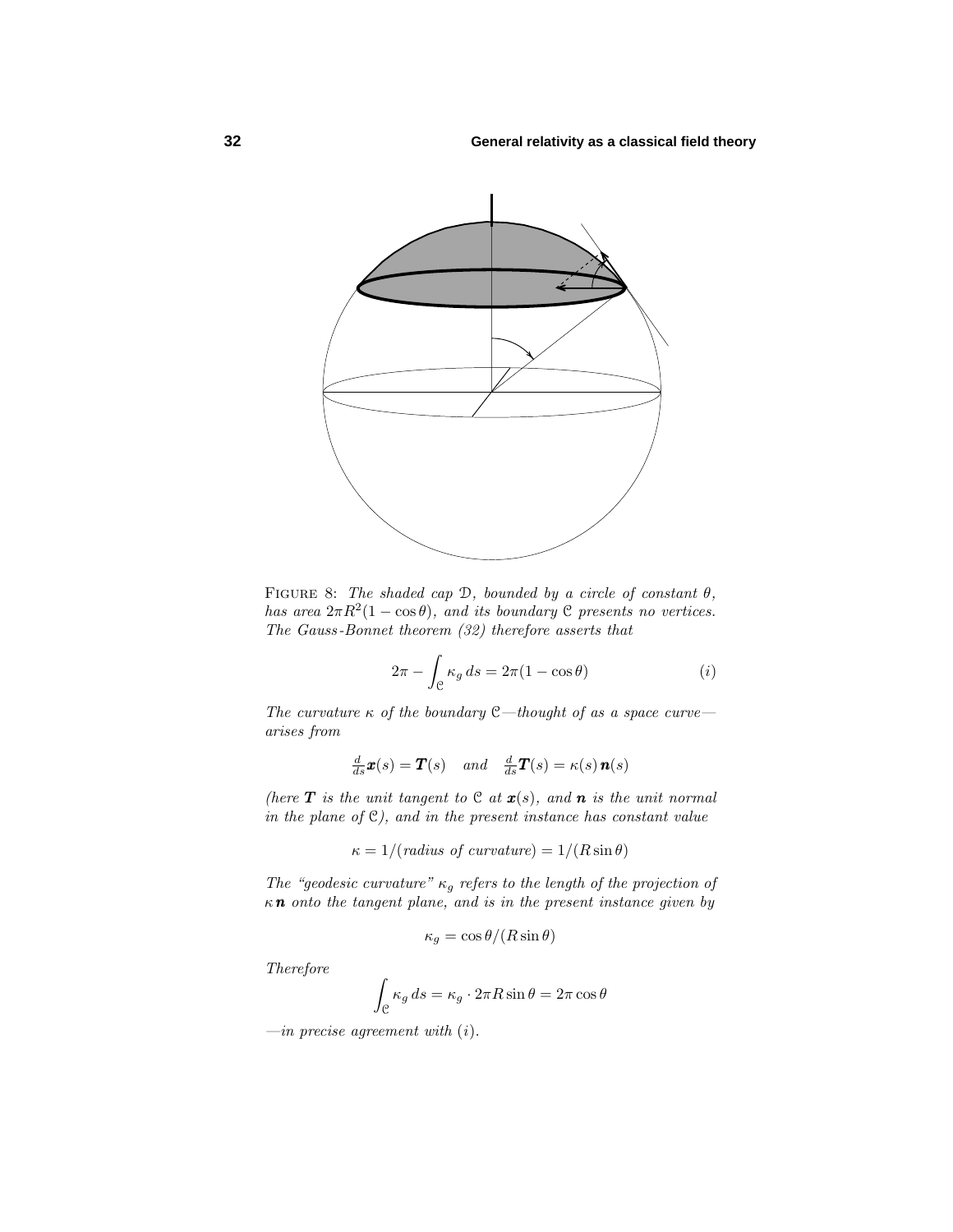

FIGURE 8: The shaded cap  $\mathcal{D}$ , bounded by a circle of constant  $\theta$ , has area  $2\pi R^2(1-\cos\theta)$ , and its boundary C presents no vertices. The Gauss -Bonnet theorem (32) therefore asserts that

$$
2\pi - \int_{\mathcal{C}} \kappa_g \, ds = 2\pi (1 - \cos \theta) \tag{i}
$$

The curvature  $\kappa$  of the boundary  $\mathcal{C}-$ thought of as a space curve arises from

$$
\frac{d}{ds}\pmb{x}(s) = \pmb{T}(s) \quad and \quad \frac{d}{ds}\pmb{T}(s) = \kappa(s)\pmb{n}(s)
$$

(here **T** is the unit tangent to  $C$  at  $\mathbf{x}(s)$ , and **n** is the unit normal in the plane of  $\mathcal{C}$ ), and in the present instance has constant value

$$
\kappa = 1/(radius of curvature) = 1/(R \sin \theta)
$$

The "geodesic curvature"  $\kappa_g$  refers to the length of the projection of  $\kappa \mathbf{n}$  onto the tangent plane, and is in the present instance given by

$$
\kappa_g = \cos\theta / (R\sin\theta)
$$

Therefore

$$
\int_{\mathcal{C}} \kappa_g \, ds = \kappa_g \cdot 2\pi R \sin \theta = 2\pi \cos \theta
$$

 $\rightarrow$  *in precise agreement with* (*i*).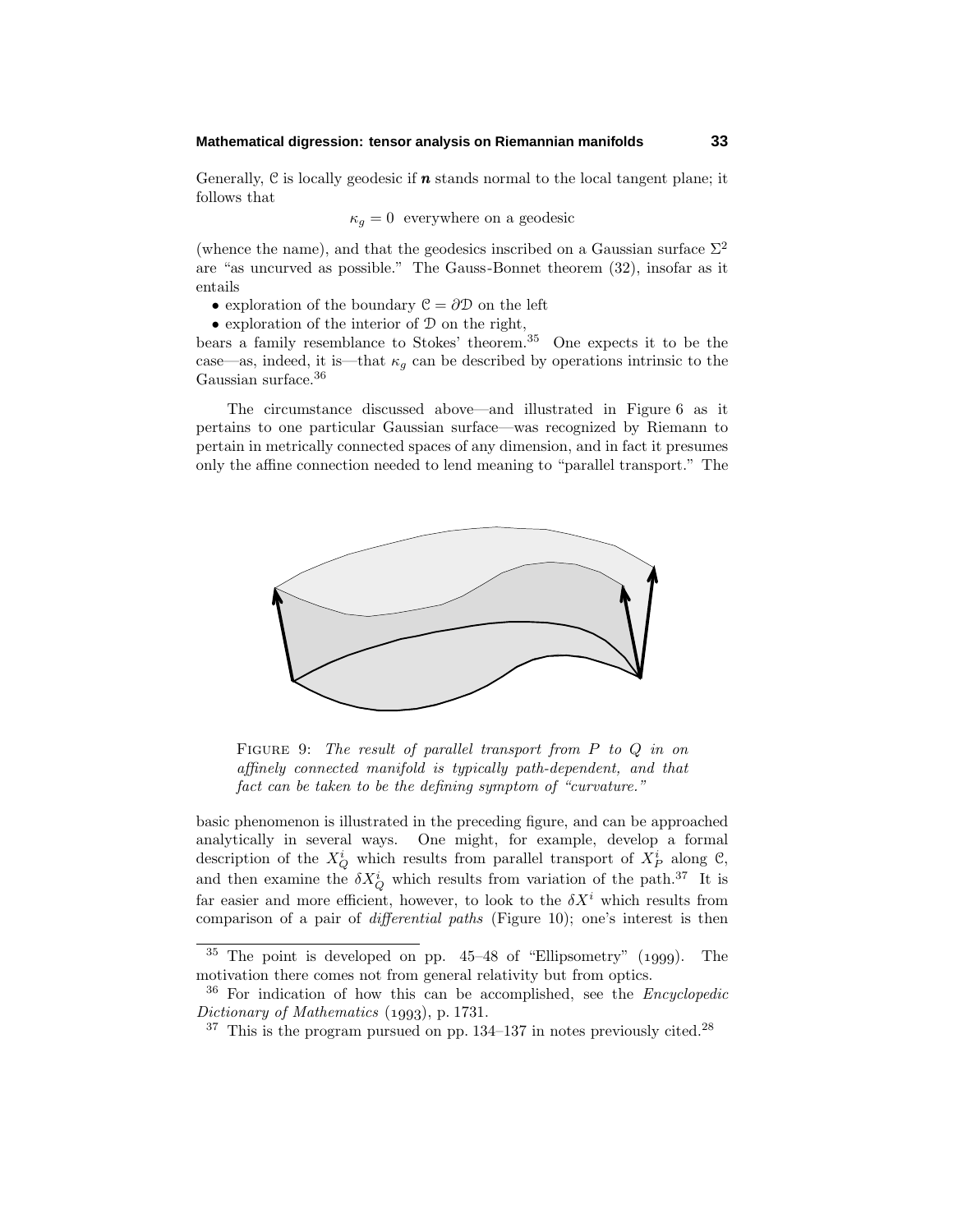Generally, C is locally geodesic if *n* stands normal to the local tangent plane; it follows that

$$
\kappa_g = 0
$$
 everywhere on a geodesic

(whence the name), and that the geodesics inscribed on a Gaussian surface  $\Sigma^2$ are "as uncurved as possible." The Gauss-Bonnet theorem (32), insofar as it entails

- exploration of the boundary  $\mathcal{C} = \partial \mathcal{D}$  on the left
- exploration of the interior of  $\mathcal D$  on the right,

bears a family resemblance to Stokes' theorem.<sup>35</sup> One expects it to be the case—as, indeed, it is—that  $\kappa_g$  can be described by operations intrinsic to the Gaussian surface.<sup>36</sup>

The circumstance discussed above—and illustrated in Figure 6 as it pertains to one particular Gaussian surface—was recognized by Riemann to pertain in metrically connected spaces of any dimension, and in fact it presumes only the affine connection needed to lend meaning to "parallel transport." The



Figure 9: The result of parallel transport from *P* to *Q* in on affinely connected manifold is typically path-dependent, and that fact can be taken to be the defining symptom of "curvature."

basic phenomenon is illustrated in the preceding figure, and can be approached analytically in several ways. One might, for example, develop a formal description of the  $X^i_Q$  which results from parallel transport of  $X^i_P$  along  $\mathcal{C}$ , and then examine the  $\delta X_Q^i$  which results from variation of the path.<sup>37</sup> It is far easier and more efficient, however, to look to the  $\delta X^i$  which results from comparison of a pair of differential paths (Figure 10); one's interest is then

 $35$  The point is developed on pp. 45–48 of "Ellipsometry" (1999). The motivation there comes not from general relativity but from optics.

 $36$  For indication of how this can be accomplished, see the *Encyclopedic* Dictionary of Mathematics  $(1993)$ , p. 1731.

 $37$  This is the program pursued on pp. 134–137 in notes previously cited.<sup>28</sup>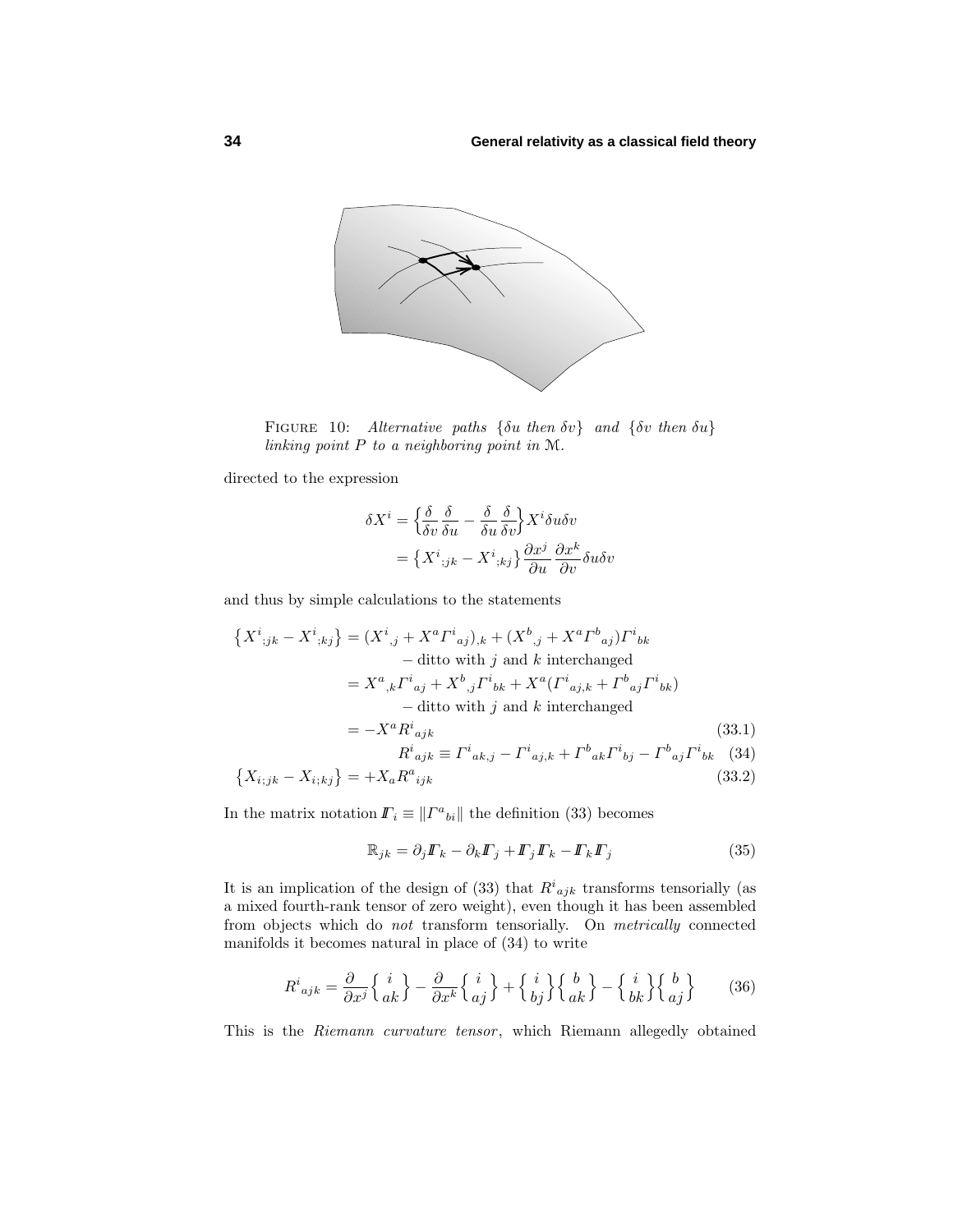

Figure 10: Alternative paths {*δu* then *δv*} and {*δv* then *δu*} linking point *P* to a neighboring point in M.

directed to the expression

$$
\delta X^{i} = \left\{ \frac{\delta}{\delta v} \frac{\delta}{\delta u} - \frac{\delta}{\delta u} \frac{\delta}{\delta v} \right\} X^{i} \delta u \delta v
$$

$$
= \left\{ X^{i}{}_{;jk} - X^{i}{}_{;kj} \right\} \frac{\partial x^{j}}{\partial u} \frac{\partial x^{k}}{\partial v} \delta u \delta v
$$

and thus by simple calculations to the statements

$$
\left\{X^{i}_{\;;jk} - X^{i}_{\;;kj}\right\} = (X^{i}_{\;;j} + X^{a} \Gamma^{i}_{\;aj})_{,k} + (X^{b}_{\;;j} + X^{a} \Gamma^{b}_{\;aj}) \Gamma^{i}_{\;bk}
$$
\n
$$
- \text{ditto with } j \text{ and } k \text{ interchanged}
$$
\n
$$
= X^{a}_{\;;k} \Gamma^{i}_{\;aj} + X^{b}_{\;;j} \Gamma^{i}_{\;bk} + X^{a} (\Gamma^{i}_{\;aj,k} + \Gamma^{b}_{\;aj} \Gamma^{i}_{\;bk})
$$
\n
$$
- \text{ditto with } j \text{ and } k \text{ interchanged}
$$
\n
$$
= -X^{a} \Gamma^{i}_{\;ajk} \tag{33.1}
$$
\n
$$
\Gamma^{i}_{\;ajk} \equiv \Gamma^{i}_{\;ak,j} - \Gamma^{i}_{\;aj,k} + \Gamma^{b}_{\;ak} \Gamma^{i}_{\;bj} - \Gamma^{b}_{\;aj} \Gamma^{i}_{\;bk} \tag{33.2}
$$

In the matrix notation  $\mathbf{F}_i \equiv ||\mathbf{F}^a{}_{bi}||$  the definition (33) becomes

$$
\mathbb{R}_{jk} = \partial_j \mathbf{F}_k - \partial_k \mathbf{F}_j + \mathbf{F}_j \mathbf{F}_k - \mathbf{F}_k \mathbf{F}_j \tag{35}
$$

It is an implication of the design of  $(33)$  that  $R^i_{\ ajk}$  transforms tensorially (as a mixed fourth-rank tensor of zero weight), even though it has been assembled from objects which do not transform tensorially. On metrically connected manifolds it becomes natural in place of (34) to write

$$
R^i{}_{ajk} = \frac{\partial}{\partial x^j} \left\{ \begin{array}{c} i \\ ak \end{array} \right\} - \frac{\partial}{\partial x^k} \left\{ \begin{array}{c} i \\ aj \end{array} \right\} + \left\{ \begin{array}{c} i \\ bj \end{array} \right\} \left\{ \begin{array}{c} b \\ ak \end{array} \right\} - \left\{ \begin{array}{c} i \\ bk \end{array} \right\} \left\{ \begin{array}{c} b \\ aj \end{array} \right\} \tag{36}
$$

This is the Riemann curvature tensor, which Riemann allegedly obtained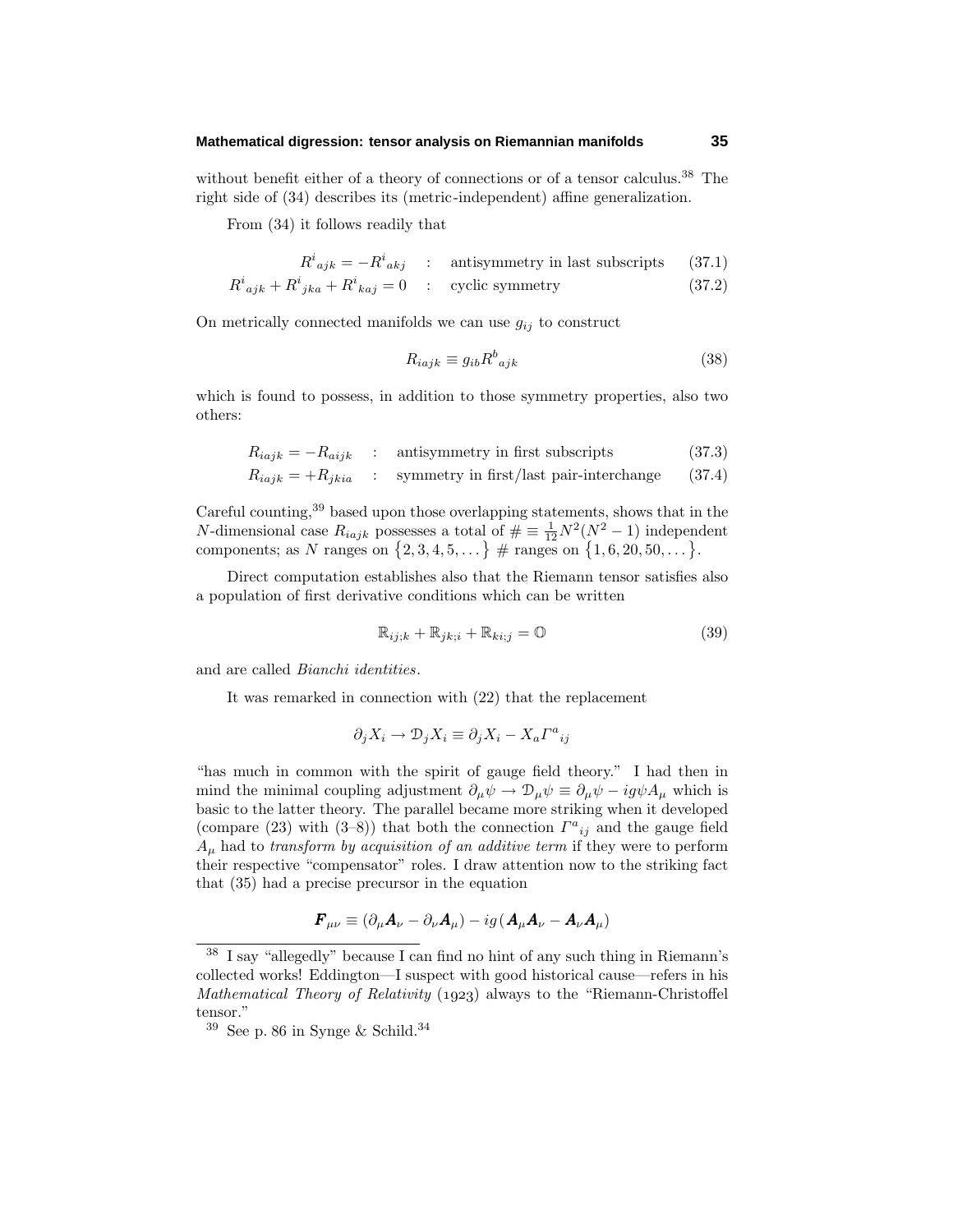without benefit either of a theory of connections or of a tensor calculus.<sup>38</sup> The right side of (34) describes its (metric-independent) affine generalization.

From (34) it follows readily that

$$
R^i_{\ ajk} = -R^i_{\ akj} \quad : \quad \text{antisymmetry in last subscripts} \tag{37.1}
$$

$$
R^{i}{}_{ajk} + R^{i}{}_{jka} + R^{i}{}_{kaj} = 0 \t : \t cyclic symmetry \t(37.2)
$$

On metrically connected manifolds we can use  $g_{ij}$  to construct

$$
R_{iajk} \equiv g_{ib} R^b{}_{ajk} \tag{38}
$$

which is found to possess, in addition to those symmetry properties, also two others:

$$
R_{iajk} = -R_{aijk} : \text{antisymmetry in first subscripts} \tag{37.3}
$$

$$
R_{iajk} = +R_{jkia} : symmetry in first/last pair-interchange (37.4)
$$

Careful counting,  $39$  based upon those overlapping statements, shows that in the *N*-dimensional case  $R_{iajk}$  possesses a total of  $\# \equiv \frac{1}{12}N^2(N^2-1)$  independent components; as N ranges on  $\{2, 3, 4, 5, ...\}$  # ranges on  $\{1, 6, 20, 50, ...\}$ .

Direct computation establishes also that the Riemann tensor satisfies also a population of first derivative conditions which can be written

$$
\mathbb{R}_{ij;k} + \mathbb{R}_{jk;i} + \mathbb{R}_{ki;j} = \mathbb{O}
$$
\n(39)

and are called Bianchi identities.

It was remarked in connection with (22) that the replacement

$$
\partial_j X_i \to \mathcal{D}_j X_i \equiv \partial_j X_i - X_a \Gamma^a{}_{ij}
$$

"has much in common with the spirit of gauge field theory." I had then in mind the minimal coupling adjustment  $\partial_{\mu}\psi \to \mathcal{D}_{\mu}\psi \equiv \partial_{\mu}\psi - ig\psi A_{\mu}$  which is basic to the latter theory. The parallel became more striking when it developed (compare (23) with (3–8)) that both the connection  $\Gamma^a{}_{ij}$  and the gauge field  $A_{\mu}$  had to *transform by acquisition of an additive term* if they were to perform their respective "compensator" roles. I draw attention now to the striking fact that (35) had a precise precursor in the equation

$$
\boldsymbol{F}_{\mu\nu} \equiv (\partial_{\mu}\boldsymbol{A}_{\nu} - \partial_{\nu}\boldsymbol{A}_{\mu}) - ig(\boldsymbol{A}_{\mu}\boldsymbol{A}_{\nu} - \boldsymbol{A}_{\nu}\boldsymbol{A}_{\mu})
$$

<sup>38</sup> I say "allegedly" because I can find no hint of any such thing in Riemann's collected works! Eddington—I suspect with good historical cause—refers in his Mathematical Theory of Relativity  $(1923)$  always to the "Riemann-Christoffel tensor."

 $39$  See p. 86 in Synge & Schild.<sup>34</sup>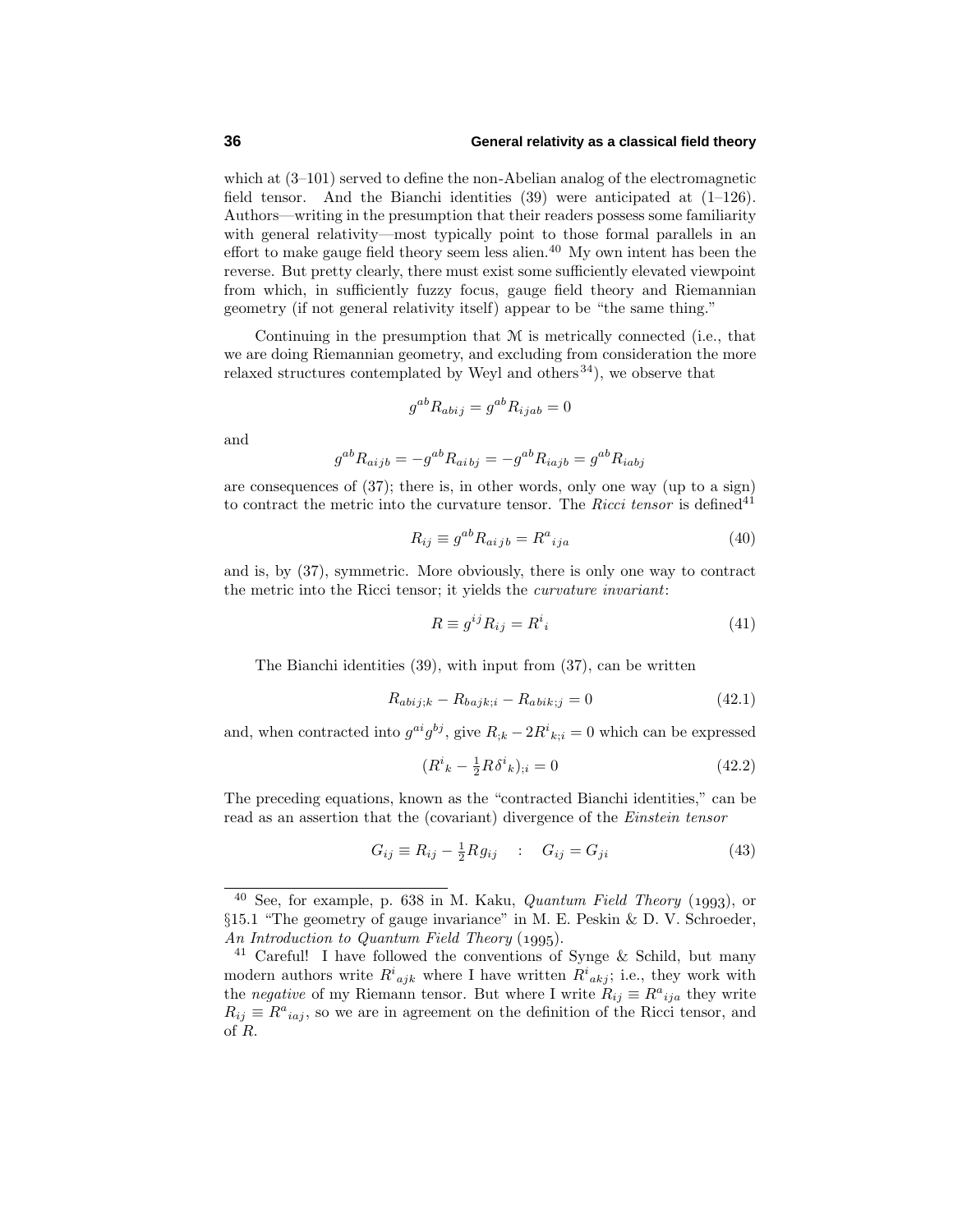which at (3–101) served to define the non-Abelian analog of the electromagnetic field tensor. And the Bianchi identities  $(39)$  were anticipated at  $(1-126)$ . Authors—writing in the presumption that their readers possess some familiarity with general relativity—most typically point to those formal parallels in an effort to make gauge field theory seem less alien.<sup>40</sup> My own intent has been the reverse. But pretty clearly, there must exist some sufficiently elevated viewpoint from which, in sufficiently fuzzy focus, gauge field theory and Riemannian geometry (if not general relativity itself) appear to be "the same thing."

Continuing in the presumption that  $M$  is metrically connected (i.e., that we are doing Riemannian geometry, and excluding from consideration the more relaxed structures contemplated by Weyl and others<sup>34</sup>), we observe that

$$
g^{ab}R_{abij} = g^{ab}R_{ijab} = 0
$$

and

$$
g^{ab}R_{aijb} = -g^{ab}R_{aibj} = -g^{ab}R_{iajb} = g^{ab}R_{iabj}
$$

are consequences of (37); there is, in other words, only one way (up to a sign) to contract the metric into the curvature tensor. The Ricci tensor is defined<sup>41</sup>

$$
R_{ij} \equiv g^{ab} R_{aijb} = R^a{}_{ija} \tag{40}
$$

and is, by (37), symmetric. More obviously, there is only one way to contract the metric into the Ricci tensor; it yields the curvature invariant:

$$
R \equiv g^{ij} R_{ij} = R^i{}_i \tag{41}
$$

The Bianchi identities (39), with input from (37), can be written

$$
R_{abij;k} - R_{bajk;i} - R_{abik;j} = 0
$$
\n(42.1)

and, when contracted into  $g^{ai}g^{bj}$ , give  $R_{jk} - 2R^i{}_{k;i} = 0$  which can be expressed

$$
(R^i{}_k - \frac{1}{2}R\delta^i{}_k)_{;i} = 0\tag{42.2}
$$

The preceding equations, known as the "contracted Bianchi identities," can be read as an assertion that the (covariant) divergence of the Einstein tensor

$$
G_{ij} \equiv R_{ij} - \frac{1}{2} R g_{ij} \quad : \quad G_{ij} = G_{ji} \tag{43}
$$

<sup>&</sup>lt;sup>40</sup> See, for example, p. 638 in M. Kaku, *Quantum Field Theory* (1993), or §15.1 "The geometry of gauge invariance" in M. E. Peskin & D. V. Schroeder, An Introduction to Quantum Field Theory  $(1995)$ .

<sup>41</sup> Careful! I have followed the conventions of Synge & Schild, but many modern authors write  $R^i_{\ ajk}$  where I have written  $R^i_{\ akj}$ ; i.e., they work with the negative of my Riemann tensor. But where I write  $R_{ij} \equiv R^a{}_{ij}$  they write  $R_{ij} \equiv R^a{}_{iaj}$ , so we are in agreement on the definition of the Ricci tensor, and of *R*.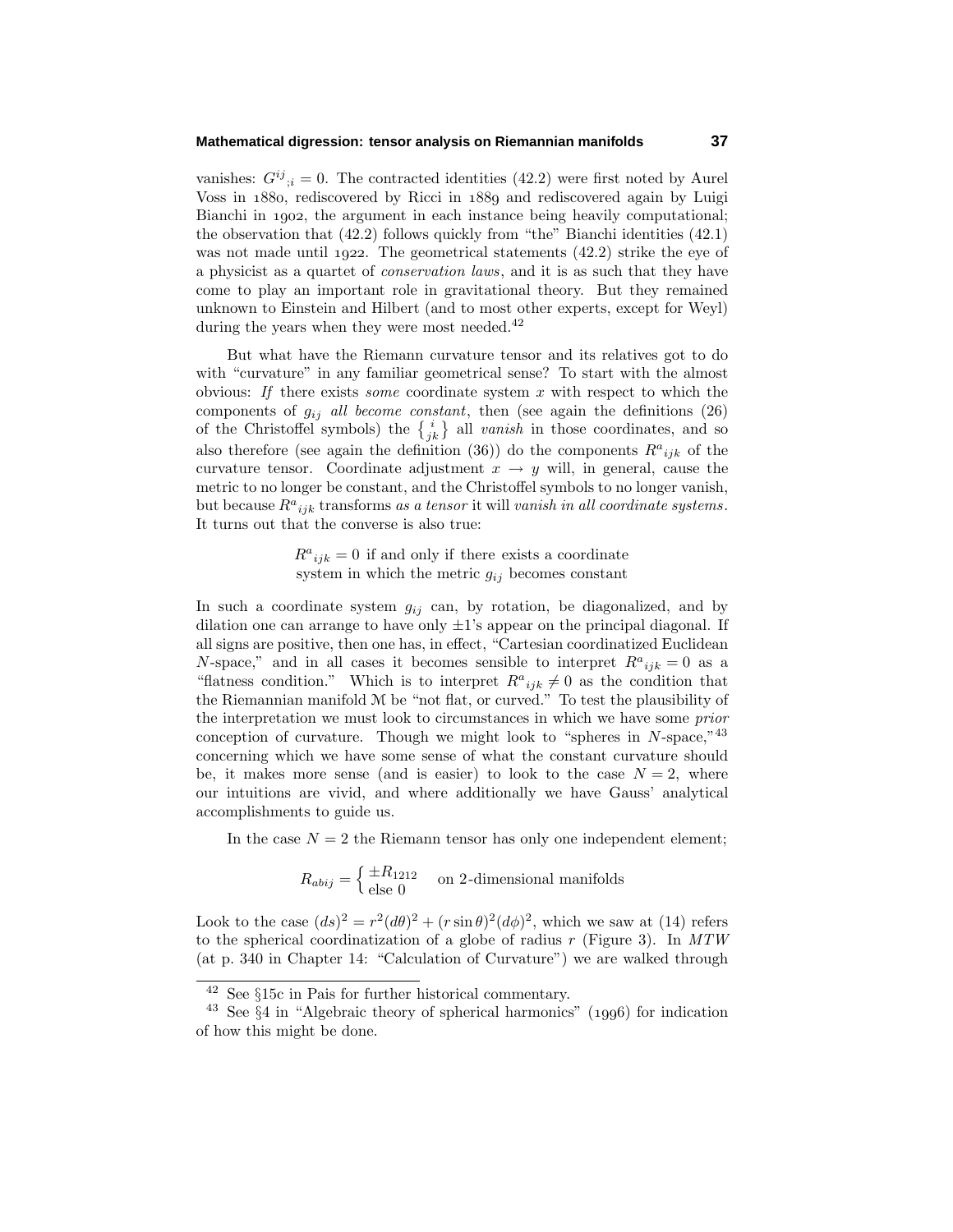vanishes:  $G^{ij}$ <sub>i</sub> = 0. The contracted identities (42.2) were first noted by Aurel Voss in 1880, rediscovered by Ricci in 1889 and rediscovered again by Luigi Bianchi in 1902, the argument in each instance being heavily computational; the observation that  $(42.2)$  follows quickly from "the" Bianchi identities  $(42.1)$ was not made until 1922. The geometrical statements  $(42.2)$  strike the eye of a physicist as a quartet of conservation laws, and it is as such that they have come to play an important role in gravitational theory. But they remained unknown to Einstein and Hilbert (and to most other experts, except for Weyl) during the years when they were most needed.<sup>42</sup>

But what have the Riemann curvature tensor and its relatives got to do with "curvature" in any familiar geometrical sense? To start with the almost obvious: If there exists some coordinate system *x* with respect to which the components of  $g_{ij}$  all become constant, then (see again the definitions (26) of the Christoffel symbols) the  $\{i_k\}$  all vanish in those coordinates, and so also therefore (see again the definition (36)) do the components  $R^a{}_{ijk}$  of the curvature tensor. Coordinate adjustment  $x \to y$  will, in general, cause the metric to no longer be constant, and the Christoffel symbols to no longer vanish, but because  $R^a{}_{ijk}$  transforms as a tensor it will vanish in all coordinate systems. It turns out that the converse is also true:

> $R^a{}_{ijk} = 0$  if and only if there exists a coordinate system in which the metric  $g_{ij}$  becomes constant

In such a coordinate system  $g_{ij}$  can, by rotation, be diagonalized, and by dilation one can arrange to have only  $\pm 1$ 's appear on the principal diagonal. If all signs are positive, then one has, in effect, "Cartesian coordinatized Euclidean *N*-space," and in all cases it becomes sensible to interpret  $R^a{}_{ijk} = 0$  as a "flatness condition." Which is to interpret  $R^a{}_{ijk} \neq 0$  as the condition that the Riemannian manifold M be "not flat, or curved." To test the plausibility of the interpretation we must look to circumstances in which we have some prior conception of curvature. Though we might look to "spheres in  $N$ -space,"<sup>43</sup> concerning which we have some sense of what the constant curvature should be, it makes more sense (and is easier) to look to the case  $N=2$ , where our intuitions are vivid, and where additionally we have Gauss' analytical accomplishments to guide us.

In the case  $N = 2$  the Riemann tensor has only one independent element;

$$
R_{abij} = \begin{cases} \pm R_{1212} \\ \text{else } 0 \end{cases}
$$
 on 2-dimensional manifolds

Look to the case  $(ds)^2 = r^2(d\theta)^2 + (r\sin\theta)^2(d\phi)^2$ , which we saw at (14) refers to the spherical coordinatization of a globe of radius *r* (Figure 3). In MTW (at p. 340 in Chapter 14: "Calculation of Curvature") we are walked through

<sup>42</sup> See §15c in Pais for further historical commentary.

<sup>&</sup>lt;sup>43</sup> See  $\S 4$  in "Algebraic theory of spherical harmonics" (1996) for indication of how this might be done.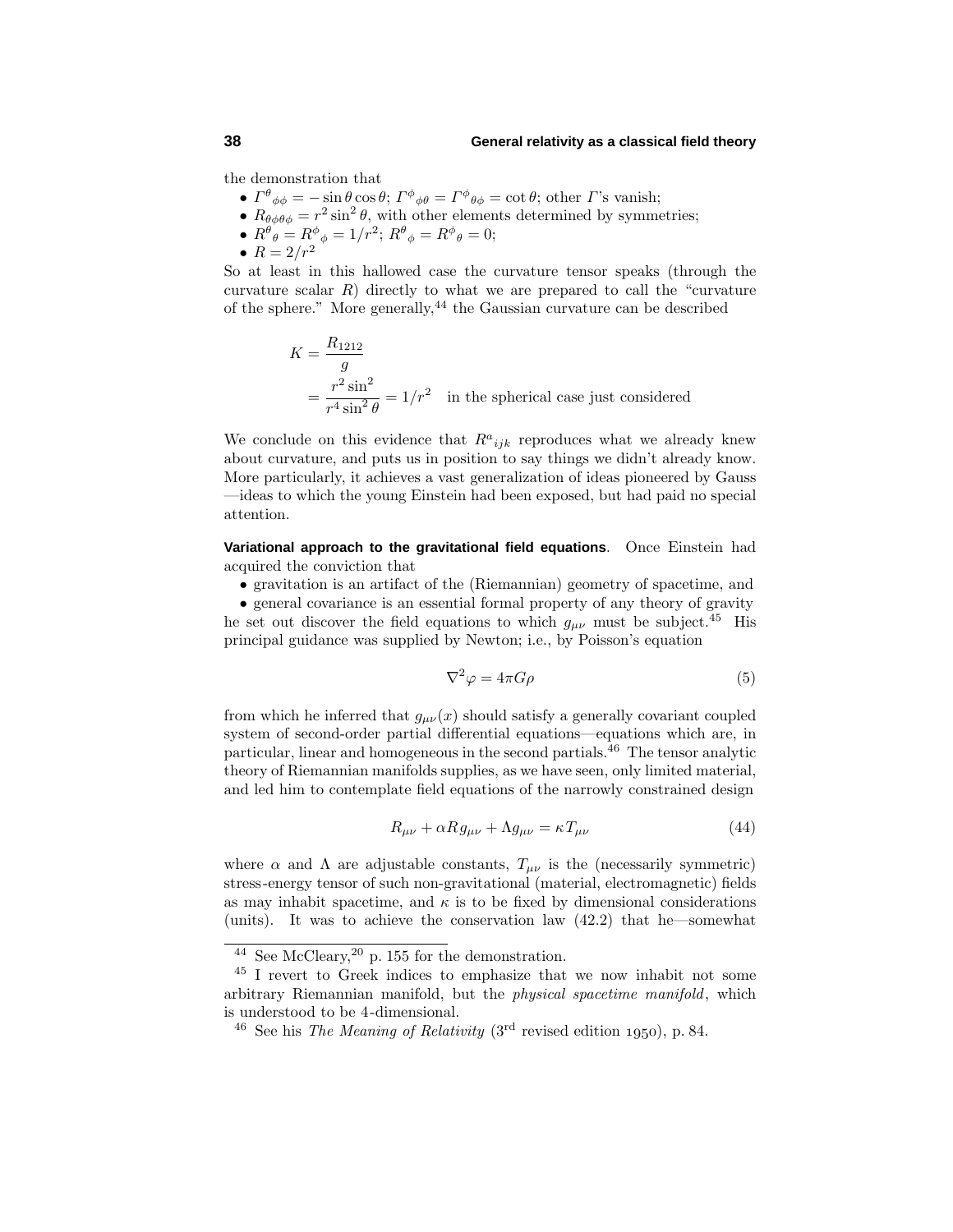the demonstration that

- $\Gamma^{\theta}{}_{\phi\phi} = -\sin\theta\cos\theta$ ;  $\Gamma^{\phi}{}_{\phi\theta} = \Gamma^{\phi}{}_{\theta\phi} = \cot\theta$ ; other *Γ*'s vanish;
- $R_{\theta \phi \theta \phi} = r^2 \sin^2 \theta$ , with other elements determined by symmetries;
- $\bullet$   $R^{\theta}{}_{\theta} = R^{\phi}{}_{\phi} = 1/r^2; R^{\theta}{}_{\phi} = R^{\phi}{}_{\theta} = 0;$
- $R = 2/r^2$

So at least in this hallowed case the curvature tensor speaks (through the curvature scalar  $R$ ) directly to what we are prepared to call the "curvature" of the sphere." More generally,  $44$  the Gaussian curvature can be described

> $K = \frac{R_{1212}}{g}$  $=\frac{r^2 \sin^2}{r^4 \sin^2 \theta} = 1/r^2$  in the spherical case just considered

We conclude on this evidence that  $R^a{}_{ijk}$  reproduces what we already knew about curvature, and puts us in position to say things we didn't already know. More particularly, it achieves a vast generalization of ideas pioneered by Gauss —ideas to which the young Einstein had been exposed, but had paid no special attention.

**Variational approach to the gravitational field equations**. Once Einstein had acquired the conviction that

• gravitation is an artifact of the (Riemannian) geometry of spacetime, and

• general covariance is an essential formal property of any theory of gravity he set out discover the field equations to which  $g_{\mu\nu}$  must be subject.<sup>45</sup> His principal guidance was supplied by Newton; i.e., by Poisson's equation

$$
\nabla^2 \varphi = 4\pi G \rho \tag{5}
$$

from which he inferred that  $g_{\mu\nu}(x)$  should satisfy a generally covariant coupled system of second-order partial differential equations—equations which are, in particular, linear and homogeneous in the second partials.<sup>46</sup> The tensor analytic theory of Riemannian manifolds supplies, as we have seen, only limited material, and led him to contemplate field equations of the narrowly constrained design

$$
R_{\mu\nu} + \alpha R g_{\mu\nu} + \Lambda g_{\mu\nu} = \kappa T_{\mu\nu} \tag{44}
$$

where  $\alpha$  and  $\Lambda$  are adjustable constants,  $T_{\mu\nu}$  is the (necessarily symmetric) stress-energy tensor of such non-gravitational (material, electromagnetic) fields as may inhabit spacetime, and  $\kappa$  is to be fixed by dimensional considerations (units). It was to achieve the conservation law (42.2) that he—somewhat

<sup>&</sup>lt;sup>44</sup> See McCleary,<sup>20</sup> p. 155 for the demonstration.

<sup>45</sup> I revert to Greek indices to emphasize that we now inhabit not some arbitrary Riemannian manifold, but the physical spacetime manifold, which is understood to be 4-dimensional.

<sup>&</sup>lt;sup>46</sup> See his *The Meaning of Relativity* ( $3<sup>rd</sup>$  revised edition 1950), p. 84.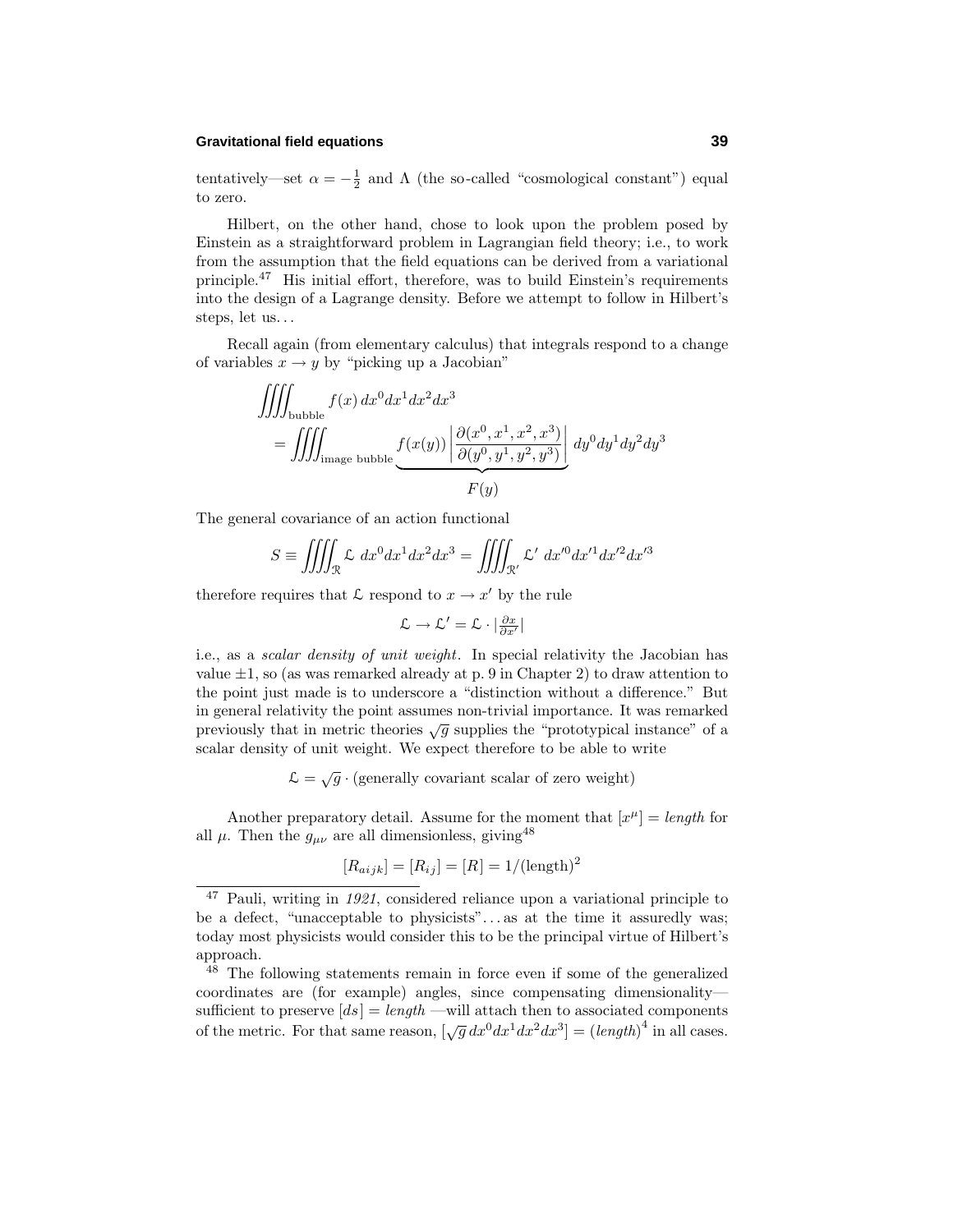### **Gravitational field equations 39**

tentatively—set  $\alpha = -\frac{1}{2}$  and  $\Lambda$  (the so-called "cosmological constant") equal to zero.

Hilbert, on the other hand, chose to look upon the problem posed by Einstein as a straightforward problem in Lagrangian field theory; i.e., to work from the assumption that the field equations can be derived from a variational principle.<sup>47</sup> His initial effort, therefore, was to build Einstein's requirements into the design of a Lagrange density. Before we attempt to follow in Hilbert's steps, let us*...*

Recall again (from elementary calculus) that integrals respond to a change of variables  $x \to y$  by "picking up a Jacobian"

$$
\iiint_{\text{bubble}} f(x) dx^0 dx^1 dx^2 dx^3
$$
  
= 
$$
\iiint_{\text{image bubble}} \underbrace{f(x(y)) \left| \frac{\partial(x^0, x^1, x^2, x^3)}{\partial(y^0, y^1, y^2, y^3)} \right|}_{F(y)} dy^0 dy^1 dy^2 dy^3
$$

The general covariance of an action functional

$$
S \equiv \iiint_{\mathcal{R}} \mathcal{L} dx^0 dx^1 dx^2 dx^3 = \iiint_{\mathcal{R}'} \mathcal{L}' dx'^0 dx'^1 dx'^2 dx'^3
$$

therefore requires that  $\mathcal L$  respond to  $x \to x'$  by the rule

$$
\mathcal{L} \to \mathcal{L}' = \mathcal{L} \cdot |\frac{\partial x}{\partial x'}|
$$

i.e., as a scalar density of unit weight. In special relativity the Jacobian has value  $\pm 1$ , so (as was remarked already at p. 9 in Chapter 2) to draw attention to the point just made is to underscore a "distinction without a difference." But in general relativity the point assumes non-trivial importance. It was remarked previously that in metric theories  $\sqrt{g}$  supplies the "prototypical instance" of a scalar density of unit weight. We expect therefore to be able to write

$$
\mathcal{L} = \sqrt{g} \cdot \text{(generally covariant scalar of zero weight)}
$$

Another preparatory detail. Assume for the moment that  $[x^{\mu}] = \text{length}$  for all  $\mu$ . Then the  $g_{\mu\nu}$  are all dimensionless, giving<sup>48</sup>

$$
[R_{aijk}] = [R_{ij}] = [R] = 1/(\text{length})^2
$$

 $47$  Pauli, writing in 1921, considered reliance upon a variational principle to be a defect, "unacceptable to physicists"*...* as at the time it assuredly was; today most physicists would consider this to be the principal virtue of Hilbert's approach.

<sup>&</sup>lt;sup>48</sup> The following statements remain in force even if some of the generalized coordinates are (for example) angles, since compensating dimensionality sufficient to preserve  $(ds) = length$  —will attach then to associated components of the metric. For that same reason,  $[\sqrt{g} dx^0 dx^1 dx^2 dx^3] = (length)^4$  in all cases.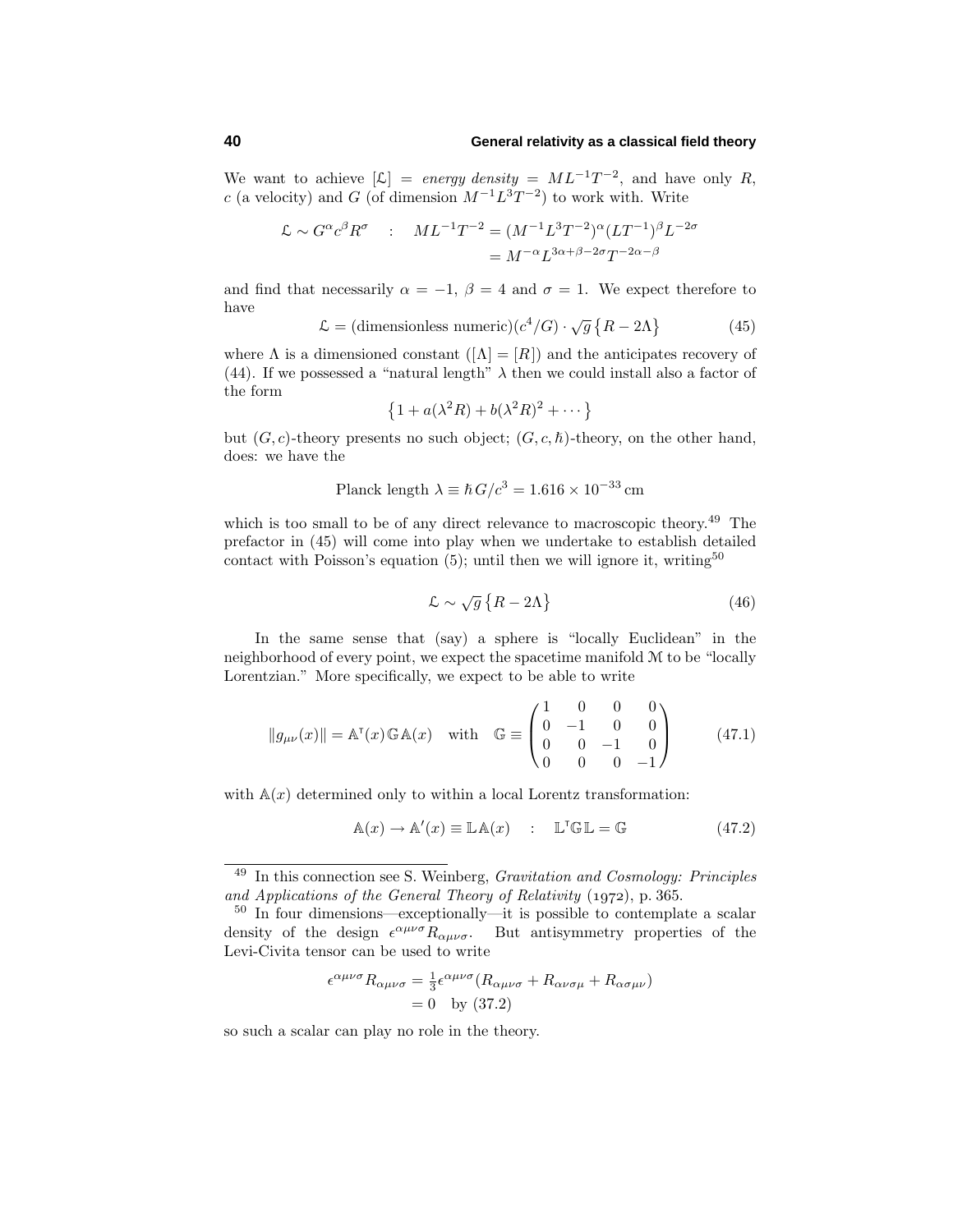We want to achieve  $[\mathcal{L}] = energy density = ML^{-1}T^{-2}$ , and have only *R*, *c* (a velocity) and *G* (of dimension  $M^{-1}L^{3}T^{-2}$ ) to work with. Write

$$
\mathcal{L} \sim G^{\alpha} c^{\beta} R^{\sigma} \quad : \quad M L^{-1} T^{-2} = (M^{-1} L^{3} T^{-2})^{\alpha} (L T^{-1})^{\beta} L^{-2\sigma}
$$

$$
= M^{-\alpha} L^{3\alpha + \beta - 2\sigma} T^{-2\alpha - \beta}
$$

and find that necessarily  $\alpha = -1$ ,  $\beta = 4$  and  $\sigma = 1$ . We expect therefore to have

$$
\mathcal{L} = (\text{dimensionless numeric})(c^4/G) \cdot \sqrt{g} \{R - 2\Lambda\} \tag{45}
$$

where  $\Lambda$  is a dimensioned constant  $([\Lambda] = [R])$  and the anticipates recovery of (44). If we possessed a "natural length" *λ* then we could install also a factor of the form

$$
\{1 + a(\lambda^2 R) + b(\lambda^2 R)^2 + \cdots\}
$$

but  $(G, c)$ -theory presents no such object;  $(G, c, \hbar)$ -theory, on the other hand, does: we have the

Planck length 
$$
\lambda \equiv \hbar G/c^3 = 1.616 \times 10^{-33} \,\text{cm}
$$

which is too small to be of any direct relevance to macroscopic theory.<sup>49</sup> The prefactor in (45) will come into play when we undertake to establish detailed contact with Poisson's equation  $(5)$ ; until then we will ignore it, writing<sup>50</sup>

$$
\mathcal{L} \sim \sqrt{g} \left\{ R - 2\Lambda \right\} \tag{46}
$$

In the same sense that (say) a sphere is "locally Euclidean" in the neighborhood of every point, we expect the spacetime manifold M to be "locally Lorentzian." More specifically, we expect to be able to write

$$
||g_{\mu\nu}(x)|| = \mathbb{A}^{\mathsf{T}}(x) \mathbb{G} \mathbb{A}(x) \quad \text{with} \quad \mathbb{G} \equiv \begin{pmatrix} 1 & 0 & 0 & 0 \\ 0 & -1 & 0 & 0 \\ 0 & 0 & -1 & 0 \\ 0 & 0 & 0 & -1 \end{pmatrix} \tag{47.1}
$$

with  $A(x)$  determined only to within a local Lorentz transformation:

$$
\mathbb{A}(x) \to \mathbb{A}'(x) \equiv \mathbb{L}\mathbb{A}(x) \quad : \quad \mathbb{L}^{\mathsf{T}}\mathbb{GL} = \mathbb{G} \tag{47.2}
$$

$$
\epsilon^{\alpha\mu\nu\sigma} R_{\alpha\mu\nu\sigma} = \frac{1}{3} \epsilon^{\alpha\mu\nu\sigma} (R_{\alpha\mu\nu\sigma} + R_{\alpha\nu\sigma\mu} + R_{\alpha\sigma\mu\nu})
$$
  
= 0 by (37.2)

so such a scalar can play no role in the theory.

<sup>&</sup>lt;sup>49</sup> In this connection see S. Weinberg, *Gravitation and Cosmology: Principles* and Applications of the General Theory of Relativity  $(1972)$ , p. 365.

<sup>50</sup> In four dimensions—exceptionally—it is possible to contemplate a scalar density of the design  $\epsilon^{\alpha\mu\nu\sigma}R_{\alpha\mu\nu\sigma}$ . But antisymmetry properties of the Levi-Civita tensor can be used to write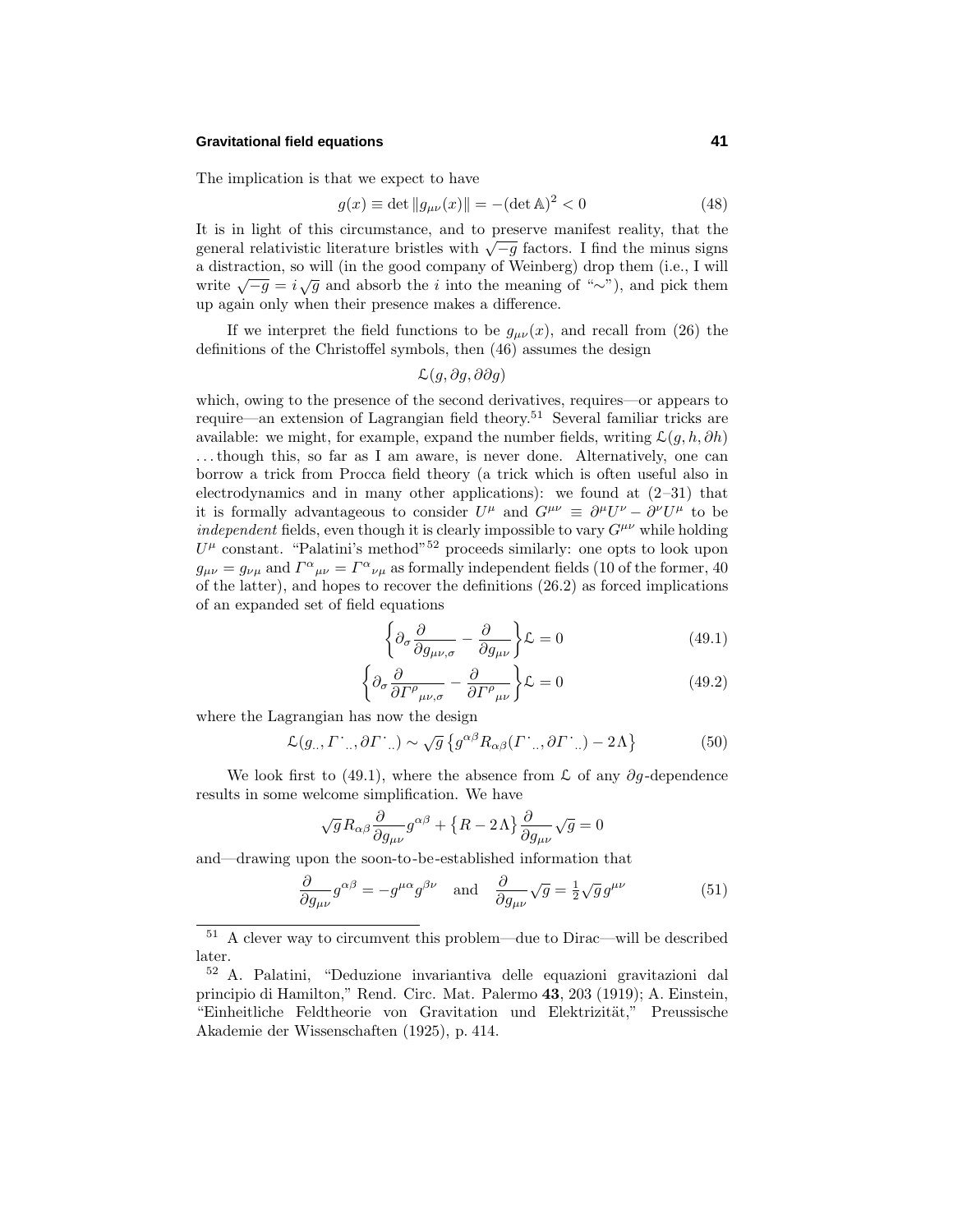### **Gravitational field equations 41**

The implication is that we expect to have

$$
g(x) \equiv \det ||g_{\mu\nu}(x)|| = -(\det \mathbb{A})^2 < 0 \tag{48}
$$

It is in light of this circumstance, and to preserve manifest reality, that the general relativistic literature bristles with  $\sqrt{-g}$  factors. I find the minus signs a distraction, so will (in the good company of Weinberg) drop them (i.e., I will write  $\sqrt{-g} = i\sqrt{g}$  and absorb the *i* into the meaning of "∼"), and pick them up again only when their presence makes a difference.

If we interpret the field functions to be  $g_{\mu\nu}(x)$ , and recall from (26) the definitions of the Christoffel symbols, then (46) assumes the design

$$
\mathcal{L}(g, \partial g, \partial \partial g)
$$

which, owing to the presence of the second derivatives, requires—or appears to require—an extension of Lagrangian field theory.<sup>51</sup> Several familiar tricks are available: we might, for example, expand the number fields, writing  $\mathcal{L}(g, h, \partial h)$ *...*though this, so far as I am aware, is never done. Alternatively, one can borrow a trick from Procca field theory (a trick which is often useful also in electrodynamics and in many other applications): we found at  $(2-31)$  that it is formally advantageous to consider  $U^{\mu}$  and  $G^{\mu\nu} \equiv \partial^{\mu}U^{\nu} - \partial^{\nu}U^{\mu}$  to be independent fields, even though it is clearly impossible to vary  $G^{\mu\nu}$  while holding  $U^{\mu}$  constant. "Palatini's method"<sup>52</sup> proceeds similarly: one opts to look upon  $g_{\mu\nu} = g_{\nu\mu}$  and  $\Gamma^{\alpha}{}_{\mu\nu} = \Gamma^{\alpha}{}_{\nu\mu}$  as formally independent fields (10 of the former, 40 of the latter), and hopes to recover the definitions (26.2) as forced implications of an expanded set of field equations

$$
\left\{\partial_{\sigma}\frac{\partial}{\partial g_{\mu\nu,\sigma}} - \frac{\partial}{\partial g_{\mu\nu}}\right\}\mathcal{L} = 0
$$
\n(49.1)

$$
\left\{\partial_{\sigma}\frac{\partial}{\partial\Gamma^{\rho}{}_{\mu\nu,\sigma}} - \frac{\partial}{\partial\Gamma^{\rho}{}_{\mu\nu}}\right\}\mathcal{L} = 0
$$
\n(49.2)

where the Lagrangian has now the design

$$
\mathcal{L}(g_{\cdot\cdot}, \Gamma^{\cdot\cdot}_{\cdot\cdot}, \partial \Gamma^{\cdot}_{\cdot\cdot}) \sim \sqrt{g} \left\{ g^{\alpha\beta} R_{\alpha\beta} (\Gamma^{\cdot}_{\cdot\cdot}, \partial \Gamma^{\cdot}_{\cdot\cdot}) - 2\Lambda \right\}
$$
 (50)

We look first to (49.1), where the absence from L of any *∂g* -dependence results in some welcome simplification. We have

$$
\sqrt{g}\,R_{\alpha\beta}\frac{\partial}{\partial g_{\mu\nu}}g^{\alpha\beta}+\left\{R-2\,\Lambda\right\}\frac{\partial}{\partial g_{\mu\nu}}\sqrt{g}=0
$$

and—drawing upon the soon-to-be-established information that

$$
\frac{\partial}{\partial g_{\mu\nu}}g^{\alpha\beta} = -g^{\mu\alpha}g^{\beta\nu} \quad \text{and} \quad \frac{\partial}{\partial g_{\mu\nu}}\sqrt{g} = \frac{1}{2}\sqrt{g}g^{\mu\nu} \tag{51}
$$

 $51$  A clever way to circumvent this problem—due to Dirac—will be described later.

<sup>52</sup> A. Palatini, "Deduzione invariantiva delle equazioni gravitazioni dal principio di Hamilton," Rend. Circ. Mat. Palermo **43**, 203 (1919); A. Einstein, "Einheitliche Feldtheorie von Gravitation und Elektrizität," Preussische Akademie der Wissenschaften (1925), p. 414.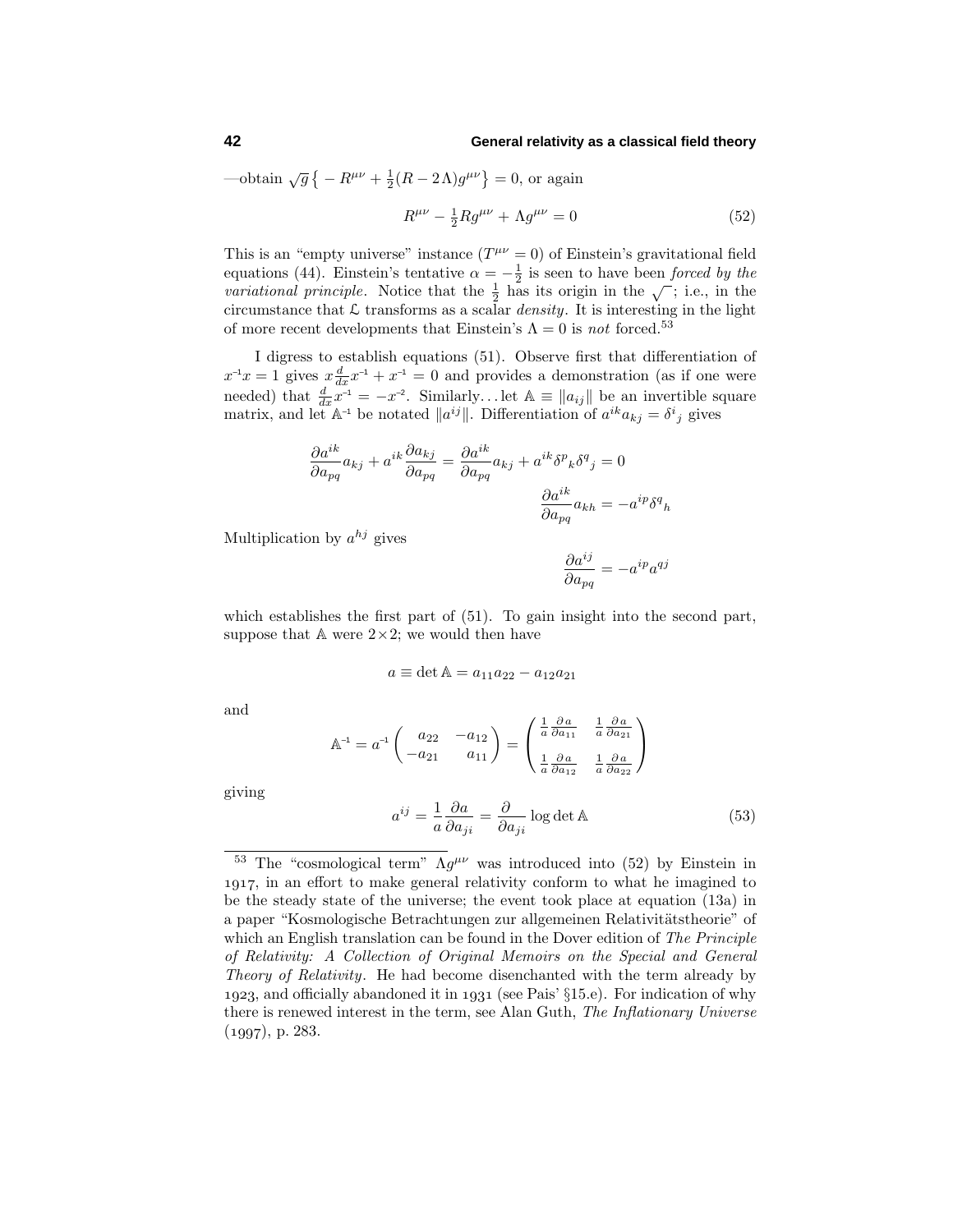—obtain  $\sqrt{g} \left\{ -R^{\mu\nu} + \frac{1}{2}(R - 2\Lambda)g^{\mu\nu} \right\} = 0$ , or again

$$
R^{\mu\nu} - \frac{1}{2} R g^{\mu\nu} + \Lambda g^{\mu\nu} = 0 \tag{52}
$$

This is an "empty universe" instance  $(T^{\mu\nu} = 0)$  of Einstein's gravitational field equations (44). Einstein's tentative  $\alpha = -\frac{1}{2}$  is seen to have been forced by the variational principle. Notice that the  $\frac{1}{2}$  has its origin in the  $\sqrt{\ }$ ; i.e., in the circumstance that  $\mathcal L$  transforms as a scalar *density*. It is interesting in the light of more recent developments that Einstein's  $\Lambda = 0$  is not forced.<sup>53</sup>

I digress to establish equations (51). Observe first that differentiation of  $x^{-1}x = 1$  gives  $x \frac{d}{dx} x^{-1} + x^{-1} = 0$  and provides a demonstration (as if one were needed) that  $\frac{d}{dx}x^{-1} = -x^{-2}$ . Similarly... let  $\mathbb{A} \equiv ||a_{ij}||$  be an invertible square matrix, and let  $\mathbb{A}^{-1}$  be notated  $||a^{ij}||$ . Differentiation of  $a^{ik}a_{kj} = \delta^i{}_j$  gives

$$
\frac{\partial a^{ik}}{\partial a_{pq}} a_{kj} + a^{ik} \frac{\partial a_{kj}}{\partial a_{pq}} = \frac{\partial a^{ik}}{\partial a_{pq}} a_{kj} + a^{ik} \delta^p{}_k \delta^q{}_j = 0
$$

$$
\frac{\partial a^{ik}}{\partial a_{pq}} a_{kh} = -a^{ip} \delta^q{}_h
$$

Multiplication by  $a^{hj}$  gives

$$
\frac{\partial a^{ij}}{\partial a_{pq}} = -a^{ip}a^{qj}
$$

 $\setminus$  $\overline{1}$ 

which establishes the first part of  $(51)$ . To gain insight into the second part, suppose that A were  $2 \times 2$ ; we would then have

$$
a \equiv \det A = a_{11}a_{22} - a_{12}a_{21}
$$

and

$$
\mathbb{A}^{-1} = a^{-1} \begin{pmatrix} a_{22} & -a_{12} \\ -a_{21} & a_{11} \end{pmatrix} = \begin{pmatrix} \frac{1}{a} \frac{\partial a}{\partial a_{11}} & \frac{1}{a} \frac{\partial a}{\partial a_{21}} \\ \frac{1}{a} \frac{\partial a}{\partial a_{12}} & \frac{1}{a} \frac{\partial a}{\partial a_{22}} \end{pmatrix}
$$

giving

$$
a^{ij} = \frac{1}{a} \frac{\partial a}{\partial a_{ji}} = \frac{\partial}{\partial a_{ji}} \log \det \mathbb{A}
$$
 (53)

The "cosmological term"  $\Lambda g^{\mu\nu}$  was introduced into (52) by Einstein in , in an effort to make general relativity conform to what he imagined to be the steady state of the universe; the event took place at equation (13a) in a paper "Kosmologische Betrachtungen zur allgemeinen Relativitätstheorie" of which an English translation can be found in the Dover edition of The Principle of Relativity: A Collection of Original Memoirs on the Special and General Theory of Relativity. He had become disenchanted with the term already by 1923, and officially abandoned it in 1931 (see Pais'  $§15.e$ ). For indication of why there is renewed interest in the term, see Alan Guth, The Inflationary Universe  $(1997), p. 283.$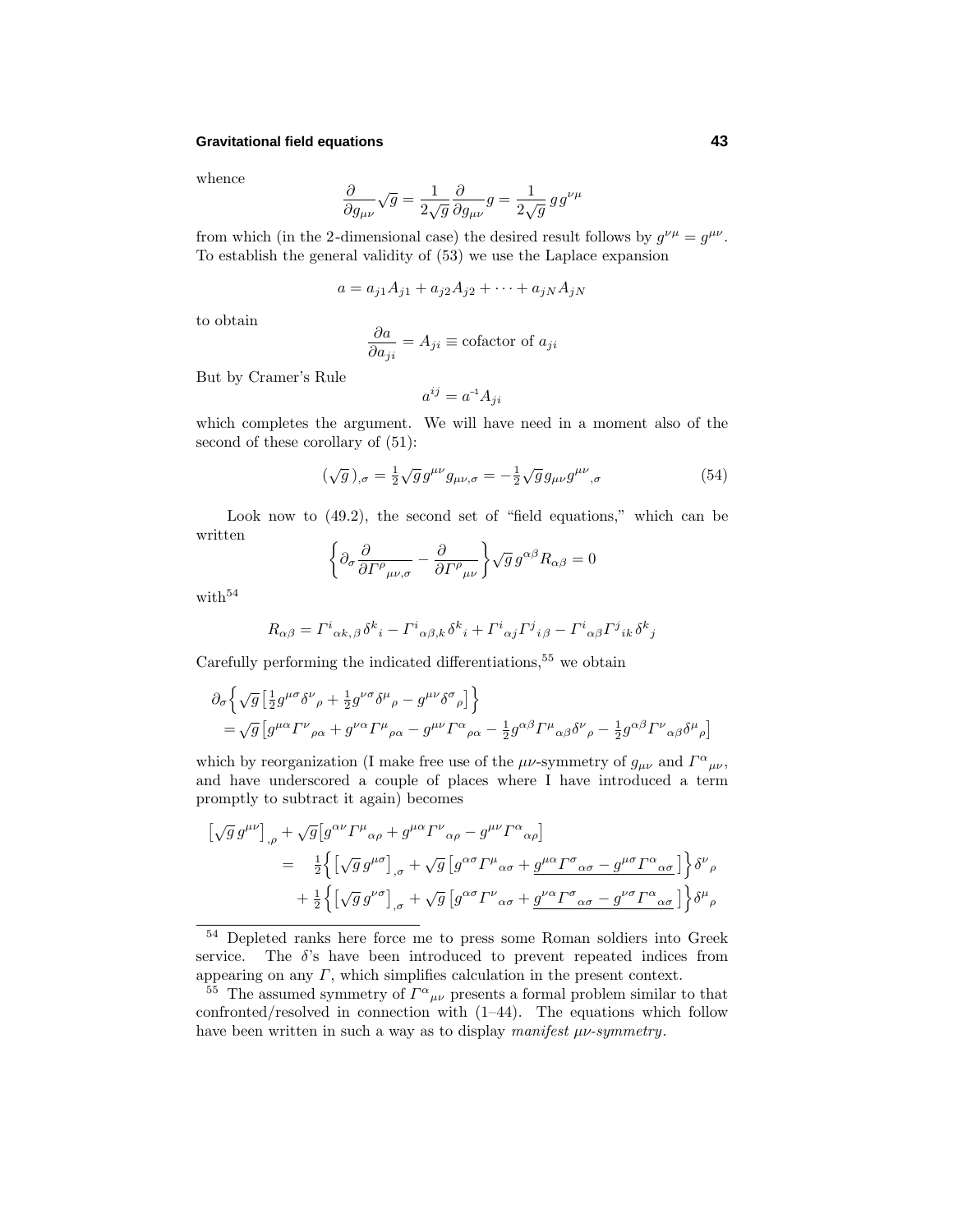### **Gravitational field equations 43**

whence

$$
\frac{\partial}{\partial g_{\mu\nu}}\sqrt{g} = \frac{1}{2\sqrt{g}}\frac{\partial}{\partial g_{\mu\nu}}g = \frac{1}{2\sqrt{g}}\,g\,g^{\nu\mu}
$$

from which (in the 2-dimensional case) the desired result follows by  $g^{\nu\mu} = g^{\mu\nu}$ . To establish the general validity of (53) we use the Laplace expansion

$$
a = a_{j1}A_{j1} + a_{j2}A_{j2} + \cdots + a_{jN}A_{jN}
$$

to obtain

$$
\frac{\partial a}{\partial a_{ji}} = A_{ji} \equiv \text{cofactor of } a_{ji}
$$

But by Cramer's Rule

$$
a^{ij} = a^{-1} A_{ji}
$$

which completes the argument. We will have need in a moment also of the second of these corollary of (51):

$$
(\sqrt{g})_{,\sigma} = \frac{1}{2}\sqrt{g}g^{\mu\nu}g_{\mu\nu,\sigma} = -\frac{1}{2}\sqrt{g}g_{\mu\nu}g^{\mu\nu}{}_{,\sigma}
$$
(54)

Look now to  $(49.2)$ , the second set of "field equations," which can be written

$$
\left\{\partial_{\sigma}\frac{\partial}{\partial\Gamma^{\rho}{}_{\mu\nu,\sigma}} - \frac{\partial}{\partial\Gamma^{\rho}{}_{\mu\nu}}\right\}\sqrt{g} \,g^{\alpha\beta}R_{\alpha\beta} = 0
$$

with  $54$ 

$$
R_{\alpha\beta} = \Gamma^i{}_{\alpha k,\beta} \delta^k{}_i - \Gamma^i{}_{\alpha\beta,k} \delta^k{}_i + \Gamma^i{}_{\alpha j} \Gamma^j{}_{i\beta} - \Gamma^i{}_{\alpha\beta} \Gamma^j{}_{ik} \delta^k{}_j
$$

Carefully performing the indicated differentiations,  $55$  we obtain

$$
\begin{split} &\partial_{\sigma}\Bigl\{\sqrt{g}\,\bigl[\tfrac{1}{2}g^{\mu\sigma}\delta^{\nu}{}_{\rho}+\tfrac{1}{2}g^{\nu\sigma}\delta^{\mu}{}_{\rho}-g^{\mu\nu}\delta^{\sigma}{}_{\rho}\bigr]\Bigr\}\\ &=\sqrt{g}\,\bigl[g^{\mu\alpha} \varGamma^{\nu}{}_{\rho\alpha}+g^{\nu\alpha} \varGamma^{\mu}{}_{\rho\alpha}-g^{\mu\nu} \varGamma^{\alpha}{}_{\rho\alpha}-\tfrac{1}{2}g^{\alpha\beta} \varGamma^{\mu}{}_{\alpha\beta}\delta^{\nu}{}_{\rho}-\tfrac{1}{2}g^{\alpha\beta} \varGamma^{\nu}{}_{\alpha\beta}\delta^{\mu}{}_{\rho}\bigr] \end{split}
$$

which by reorganization (I make free use of the  $\mu\nu$ -symmetry of  $g_{\mu\nu}$  and  $\Gamma^{\alpha}{}_{\mu\nu}$ , and have underscored a couple of places where I have introduced a term promptly to subtract it again) becomes

$$
\begin{split} \left[\sqrt{g} \, g^{\mu\nu}\right]_{,\rho} + \sqrt{g} \Big[g^{\alpha\nu} \Gamma^{\mu}{}_{\alpha\rho} + g^{\mu\alpha} \Gamma^{\nu}{}_{\alpha\rho} - g^{\mu\nu} \Gamma^{\alpha}{}_{\alpha\rho}\right] \\ & = \quad \frac{1}{2} \Big\{ \Big[\sqrt{g} \, g^{\mu\sigma}\Big]_{,\sigma} + \sqrt{g} \, \Big[g^{\alpha\sigma} \Gamma^{\mu}{}_{\alpha\sigma} + g^{\mu\alpha} \Gamma^{\sigma}{}_{\alpha\sigma} - g^{\mu\sigma} \Gamma^{\alpha}{}_{\alpha\sigma}\Big] \Big\} \delta^{\nu}{}_{\rho} \\ & + \frac{1}{2} \Big\{ \Big[\sqrt{g} \, g^{\nu\sigma}\Big]_{,\sigma} + \sqrt{g} \, \Big[g^{\alpha\sigma} \Gamma^{\nu}{}_{\alpha\sigma} + \underline{g^{\nu\alpha} \Gamma^{\sigma}{}_{\alpha\sigma} - g^{\nu\sigma} \Gamma^{\alpha}{}_{\alpha\sigma}\Big]} \Big\} \delta^{\mu}{}_{\rho} \end{split}
$$

<sup>54</sup> Depleted ranks here force me to press some Roman soldiers into Greek service. The  $\delta$ 's have been introduced to prevent repeated indices from appearing on any *Γ*, which simplifies calculation in the present context.

<sup>&</sup>lt;sup>55</sup> The assumed symmetry of  $\Gamma^{\alpha}{}_{\mu\nu}$  presents a formal problem similar to that confronted/resolved in connection with (1–44). The equations which follow have been written in such a way as to display manifest *µν*-symmetry.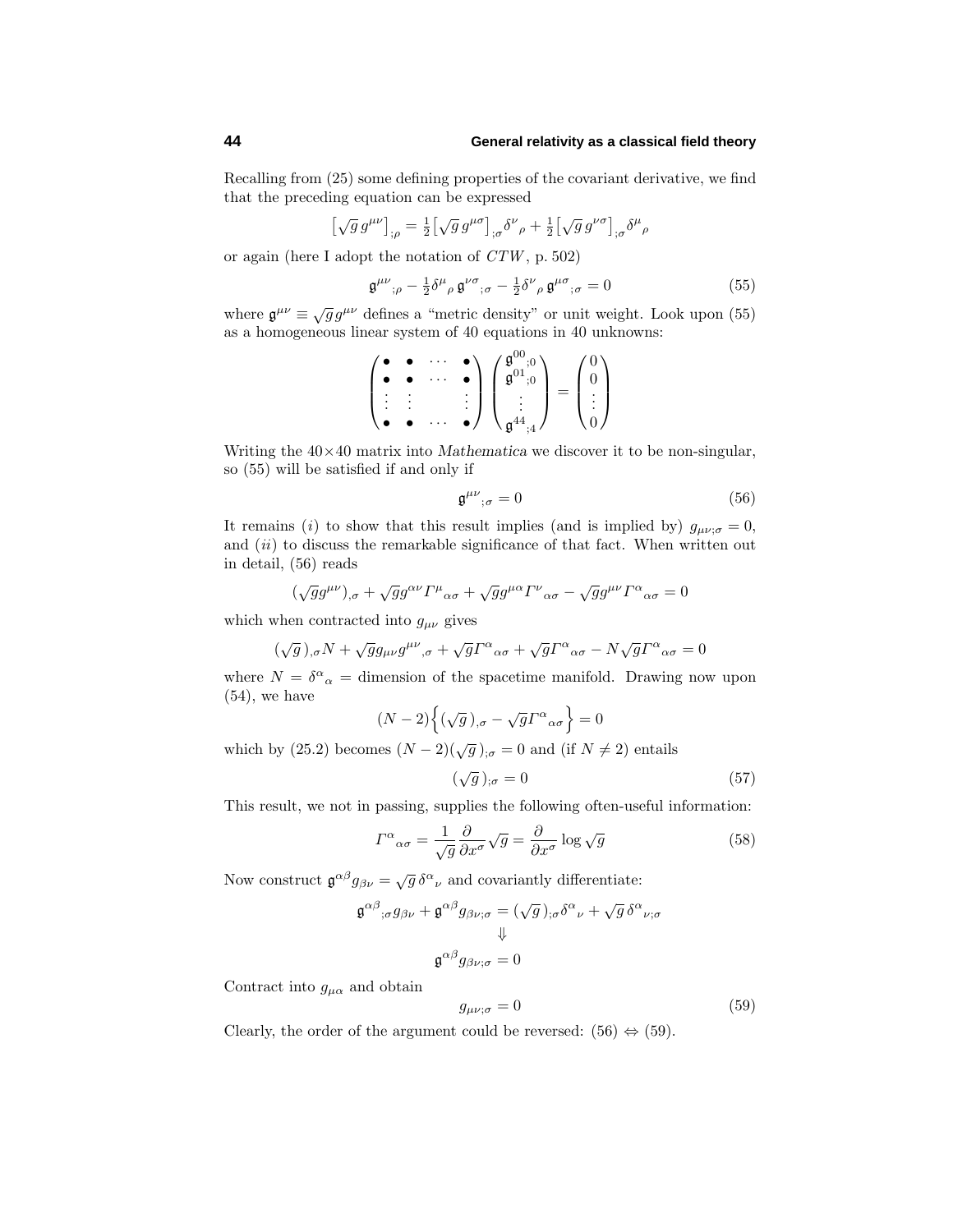Recalling from (25) some defining properties of the covariant derivative, we find that the preceding equation can be expressed

$$
\left[\sqrt{g}\,g^{\mu\nu}\right]_{;\rho}=\tfrac{1}{2}\!\left[\sqrt{g}\,g^{\mu\sigma}\right]_{;\sigma}\!\delta^\nu{}_\rho+\tfrac{1}{2}\!\left[\sqrt{g}\,g^{\nu\sigma}\right]_{;\sigma}\!\delta^\mu{}_\rho
$$

or again (here I adopt the notation of  $CTW$ , p. 502)

$$
\mathfrak{g}^{\mu\nu}{}_{;\rho} - \frac{1}{2} \delta^{\mu}{}_{\rho} \mathfrak{g}^{\nu\sigma}{}_{;\sigma} - \frac{1}{2} \delta^{\nu}{}_{\rho} \mathfrak{g}^{\mu\sigma}{}_{;\sigma} = 0 \tag{55}
$$

where  $\mathfrak{g}^{\mu\nu} \equiv \sqrt{g} g^{\mu\nu}$  defines a "metric density" or unit weight. Look upon (55) as a homogeneous linear system of 40 equations in 40 unknowns:

$$
\begin{pmatrix}\n\bullet & \bullet & \cdots & \bullet \\
\bullet & \bullet & \cdots & \bullet \\
\vdots & \vdots & & \vdots \\
\bullet & \bullet & \cdots & \bullet\n\end{pmatrix}\n\begin{pmatrix}\n\mathfrak{g}^{00}_{1,0} \\
\mathfrak{g}^{01}_{1,0} \\
\vdots \\
\mathfrak{g}^{44}_{1,4}\n\end{pmatrix}\n=\n\begin{pmatrix}\n0 \\
0 \\
\vdots \\
0\n\end{pmatrix}
$$

Writing the 40×40 matrix into *Mathematica* we discover it to be non-singular, so (55) will be satisfied if and only if

$$
\mathfrak{g}^{\mu\nu};_{\sigma} = 0 \tag{56}
$$

It remains (i) to show that this result implies (and is implied by)  $g_{\mu\nu;\sigma} = 0$ , and  $(ii)$  to discuss the remarkable significance of that fact. When written out in detail, (56) reads

$$
(\sqrt{g}g^{\mu\nu})_{,\sigma} + \sqrt{g}g^{\alpha\nu}\Gamma^{\mu}{}_{\alpha\sigma} + \sqrt{g}g^{\mu\alpha}\Gamma^{\nu}{}_{\alpha\sigma} - \sqrt{g}g^{\mu\nu}\Gamma^{\alpha}{}_{\alpha\sigma} = 0
$$

which when contracted into  $g_{\mu\nu}$  gives

$$
(\sqrt{g}\,),_{\sigma} N+\sqrt{g}g_{\mu\nu}g^{\mu\nu}{}_{,\sigma}+\sqrt{g}\varGamma^{\alpha}{}_{\alpha\sigma}+\sqrt{g}\varGamma^{\alpha}{}_{\alpha\sigma}-N\sqrt{g}\varGamma^{\alpha}{}_{\alpha\sigma}=0
$$

where  $N = \delta^{\alpha}{}_{\alpha}$  = dimension of the spacetime manifold. Drawing now upon  $(54)$ , we have

$$
(N-2)\Big\{(\sqrt{g}\,),_{\sigma}-\sqrt{g}\varGamma^{\alpha}{}_{\alpha\sigma}\Big\}=0
$$

which by (25.2) becomes  $(N-2)(\sqrt{g})_{;\sigma} = 0$  and (if  $N \neq 2$ ) entails

$$
(\sqrt{g}\,)_{{;}\sigma}=0\tag{57}
$$

This result, we not in passing, supplies the following often-useful information:

$$
\Gamma^{\alpha}{}_{\alpha\sigma} = \frac{1}{\sqrt{g}} \frac{\partial}{\partial x^{\sigma}} \sqrt{g} = \frac{\partial}{\partial x^{\sigma}} \log \sqrt{g}
$$
\n(58)

Now construct  $\mathfrak{g}^{\alpha\beta}g_{\beta\nu} = \sqrt{g}\,\delta^{\alpha}{}_{\nu}$  and covariantly differentiate:

$$
\mathfrak{g}^{\alpha\beta}{}_{;\sigma}g_{\beta\nu} + \mathfrak{g}^{\alpha\beta}g_{\beta\nu;\sigma} = (\sqrt{g})_{;\sigma}\delta^{\alpha}{}_{\nu} + \sqrt{g}\,\delta^{\alpha}{}_{\nu;\sigma}
$$

$$
\Downarrow
$$

$$
\mathfrak{g}^{\alpha\beta}g_{\beta\nu;\sigma} = 0
$$

Contract into  $g_{\mu\alpha}$  and obtain

$$
g_{\mu\nu;\sigma} = 0 \tag{59}
$$

Clearly, the order of the argument could be reversed:  $(56) \Leftrightarrow (59)$ .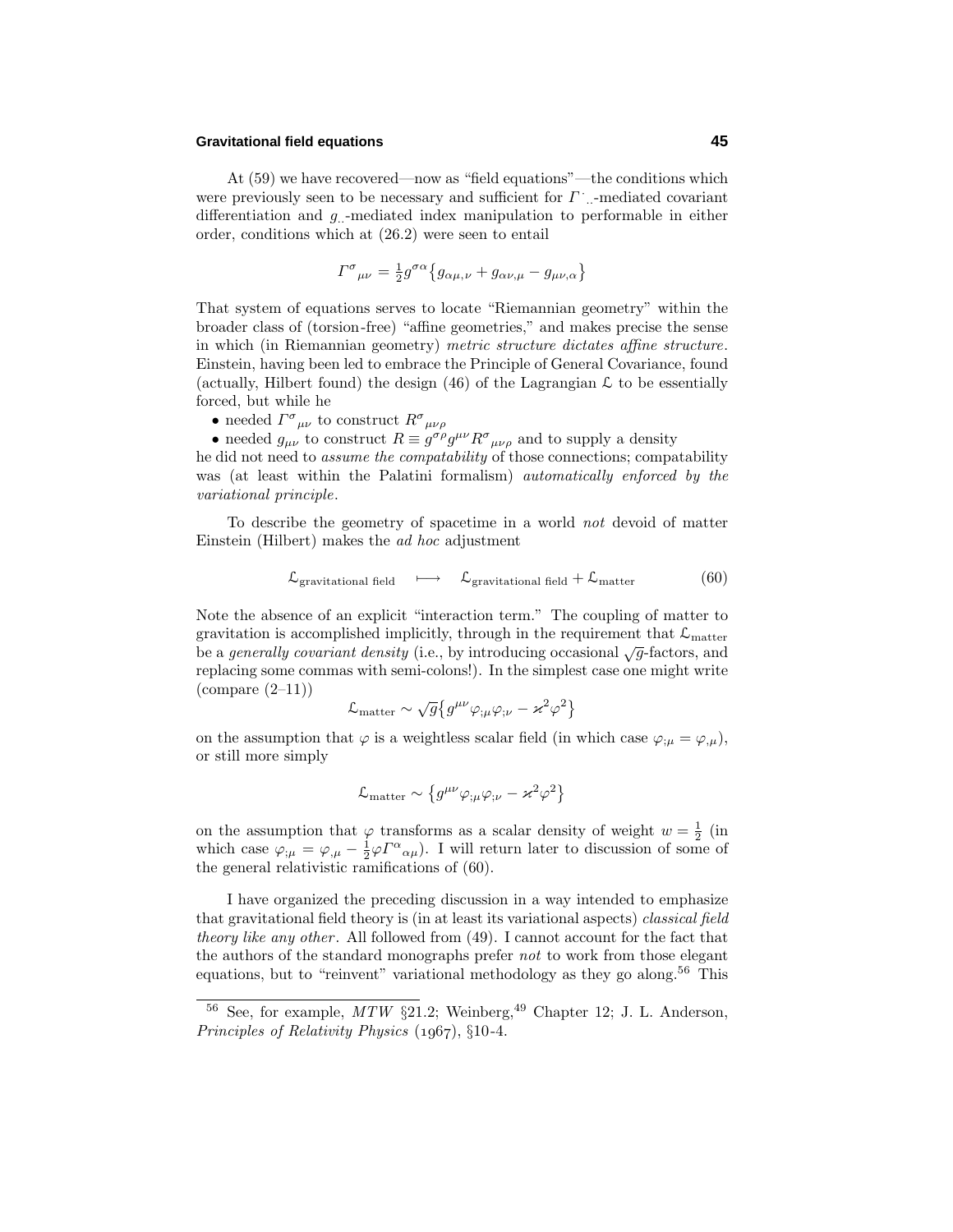### **Gravitational field equations 45**

At (59) we have recovered—now as "field equations"—the conditions which were previously seen to be necessary and sufficient for *Γ* · *..*-mediated covariant differentiation and *g..*-mediated index manipulation to performable in either order, conditions which at (26.2) were seen to entail

$$
\Gamma^{\sigma}{}_{\mu\nu} = \frac{1}{2} g^{\sigma\alpha} \{ g_{\alpha\mu,\nu} + g_{\alpha\nu,\mu} - g_{\mu\nu,\alpha} \}
$$

That system of equations serves to locate "Riemannian geometry" within the broader class of (torsion-free) "affine geometries," and makes precise the sense in which (in Riemannian geometry) metric structure dictates affine structure. Einstein, having been led to embrace the Principle of General Covariance, found (actually, Hilbert found) the design (46) of the Lagrangian  $\mathcal L$  to be essentially forced, but while he

• needed  $\Gamma^{\sigma}{}_{\mu\nu}$  to construct  $R^{\sigma}{}_{\mu\nu\rho}$ 

• needed  $g_{\mu\nu}$  to construct  $R \equiv g^{\sigma\rho}g^{\mu\nu}R^{\sigma}{}_{\mu\nu\rho}$  and to supply a density he did not need to *assume the compatability* of those connections; compatability was (at least within the Palatini formalism) automatically enforced by the variational principle.

To describe the geometry of spacetime in a world not devoid of matter Einstein (Hilbert) makes the ad hoc adjustment

$$
\mathcal{L}_{\text{gravitational field}} \quad \longmapsto \quad \mathcal{L}_{\text{gravitational field}} + \mathcal{L}_{\text{matter}} \tag{60}
$$

Note the absence of an explicit "interaction term." The coupling of matter to gravitation is accomplished implicitly, through in the requirement that  $\mathcal{L}_{\text{matter}}$ be a *generally covariant density* (i.e., by introducing occasional  $\sqrt{g}$ -factors, and replacing some commas with semi-colons!). In the simplest case one might write  $\text{(compare (2-11))}$ 

$$
\mathcal{L}_{\text{matter}} \sim \sqrt{g} \left\{ g^{\mu\nu} \varphi_{;\mu} \varphi_{;\nu} - \varkappa^2 \varphi^2 \right\}
$$

on the assumption that  $\varphi$  is a weightless scalar field (in which case  $\varphi_{;\mu} = \varphi_{,\mu}$ ), or still more simply

$$
\mathcal{L}_\text{matter}\sim\left\{g^{\mu\nu}\varphi_{;\mu}\varphi_{;\nu}-\varkappa^2\varphi^2\right\}
$$

on the assumption that  $\varphi$  transforms as a scalar density of weight  $w = \frac{1}{2}$  (in which case  $\varphi_{;\mu} = \varphi_{,\mu} - \frac{1}{2} \varphi \Gamma^{\alpha}{}_{\alpha\mu}$ . I will return later to discussion of some of the general relativistic ramifications of (60).

I have organized the preceding discussion in a way intended to emphasize that gravitational field theory is (in at least its variational aspects) classical field theory like any other. All followed from  $(49)$ . I cannot account for the fact that the authors of the standard monographs prefer not to work from those elegant equations, but to "reinvent" variational methodology as they go along.<sup>56</sup> This

<sup>&</sup>lt;sup>56</sup> See, for example,  $MTW$  §21.2; Weinberg,<sup>49</sup> Chapter 12; J. L. Anderson, Principles of Relativity Physics  $(1967), \, §10-4.$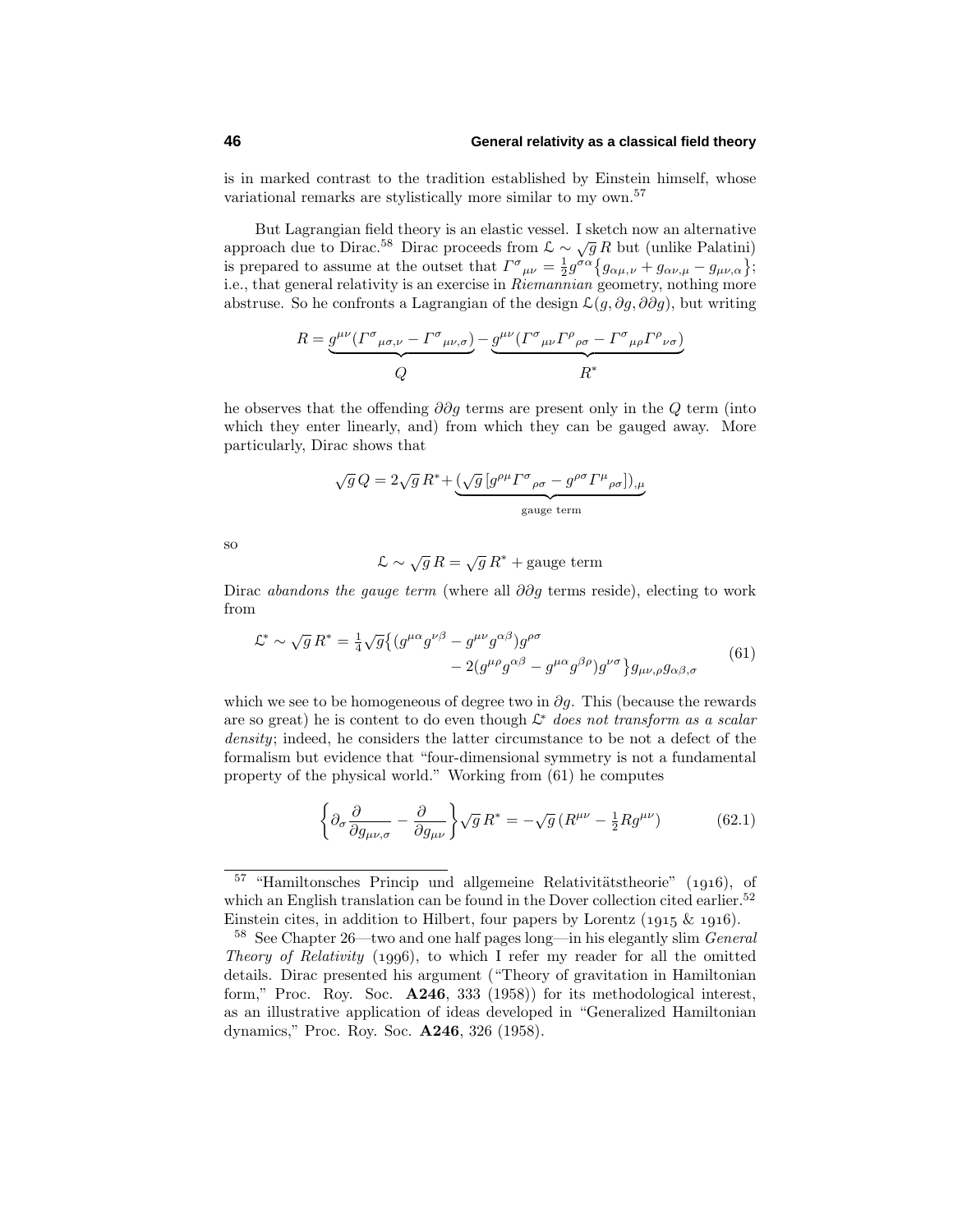is in marked contrast to the tradition established by Einstein himself, whose variational remarks are stylistically more similar to my own.<sup>57</sup>

But Lagrangian field theory is an elastic vessel. I sketch now an alternative approach due to Dirac.<sup>58</sup> Dirac proceeds from <sup>L</sup> <sup>∼</sup> <sup>√</sup>*g R* but (unlike Palatini) is prepared to assume at the outset that  $\Gamma^{\sigma}{}_{\mu\nu} = \frac{1}{2} g^{\dot{\sigma}\alpha} \{g_{\alpha\mu,\nu} + g_{\alpha\nu,\mu} - g_{\mu\nu,\alpha}\};$ i.e., that general relativity is an exercise in Riemannian geometry, nothing more abstruse. So he confronts a Lagrangian of the design L(*g, ∂g, ∂∂g*), but writing

$$
R = \underbrace{g^{\mu\nu}(\Gamma^{\sigma}{}_{\mu\sigma,\nu} - \Gamma^{\sigma}{}_{\mu\nu,\sigma})}_{Q} - \underbrace{g^{\mu\nu}(\Gamma^{\sigma}{}_{\mu\nu}\Gamma^{\rho}{}_{\rho\sigma} - \Gamma^{\sigma}{}_{\mu\rho}\Gamma^{\rho}{}_{\nu\sigma})}_{R^*}
$$

he observes that the offending *∂∂g* terms are present only in the *Q* term (into which they enter linearly, and) from which they can be gauged away. More particularly, Dirac shows that

$$
\sqrt{g} Q = 2\sqrt{g} R^* + \underbrace{(\sqrt{g} \left[ g^{\rho\mu} \Gamma^\sigma{}_{\rho\sigma} - g^{\rho\sigma} \Gamma^\mu{}_{\rho\sigma} \right])_{,\mu}}_{\text{gauge term}}
$$

so

$$
\mathcal{L} \sim \sqrt{g} R = \sqrt{g} R^* +
$$
gauge term

Dirac abandons the gauge term (where all *∂∂g* terms reside), electing to work from

$$
\mathcal{L}^* \sim \sqrt{g} R^* = \frac{1}{4} \sqrt{g} \{ (g^{\mu \alpha} g^{\nu \beta} - g^{\mu \nu} g^{\alpha \beta}) g^{\rho \sigma} - 2(g^{\mu \rho} g^{\alpha \beta} - g^{\mu \alpha} g^{\beta \rho}) g^{\nu \sigma} \} g_{\mu \nu, \rho} g_{\alpha \beta, \sigma}
$$
(61)

which we see to be homogeneous of degree two in *∂g*. This (because the rewards are so great) he is content to do even though  $\mathcal{L}^*$  does not transform as a scalar density; indeed, he considers the latter circumstance to be not a defect of the formalism but evidence that "four-dimensional symmetry is not a fundamental property of the physical world." Working from (61) he computes

$$
\left\{\partial_{\sigma}\frac{\partial}{\partial g_{\mu\nu,\sigma}} - \frac{\partial}{\partial g_{\mu\nu}}\right\}\sqrt{g}R^* = -\sqrt{g}\left(R^{\mu\nu} - \frac{1}{2}Rg^{\mu\nu}\right) \tag{62.1}
$$

 $57$  "Hamiltonsches Princip und allgemeine Relativitätstheorie" (1916), of which an English translation can be found in the Dover collection cited earlier.<sup>52</sup> Einstein cites, in addition to Hilbert, four papers by Lorentz  $(1915 \& 1916)$ .

 $58$  See Chapter 26—two and one half pages long—in his elegantly slim *General* Theory of Relativity (1996), to which I refer my reader for all the omitted details. Dirac presented his argument ("Theory of gravitation in Hamiltonian form," Proc. Roy. Soc. **A246**, 333 (1958)) for its methodological interest, as an illustrative application of ideas developed in "Generalized Hamiltonian dynamics," Proc. Roy. Soc. **A246**, 326 (1958).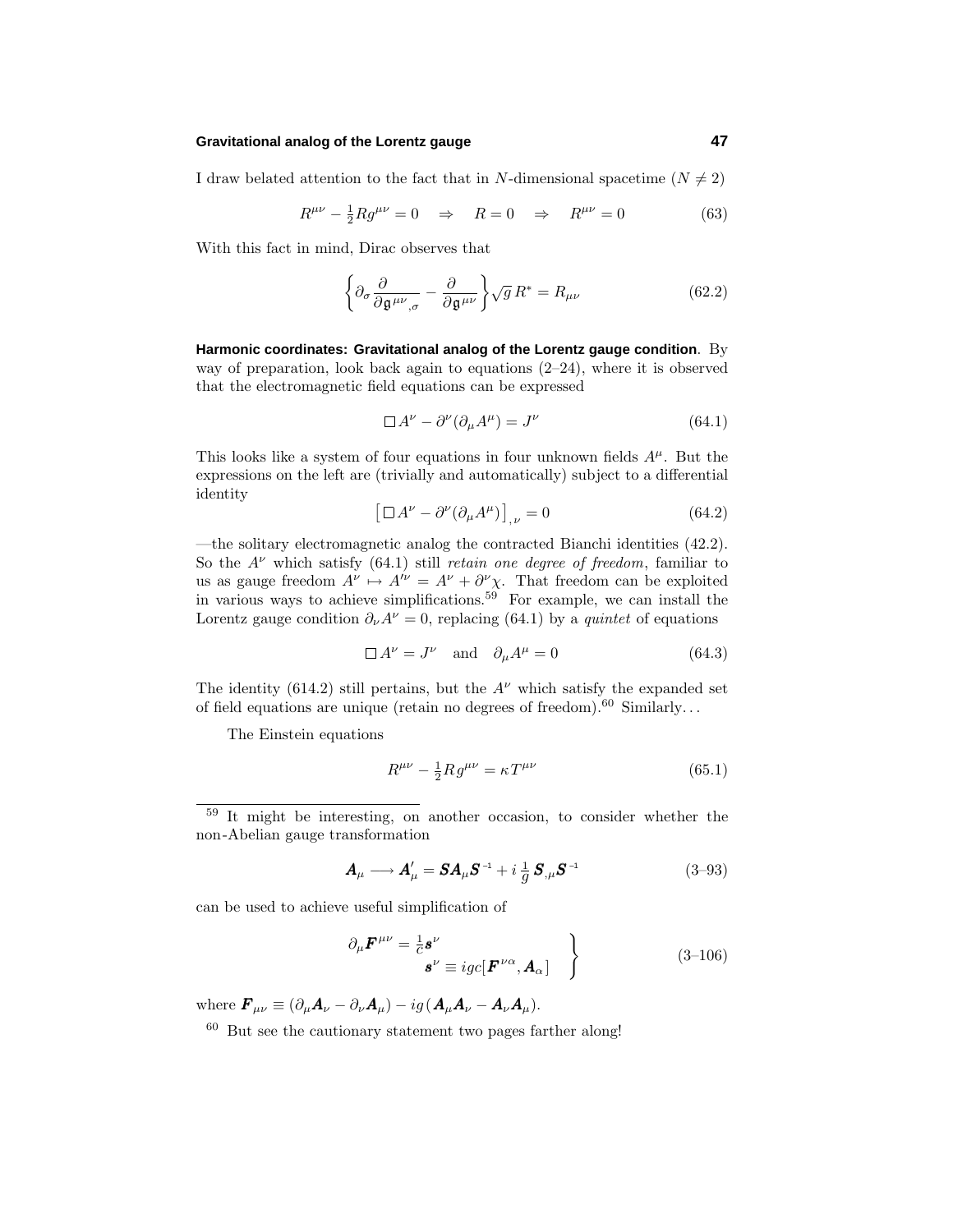### **Gravitational analog of the Lorentz gauge 47**

I draw belated attention to the fact that in *N*-dimensional spacetime  $(N \neq 2)$ 

$$
R^{\mu\nu} - \frac{1}{2} R g^{\mu\nu} = 0 \quad \Rightarrow \quad R = 0 \quad \Rightarrow \quad R^{\mu\nu} = 0 \tag{63}
$$

With this fact in mind, Dirac observes that

$$
\left\{\partial_{\sigma}\frac{\partial}{\partial \mathfrak{g}^{\mu\nu}_{,\sigma} - \frac{\partial}{\partial \mathfrak{g}^{\mu\nu}}\right\}\sqrt{g}R^* = R_{\mu\nu} \tag{62.2}
$$

**Harmonic coordinates: Gravitational analog of the Lorentz gauge condition**. By way of preparation, look back again to equations (2–24), where it is observed that the electromagnetic field equations can be expressed

$$
\Box A^{\nu} - \partial^{\nu} (\partial_{\mu} A^{\mu}) = J^{\nu}
$$
 (64.1)

This looks like a system of four equations in four unknown fields  $A^{\mu}$ . But the expressions on the left are (trivially and automatically) subject to a differential identity

$$
\left[\Box A^{\nu} - \partial^{\nu}(\partial_{\mu}A^{\mu})\right]_{,\nu} = 0 \tag{64.2}
$$

—the solitary electromagnetic analog the contracted Bianchi identities (42.2). So the  $A^{\nu}$  which satisfy (64.1) still *retain one degree of freedom*, familiar to us as gauge freedom  $A^{\nu} \mapsto A^{\prime \nu} = A^{\nu} + \partial^{\nu} \chi$ . That freedom can be exploited in various ways to achieve simplifications.<sup>59</sup> For example, we can install the Lorentz gauge condition  $\partial_{\nu}A^{\nu} = 0$ , replacing (64.1) by a *quintet* of equations

$$
\Box A^{\nu} = J^{\nu} \quad \text{and} \quad \partial_{\mu} A^{\mu} = 0 \tag{64.3}
$$

The identity (614.2) still pertains, but the  $A^{\nu}$  which satisfy the expanded set of field equations are unique (retain no degrees of freedom).  $^{60}$  Similarly.  $\ldots$ 

The Einstein equations

$$
R^{\mu\nu} - \frac{1}{2} R g^{\mu\nu} = \kappa T^{\mu\nu} \tag{65.1}
$$

$$
\mathbf{A}_{\mu} \longrightarrow \mathbf{A}'_{\mu} = \mathbf{S} \mathbf{A}_{\mu} \mathbf{S}^{-1} + i \frac{1}{g} \mathbf{S}_{,\mu} \mathbf{S}^{-1}
$$
 (3-93)

can be used to achieve useful simplification of

$$
\partial_{\mu} \mathbf{F}^{\mu \nu} = \frac{1}{c} \mathbf{s}^{\nu} \n\mathbf{s}^{\nu} \equiv ig c[\mathbf{F}^{\nu \alpha}, \mathbf{A}_{\alpha}]
$$
\n(3-106)

where  $\mathbf{F}_{\mu\nu} \equiv (\partial_{\mu} \mathbf{A}_{\nu} - \partial_{\nu} \mathbf{A}_{\mu}) - ig(\mathbf{A}_{\mu} \mathbf{A}_{\nu} - \mathbf{A}_{\nu} \mathbf{A}_{\mu}).$ 

<sup>59</sup> It might be interesting, on another occasion, to consider whether the non-Abelian gauge transformation

 $60$  But see the cautionary statement two pages farther along!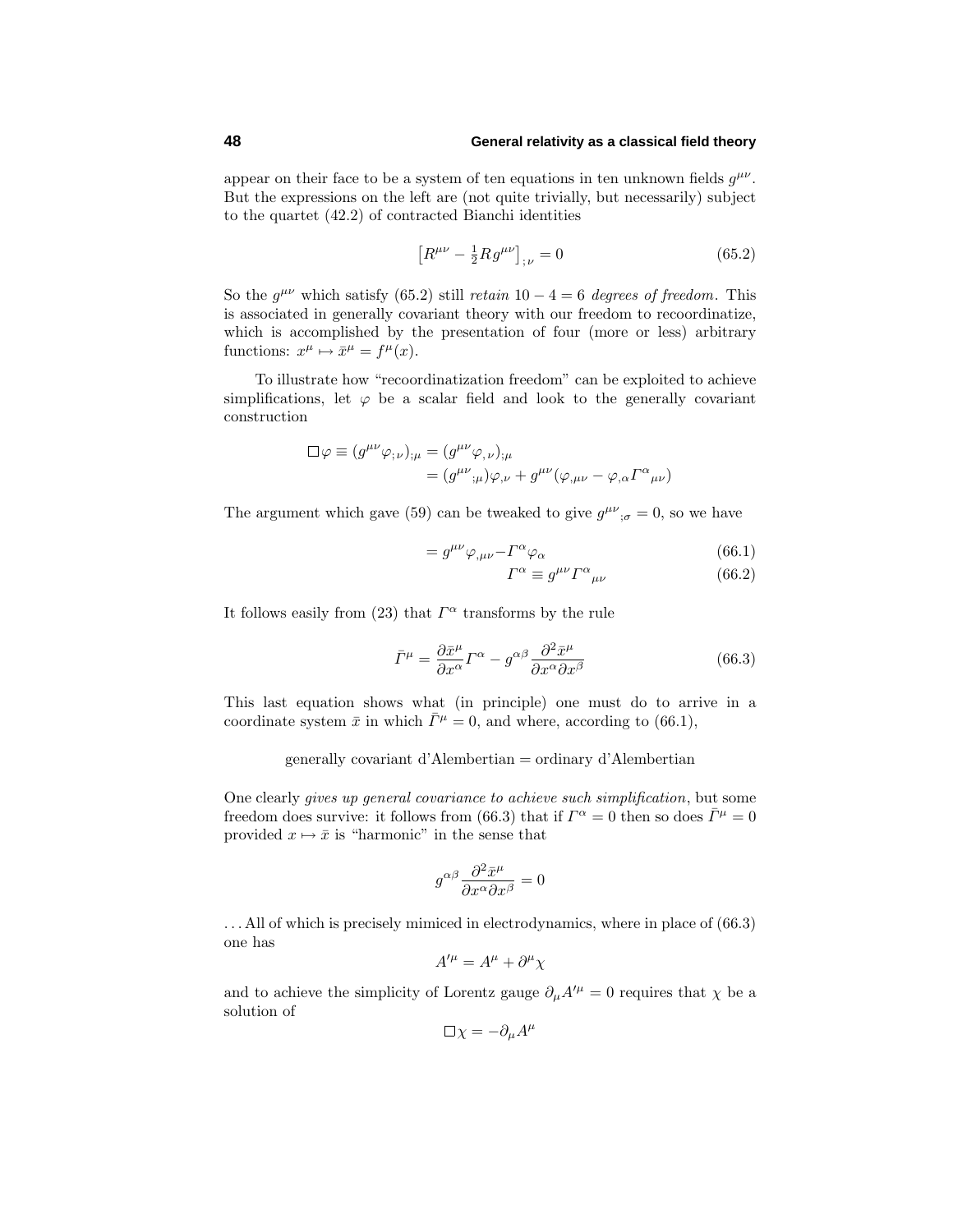appear on their face to be a system of ten equations in ten unknown fields  $g^{\mu\nu}$ . But the expressions on the left are (not quite trivially, but necessarily) subject to the quartet (42.2) of contracted Bianchi identities

$$
\left[R^{\mu\nu} - \frac{1}{2}Rg^{\mu\nu}\right]_{;\nu} = 0\tag{65.2}
$$

So the  $q^{\mu\nu}$  which satisfy (65.2) still retain 10 − 4 = 6 degrees of freedom. This is associated in generally covariant theory with our freedom to recoordinatize, which is accomplished by the presentation of four (more or less) arbitrary functions:  $x^{\mu} \mapsto \bar{x}^{\mu} = f^{\mu}(x)$ .

To illustrate how "recoordinatization freedom" can be exploited to achieve simplifications, let  $\varphi$  be a scalar field and look to the generally covariant construction

$$
\Box \varphi \equiv (g^{\mu\nu}\varphi, \nu)_{;\mu} = (g^{\mu\nu}\varphi, \nu)_{;\mu}
$$
  
=  $(g^{\mu\nu}, \mu) \varphi, \nu + g^{\mu\nu}(\varphi, \mu\nu - \varphi, \alpha \Gamma^{\alpha} \mu\nu)$ 

The argument which gave (59) can be tweaked to give  $g^{\mu\nu}{}_{;\sigma} = 0$ , so we have

$$
=g^{\mu\nu}\varphi_{,\mu\nu}-\Gamma^{\alpha}\varphi_{\alpha} \tag{66.1}
$$

$$
\Gamma^{\alpha} \equiv g^{\mu\nu} \Gamma^{\alpha}{}_{\mu\nu} \tag{66.2}
$$

It follows easily from (23) that  $\Gamma^{\alpha}$  transforms by the rule

$$
\bar{\Gamma}^{\mu} = \frac{\partial \bar{x}^{\mu}}{\partial x^{\alpha}} \Gamma^{\alpha} - g^{\alpha \beta} \frac{\partial^2 \bar{x}^{\mu}}{\partial x^{\alpha} \partial x^{\beta}} \tag{66.3}
$$

This last equation shows what (in principle) one must do to arrive in a coordinate system  $\bar{x}$  in which  $\bar{\Gamma}^{\mu} = 0$ , and where, according to (66.1),

generally covariant d'Alembertian = ordinary d'Alembertian

One clearly gives up general covariance to achieve such simplification, but some freedom does survive: it follows from (66.3) that if  $\Gamma^{\alpha} = 0$  then so does  $\overline{\Gamma}^{\mu} = 0$ provided  $x \mapsto \bar{x}$  is "harmonic" in the sense that

$$
g^{\alpha\beta} \frac{\partial^2 \bar{x}^\mu}{\partial x^\alpha \partial x^\beta} = 0
$$

*...* All of which is precisely mimiced in electrodynamics, where in place of (66.3) one has

$$
A^{\prime \mu} = A^{\mu} + \partial^{\mu} \chi
$$

and to achieve the simplicity of Lorentz gauge  $\partial_{\mu}A'^{\mu} = 0$  requires that  $\chi$  be a solution of

$$
\Box \chi = -\partial_{\mu}A^{\mu}
$$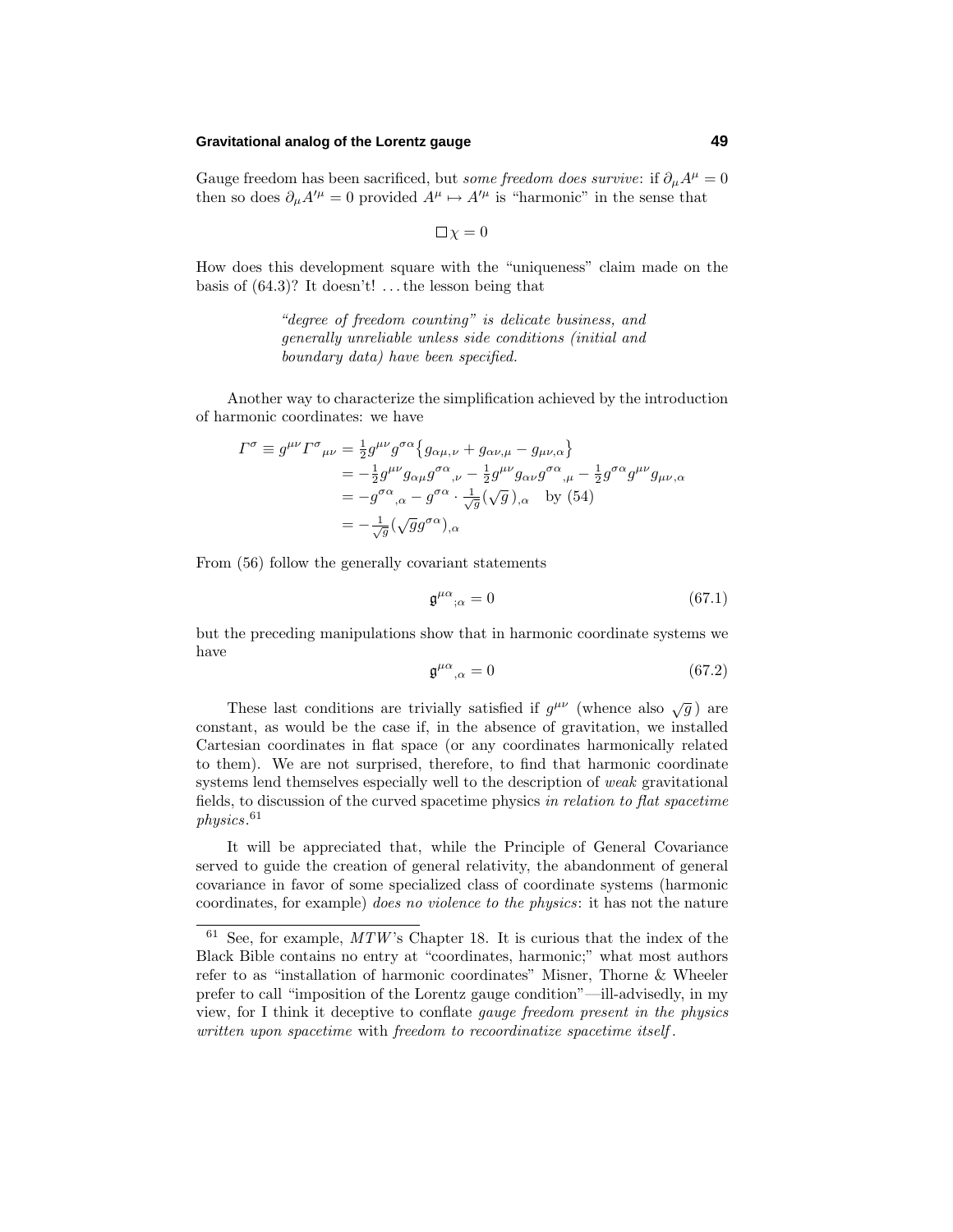### **Gravitational analog of the Lorentz gauge 49**

Gauge freedom has been sacrificed, but *some freedom does survive*: if  $\partial_{\mu}A^{\mu} = 0$ then so does  $\partial_{\mu}A^{\prime\mu} = 0$  provided  $A^{\mu} \mapsto A^{\prime\mu}$  is "harmonic" in the sense that

$$
\Box \chi = 0
$$

How does this development square with the "uniqueness" claim made on the basis of (64.3)? It doesn't! *...*the lesson being that

> "degree of freedom counting" is delicate business, and generally unreliable unless side conditions (initial and boundary data) have been specified.

Another way to characterize the simplification achieved by the introduction of harmonic coordinates: we have

$$
\Gamma^{\sigma} \equiv g^{\mu\nu} \Gamma^{\sigma}{}_{\mu\nu} = \frac{1}{2} g^{\mu\nu} g^{\sigma\alpha} \{ g_{\alpha\mu,\nu} + g_{\alpha\nu,\mu} - g_{\mu\nu,\alpha} \}
$$
  
\n
$$
= -\frac{1}{2} g^{\mu\nu} g_{\alpha\mu} g^{\sigma\alpha}{}_{,\nu} - \frac{1}{2} g^{\mu\nu} g_{\alpha\nu} g^{\sigma\alpha}{}_{,\mu} - \frac{1}{2} g^{\sigma\alpha} g^{\mu\nu} g_{\mu\nu,\alpha}
$$
  
\n
$$
= -g^{\sigma\alpha}{}_{,\alpha} - g^{\sigma\alpha} \cdot \frac{1}{\sqrt{g}} (\sqrt{g})_{,\alpha} \text{ by (54)}
$$
  
\n
$$
= -\frac{1}{\sqrt{g}} (\sqrt{g} g^{\sigma\alpha})_{,\alpha}
$$

From (56) follow the generally covariant statements

$$
\mathfrak{g}^{\mu\alpha}{}_{;\alpha} = 0 \tag{67.1}
$$

but the preceding manipulations show that in harmonic coordinate systems we have

$$
\mathfrak{g}^{\mu\alpha}{}_{,\alpha} = 0 \tag{67.2}
$$

These last conditions are trivially satisfied if  $g^{\mu\nu}$  (whence also  $\sqrt{g}$ ) are constant, as would be the case if, in the absence of gravitation, we installed Cartesian coordinates in flat space (or any coordinates harmonically related to them). We are not surprised, therefore, to find that harmonic coordinate systems lend themselves especially well to the description of weak gravitational fields, to discussion of the curved spacetime physics in relation to flat spacetime  $\emph{physics}.^{\rm 61}$ 

It will be appreciated that, while the Principle of General Covariance served to guide the creation of general relativity, the abandonment of general covariance in favor of some specialized class of coordinate systems (harmonic coordinates, for example) does no violence to the physics: it has not the nature

 $61$  See, for example,  $MTW$ 's Chapter 18. It is curious that the index of the Black Bible contains no entry at "coordinates, harmonic;" what most authors refer to as "installation of harmonic coordinates" Misner, Thorne & Wheeler prefer to call "imposition of the Lorentz gauge condition"—ill-advisedly, in my view, for I think it deceptive to conflate gauge freedom present in the physics written upon spacetime with freedom to recoordinatize spacetime itself .